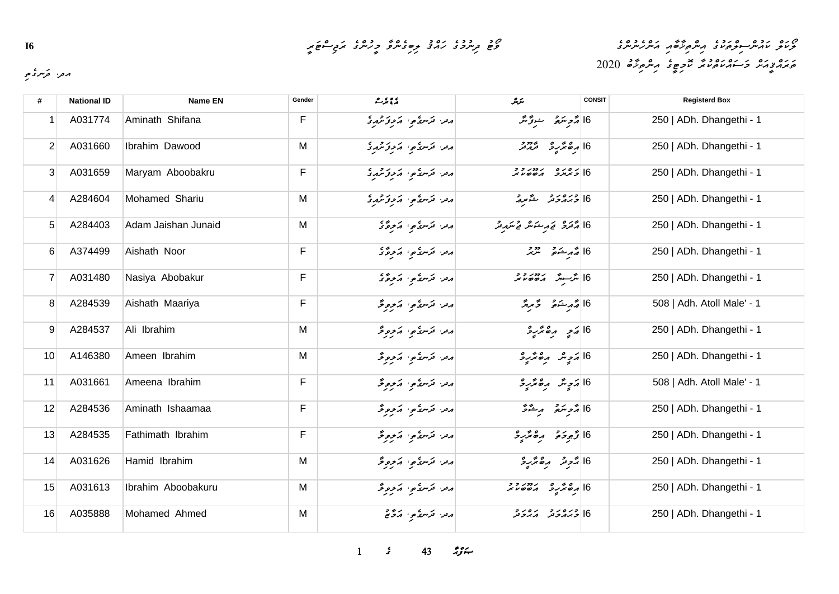*sCw7q7s5w7m< o<n9nOoAw7o< sCq;mAwBoEw7q<m; wBm;vB* م من المرة المرة المرة المرجع المرجع في المركبة 2020<br>مجم*د المريض المربوط المربع المرجع في المراجع المركبة* 

| #              | <b>National ID</b> | Name EN             | Gender       | بروبره                           | سرپر                                                                                              | <b>CONSIT</b> | <b>Registerd Box</b>       |
|----------------|--------------------|---------------------|--------------|----------------------------------|---------------------------------------------------------------------------------------------------|---------------|----------------------------|
|                | A031774            | Aminath Shifana     | F            | أمعا فكالمحص أكوى لمهاد          | 6  المجرسكير سورشمر                                                                               |               | 250   ADh. Dhangethi - 1   |
| $\overline{2}$ | A031660            | Ibrahim Dawood      | M            | أمعن فكسحكم الكوفر عمدة          | 6   مەھمەر ئەمەم                                                                                  |               | 250   ADh. Dhangethi - 1   |
| 3              | A031659            | Maryam Aboobakru    | $\mathsf F$  | أمعن فكأملح والمتحوفة كمردع      | 522222225                                                                                         |               | 250   ADh. Dhangethi - 1   |
| 4              | A284604            | Mohamed Shariu      | M            |                                  | 6 كەبروكە ئەمد                                                                                    |               | 250   ADh. Dhangethi - 1   |
| 5              | A284403            | Adam Jaishan Junaid | M            | أمعن فكسكوه الكرفري              | 16 <i>جُعَدَى فَ<sub>امِ</sub></i> شَمَّسْ فَ <i>سَمَدِينَ</i>                                    |               | 250   ADh. Dhangethi - 1   |
| $\,6$          | A374499            | Aishath Noor        | F            | ما مارس محرم ما مارس مع المرحم و | 6ا گەرىشمۇ ھىتىر                                                                                  |               | 250   ADh. Dhangethi - 1   |
| $\overline{7}$ | A031480            | Nasiya Abobakur     | F            | أمعرا فكالمحصي الكرجري           | 6 مگر مقدم در در در                                                                               |               | 250   ADh. Dhangethi - 1   |
| 8              | A284539            | Aishath Maariya     | $\mathsf F$  | أمعن فرسيء أكرجونج               | 6  مەرىشى ئەبەر                                                                                   |               | 508   Adh. Atoll Male' - 1 |
| 9              | A284537            | Ali Ibrahim         | M            | أمعن فرسي وأمروع                 | 6ا ھَءِ په ھُڻريڪ                                                                                 |               | 250   ADh. Dhangethi - 1   |
| 10             | A146380            | Ameen Ibrahim       | M            | معرا فرسي في المرجوعي            | 6  مَرجِعْدَ رِحْمَّدِجْ                                                                          |               | 250   ADh. Dhangethi - 1   |
| 11             | A031661            | Ameena Ibrahim      | $\mathsf{F}$ | أماما الكرسي والكرام وتحريج      | 6  <sub>م</sub> َحِيمٌ مِصْمَّرِ فِر                                                              |               | 508   Adh. Atoll Male' - 1 |
| 12             | A284536            | Aminath Ishaamaa    | F            | معرا فرسي في المرجوعي            | 6  مُرْحِسَة مِشَرَّةً                                                                            |               | 250   ADh. Dhangethi - 1   |
| 13             | A284535            | Fathimath Ibrahim   | F            | أمعن فرسي وأمروع                 | 6ا زُّجِرَةً مِنْ مُرْبِرَةً                                                                      |               | 250   ADh. Dhangethi - 1   |
| 14             | A031626            | Hamid Ibrahim       | M            |                                  | 6  جمعرة م <b>صمَّرِ</b> في                                                                       |               | 250   ADh. Dhangethi - 1   |
| 15             | A031613            | Ibrahim Aboobakuru  | M            | أمعن فرسي وأرووق                 | $\frac{1}{2}$ $\frac{1}{2}$ $\frac{1}{2}$ $\frac{1}{2}$ $\frac{1}{2}$ $\frac{1}{2}$ $\frac{1}{2}$ |               | 250   ADh. Dhangethi - 1   |
| 16             | A035888            | Mohamed Ahmed       | M            | أمان الكرس والمرادح والمحرج      | 16 ديرە دىم بەرد                                                                                  |               | 250   ADh. Dhangethi - 1   |

**م**حر بحمير عم

*1 s* 43 *i*<sub>S</sub>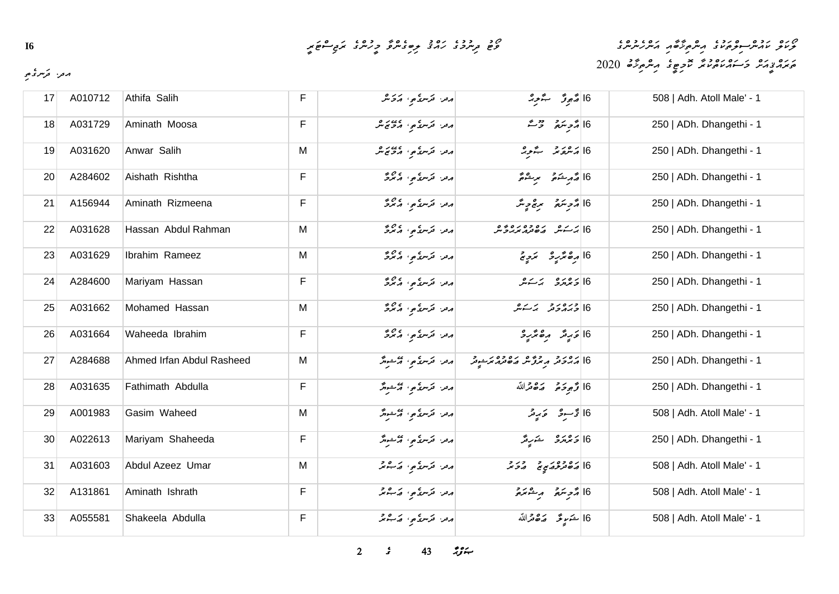*sCw7q7s5w7m< o<n9nOoAw7o< sCq;mAwBoEw7q<m; wBm;vB* م من المرة المرة المرة المرجع المرجع في المركبة 2020<br>مجم*د المريض المربوط المربع المرجع في المراجع المركبة* 

| 17 | A010712 | Athifa Salih              | F            | معرا فكأملح والمكركش              | 6  پھوڑ گے جو بھ                                    | 508   Adh. Atoll Male' - 1 |
|----|---------|---------------------------|--------------|-----------------------------------|-----------------------------------------------------|----------------------------|
| 18 | A031729 | Aminath Moosa             | F            | معرا فكسكامي المتحاكم مراجع       | 6  مُرْمِسَمْ حَرْمَتْهُ                            | 250   ADh. Dhangethi - 1   |
| 19 | A031620 | Anwar Salih               | M            | مدر ترس و مرکز ک                  | 6   ئەشقەتمى سەمبۇر                                 | 250   ADh. Dhangethi - 1   |
| 20 | A284602 | Aishath Rishtha           | $\mathsf F$  | أأدفر المرس والملحم والمحرج       | 6  مُذہب شَمَعٌ مُ سِشْعَمٌ                         | 250   ADh. Dhangethi - 1   |
| 21 | A156944 | Aminath Rizmeena          | F            | أأرمن الكرسري والممرض             | 6ا <i>مُ</i> حِسَمَ <i>ة</i> بِرِجْ جِسَّرَ         | 250   ADh. Dhangethi - 1   |
| 22 | A031628 | Hassan Abdul Rahman       | M            | أأرمن الكرسري والممرض             | 6  ئەسەش مەھ مەم مەم بور                            | 250   ADh. Dhangethi - 1   |
| 23 | A031629 | Ibrahim Rameez            | M            | أأدفر المرس والملحم والمحركة      | 6   <i>ره مُدَرِدْ مَدَدِ</i> جَ                    | 250   ADh. Dhangethi - 1   |
| 24 | A284600 | Mariyam Hassan            | F            | أأدفر الكرسرى والمحمد والمحرج     | 6   ئەيرىۋە كەسىرىمىز                               | 250   ADh. Dhangethi - 1   |
| 25 | A031662 | Mohamed Hassan            | M            | أأرمن الكرسري والممرض             | 16 <i>جزہ جو جنگ میں</i>                            | 250   ADh. Dhangethi - 1   |
| 26 | A031664 | Waheeda Ibrahim           | $\mathsf{F}$ | أأرمن الكرسري والممرض             | 6   <i>وَبِيعٌ مِنْ مُ</i> رْبِيْتِهِ               | 250   ADh. Dhangethi - 1   |
| 27 | A284688 | Ahmed Irfan Abdul Rasheed | M            | ما مار انگرسرنگامی انگریشگر       | 6  رَبْرُوَيْرَ مِبْرَوْيْرَ رَهُ وَهِ بَرْسُوِيْرَ | 250   ADh. Dhangethi - 1   |
| 28 | A031635 | Fathimath Abdulla         | $\mathsf F$  | ما مار مار میگریم می کرد کرد می   | 6  <i>وَّجِوَدَة مَنْ هُدَ</i> اللّه                | 250   ADh. Dhangethi - 1   |
| 29 | A001983 | Gasim Waheed              | M            | ما مار مارس می می در محمد استفاده | 6  قخ سوفت التحرير                                  | 508   Adh. Atoll Male' - 1 |
| 30 | A022613 | Mariyam Shaheeda          | F            | أماس الكرسري والمحمد المستوائر    | 6   د عمادة مشريقه                                  | 250   ADh. Dhangethi - 1   |
| 31 | A031603 | Abdul Azeez Umar          | M            | أمعرا فكالمتكافئ أمكانكم          | 16 <i>ړه ده د</i> پر در د                           | 508   Adh. Atoll Male' - 1 |
| 32 | A131861 | Aminath Ishrath           | F            | أمعن فكالمحصي الكاسوم             | 6ا <i>مُ</i> حِسَمَ <i>وْ</i> بِهِ مُسْتَمَعُ       | 508   Adh. Atoll Male' - 1 |
| 33 | A055581 | Shakeela Abdulla          | F            | معرا فكالمعقص الكاشفر             | 6  ڪو <i>يو</i> گر <b>ص</b> ڪ ھرالله                | 508   Adh. Atoll Male' - 1 |

**2** *s* **43** *z***<sub>***s***</sub>**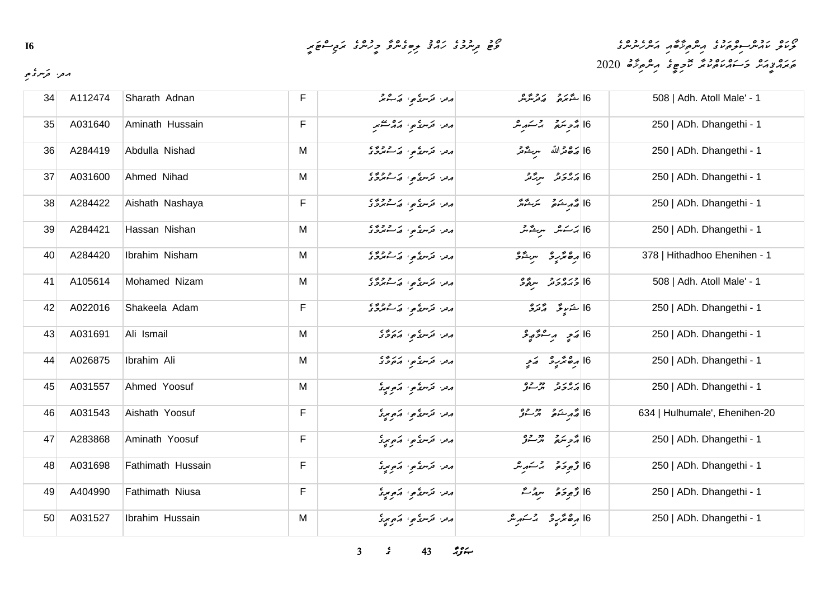*sCw7q7s5w7m< o<n9nOoAw7o< sCq;mAwBoEw7q<m; wBm;vB* م من المرة المرة المرة المرجع المرجع في المركبة 2020<br>مجم*د المريض المربوط المربع المرجع في المراجع المركبة* 

| 34 | A112474 | Sharath Adnan     | F           | ەلەر كەسكەر كەسكەن                                                                                 | 6  سَمْعَرَ <i>هُ مَدْرَ مَدْرَ مِ</i>    | 508   Adh. Atoll Male' - 1    |
|----|---------|-------------------|-------------|----------------------------------------------------------------------------------------------------|-------------------------------------------|-------------------------------|
| 35 | A031640 | Aminath Hussain   | F           | أماص فكالمحدث مره فتحامل                                                                           | 6  م <i>جمع میں مق</i> رید                | 250   ADh. Dhangethi - 1      |
| 36 | A284419 | Abdulla Nishad    | M           | مالا الكرسي في المركب والأمر                                                                       | 16 كَدَهْ قَدْاللّه مُسْتِقَوْتِرْ        | 250   ADh. Dhangethi - 1      |
| 37 | A031600 | Ahmed Nihad       | M           | ما مار المستخرج المال المستخرج و المحمد المحمد المحمد المحمد المحمد المحمد المحمد المحمد المحمد ال | 6  رَرُدَوَرْ سِرَّدْرُ                   | 250   ADh. Dhangethi - 1      |
| 38 | A284422 | Aishath Nashaya   | F           | أمدر فرسي والمستعرف                                                                                | 6ا ئەرىشكى سىشىر                          | 250   ADh. Dhangethi - 1      |
| 39 | A284421 | Hassan Nishan     | M           | معرا فكسموها الكاسمبروى                                                                            | 6  بَرَسَمْرٌ سِيَّمْتَرُ                 | 250   ADh. Dhangethi - 1      |
| 40 | A284420 | Ibrahim Nisham    | M           | أمدار فكسرة والمستعرف                                                                              | 16 <i>م<sub>و</sub>ھ مگرے موش</i> و       | 378   Hithadhoo Ehenihen - 1  |
| 41 | A105614 | Mohamed Nizam     | M           | معرا فكالمحص المكاسم والمحمد                                                                       | 16 ديرورو سروگ                            | 508   Adh. Atoll Male' - 1    |
| 42 | A022016 | Shakeela Adam     | $\mathsf F$ | أمدر فرسي والمستعرف                                                                                | 6  ڪيو ٿر ۾ گريزي                         | 250   ADh. Dhangethi - 1      |
| 43 | A031691 | Ali Ismail        | M           | معرا فكسكفي أمكوف                                                                                  | 6ا پَندِ پرڪڙمدِ و                        | 250   ADh. Dhangethi - 1      |
| 44 | A026875 | Ibrahim Ali       | M           | معرا فرسي و مروا                                                                                   | 6  <sub>م</sub> ەنگرى <sub>د</sub> ى كەمچ | 250   ADh. Dhangethi - 1      |
| 45 | A031557 | Ahmed Yoosuf      | M           | أماص فكالركوم أكوام مركح                                                                           | 6  ئەبرىقر مەرىبۇ                         | 250   ADh. Dhangethi - 1      |
| 46 | A031543 | Aishath Yoosuf    | $\mathsf F$ | معرا فكالمحص مكافيرة                                                                               | 6ا <i>مەمبەھىقى مەستۇ</i>                 | 634   Hulhumale', Ehenihen-20 |
| 47 | A283868 | Aminath Yoosuf    | $\mathsf F$ | أمعن فكسكوه أمومرة                                                                                 | 6  <i>مزّحہ متعدد میں شوق</i>             | 250   ADh. Dhangethi - 1      |
| 48 | A031698 | Fathimath Hussain | $\mathsf F$ | معرا فكالمحص مكافيرة                                                                               | 6   وَمِوحَةٌ بِرَسَهِ مِرْ               | 250   ADh. Dhangethi - 1      |
| 49 | A404990 | Fathimath Niusa   | $\mathsf F$ | أمعن فكسكوه الكومرة                                                                                | 6ا ڙُھِ جَھُ سِهُ َ                       | 250   ADh. Dhangethi - 1      |
| 50 | A031527 | Ibrahim Hussain   | M           | معرا فكالتكافئ الكافيعي                                                                            | 6ا <i>مەمگەبىۋە جىسكى</i> رىنتى           | 250   ADh. Dhangethi - 1      |

**3** *<i>s* **43** *z z*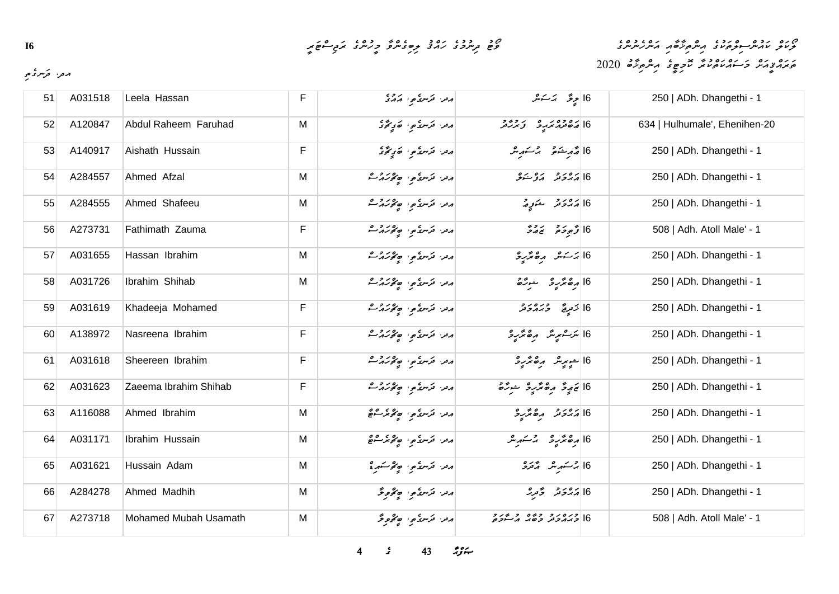*sCw7q7s5w7m< o<n9nOoAw7o< sCq;mAwBoEw7q<m; wBm;vB* م من المرة المرة المرة المرجع المرجع في المركبة 2020<br>مجم*د المريض المربوط المربع المرجع في المراجع المركبة* 

| 51 | A031518 | Leela Hassan          | F | معرا فرسكني أممري    | 6  موتژ - ټرشکر                          | 250   ADh. Dhangethi - 1      |
|----|---------|-----------------------|---|----------------------|------------------------------------------|-------------------------------|
| 52 | A120847 | Abdul Raheem Faruhad  | M | مدر ترسده کوکود      | 16 كەھىركە بىر ئەر ئەر ئەر               | 634   Hulhumale', Ehenihen-20 |
| 53 | A140917 | Aishath Hussain       | F | مدر ترسر و کړي ځ     | 6ا ئەرىشى ئىر ئەسەر ش                    | 250   ADh. Dhangethi - 1      |
| 54 | A284557 | Ahmed Afzal           | M | مدر ترسكي، ھەركىر    | 6   پروتر پروت                           | 250   ADh. Dhangethi - 1      |
| 55 | A284555 | Ahmed Shafeeu         | M | مدر ترسيمي ھ محرم مش | 6   پروتو شوړ                            | 250   ADh. Dhangethi - 1      |
| 56 | A273731 | Fathimath Zauma       | F | مدر ترس              | 6  وَّجِرَحْمُ نَحْمَدُّمَّ              | 508   Adh. Atoll Male' - 1    |
| 57 | A031655 | Hassan Ibrahim        | M | مدر ترس              | 6   ئەسەمى <i>ر مەھترى</i> پى            | 250   ADh. Dhangethi - 1      |
| 58 | A031726 | Ibrahim Shihab        | M | مدر ترس              | 6   مِرْهُ مُرْرِدْ ۖ سُورَّة            | 250   ADh. Dhangethi - 1      |
| 59 | A031619 | Khadeeja Mohamed      | F | مدر ترسيم وكرده      | 6   كَمَارِيحٌ - وْبَرْدُونْدْ           | 250   ADh. Dhangethi - 1      |
| 60 | A138972 | Nasreena Ibrahim      | F | مدر ترسكو، ھەرمىر    | 6 <i>سَرَ شَہِنڈ م</i> ِنھُ بَرے         | 250   ADh. Dhangethi - 1      |
| 61 | A031618 | Sheereen Ibrahim      | F | مدر ترسكو، ھەرمىر    | 6  ڪوبرين م <i>نھنگري</i> و              | 250   ADh. Dhangethi - 1      |
| 62 | A031623 | Zaeema Ibrahim Shihab | F | مدر ترسكي كوكرمر     | 6  غږمهٔ ر <i>هنگره</i> ٔ شر <i>گ</i> هٔ | 250   ADh. Dhangethi - 1      |
| 63 | A116088 | Ahmed Ibrahim         | M | مدر ترس و محر مدام   | 6  رَبَّرْدَتَرَ بِهِ مَحْرِبِرْ         | 250   ADh. Dhangethi - 1      |
| 64 | A031171 | Ibrahim Hussain       | M | مدر ترسر و محر شو    | 16 م <i>ەھمىرى جىسىم</i> ىر              | 250   ADh. Dhangethi - 1      |
| 65 | A031621 | Hussain Adam          | M | مدر مكسكو، ھەسكى م   | 6  پرسکو ملٹہ مگر محمد محمد ا            | 250   ADh. Dhangethi - 1      |
| 66 | A284278 | Ahmed Madhih          | M | معرا فرسي والموقر    | 16 كەندى قىرى                            | 250   ADh. Dhangethi - 1      |
| 67 | A273718 | Mohamed Mubah Usamath | M | مدر ترسد و محموق     | 16 ديره دو د و د در در د                 | 508   Adh. Atoll Male' - 1    |

*4 s* 43 *i*<sub>s</sub> $\approx$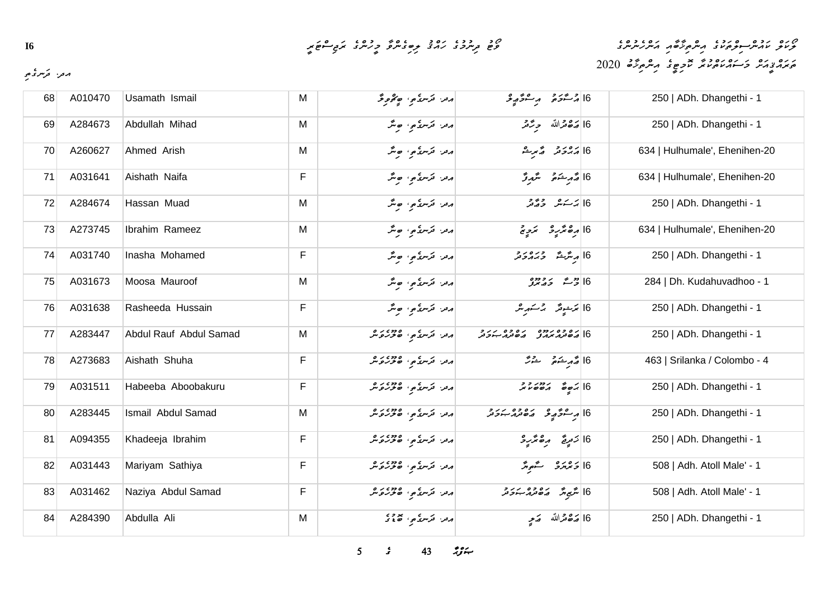*sCw7q7s5w7m< o<n9nOoAw7o< sCq;mAwBoEw7q<m; wBm;vB* م من المرة المرة المرة المرجع المرجع في المركبة 2020<br>مجم*د المريض المربوط المربع المرجع في المراجع المركبة* 

| 68 | A010470 | Usamath Ismail         | M           | معرا فكرسوع والمحموق  | 6  پرستمر <sub>ىق م</sub> ېرستر <sub>ى</sub> مپو | 250   ADh. Dhangethi - 1      |
|----|---------|------------------------|-------------|-----------------------|--------------------------------------------------|-------------------------------|
| 69 | A284673 | Abdullah Mihad         | M           | أمعرا فكسكاموا أصامكم | 6  رَحْمَدْاللّه حِرَّمَّد                       | 250   ADh. Dhangethi - 1      |
| 70 | A260627 | Ahmed Arish            | M           | أمعن فكسكوه أصد       | 6  رَرُدَتْرَ کَمَ مِرْتُ                        | 634   Hulhumale', Ehenihen-20 |
| 71 | A031641 | Aishath Naifa          | $\mathsf F$ | أمعر: فكسكامي؛ صِنَّز | 6  مَ <i>ّەرِ شَعْرِ</i> مَّتَد <i>ِرْ</i> ً     | 634   Hulhumale', Ehenihen-20 |
| 72 | A284674 | Hassan Muad            | M           | أمعر: فكسكامي؛ صِنَّز | 6  ئەسەھرىمى ئەھمىر                              | 250   ADh. Dhangethi - 1      |
| 73 | A273745 | Ibrahim Rameez         | M           | أمعن فكسكوه أصد       | 6  م <i>ەھترى</i> دۇ ئر <sub>ىچى</sub> ج         | 634   Hulhumale', Ehenihen-20 |
| 74 | A031740 | Inasha Mohamed         | F           | أمعرا فكسكاموا أصامكم | 6  مِسَّرْٹَہ دِبَرْدُدَدَ                       | 250   ADh. Dhangethi - 1      |
| 75 | A031673 | Moosa Mauroof          | M           | أمعر: فكسكامي؛ صِنَّز | 6  چ مئے پروہوہ                                  | 284   Dh. Kudahuvadhoo - 1    |
| 76 | A031638 | Rasheeda Hussain       | F           | مدرس مرسوع من من الله | 6  بَرَحْدِثَرُ بِرُسَمَدِيْرُ                   | 250   ADh. Dhangethi - 1      |
| 77 | A283447 | Abdul Rauf Abdul Samad | M           | معرا ترسمني المتحصوص  | 6] בפריכנס כפרי כריכל                            | 250   ADh. Dhangethi - 1      |
| 78 | A273683 | Aishath Shuha          | $\mathsf F$ | محر مرس که دوره ده    | 6  مَّ مِسْمَعْ شَرْحَ                           | 463   Srilanka / Colombo - 4  |
| 79 | A031511 | Habeeba Aboobakuru     | F           | مدر ترسري مددي و      | $77777$ $601$ $16$                               | 250   ADh. Dhangethi - 1      |
| 80 | A283445 | Ismail Abdul Samad     | M           | أمعر فرسي صور صور مس  | 6 كەسىۋە بۇ ھەمدىرە                              | 250   ADh. Dhangethi - 1      |
| 81 | A094355 | Khadeeja Ibrahim       | F           | مدر ترسري موري و      | 6  نَسِيعٌ مِنْ مُحَمَّدٍ \$                     | 250   ADh. Dhangethi - 1      |
| 82 | A031443 | Mariyam Sathiya        | $\mathsf F$ | محر مرس ودوره         | 6   ئەندىرى سەھبەر                               | 508   Adh. Atoll Male' - 1    |
| 83 | A031462 | Naziya Abdul Samad     | F           | محر ترسي صوره ده      | 16 مگرېږ <i>په هغه مرد</i> و                     | 508   Adh. Atoll Male' - 1    |
| 84 | A284390 | Abdulla Ali            | M           | مدر ترس و بدوه        | 16 كەھىراللە كەمچ                                | 250   ADh. Dhangethi - 1      |

 $5$   $5$   $43$   $79$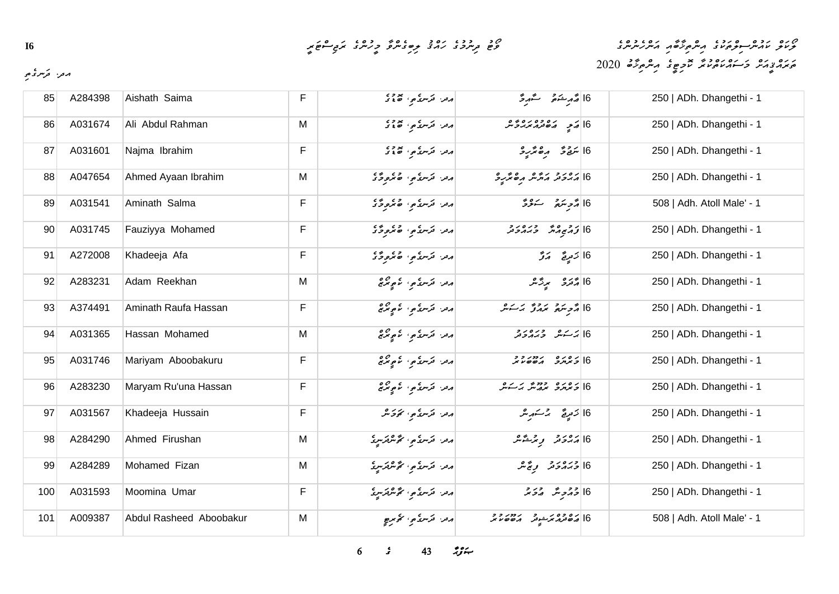*sCw7q7s5w7m< o<n9nOoAw7o< sCq;mAwBoEw7q<m; wBm;vB* م من المرة المرة المرة المرجع المرجع في المركبة 2020<br>مجم*د المريض المربوط المربع المرجع في المراجع المركبة* 

| 85  | A284398 | Aishath Saima           | F           | معر ترسی و موده              | 6  مُرمِسُومُ مُسْرَرٌ               | 250   ADh. Dhangethi - 1   |
|-----|---------|-------------------------|-------------|------------------------------|--------------------------------------|----------------------------|
| 86  | A031674 | Ali Abdul Rahman        | M           | معر ترسي بالاده              | 6 كەبىر كەھەرمەر ئەش                 | 250   ADh. Dhangethi - 1   |
| 87  | A031601 | Najma Ibrahim           | F           | معر ترسي به ده               | 6   سَرَةٍ حَرَّ مِنْ مُرْسِرَةِ     | 250   ADh. Dhangethi - 1   |
| 88  | A047654 | Ahmed Ayaan Ibrahim     | M           | مدر ترسد و مروم              | 6   ئەبرەر بەر بەھەربە               | 250   ADh. Dhangethi - 1   |
| 89  | A031541 | Aminath Salma           | $\mathsf F$ | أمعن فكسرى والمحتجز والمحمدة | 6  أوج سَعَر مُحَمَّرٌ حَمَدَةً      | 508   Adh. Atoll Male' - 1 |
| 90  | A031745 | Fauziyya Mohamed        | $\mathsf F$ | مدر ترسكي كالمروري           | 6  زَرۡ ۡ پِرۡ دِمۡ دِیۡ دِرَ دِرَ   | 250   ADh. Dhangethi - 1   |
| 91  | A272008 | Khadeeja Afa            | $\mathsf F$ | مدر ترسر و مروم              | 16 كَتْمِيعٌ - مَرَّزٌ -             | 250   ADh. Dhangethi - 1   |
| 92  | A283231 | Adam Reekhan            | M           | مدر ترسد و ده                | 6  جۇنزى بېرتىش                      | 250   ADh. Dhangethi - 1   |
| 93  | A374491 | Aminath Raufa Hassan    | $\mathsf F$ | أمعرا فكسكاموا المعج منع     | 6  مَّ جِسَعَهُ سَمَدَتَّ بَرَسَسْهِ | 250   ADh. Dhangethi - 1   |
| 94  | A031365 | Hassan Mohamed          | M           | مدر ترسد و عمره              | 6  ئەسەھرىم ئەيرە ئەر                | 250   ADh. Dhangethi - 1   |
| 95  | A031746 | Mariyam Aboobakuru      | $\mathsf F$ | مدر ترسد و عمره ا            | $22222$ $16$                         | 250   ADh. Dhangethi - 1   |
| 96  | A283230 | Maryam Ru'una Hassan    | F           | أمان الكرسوي المتحويمي       | 6   ئەيرەر ئەرەپىر بەسەس             | 250   ADh. Dhangethi - 1   |
| 97  | A031567 | Khadeeja Hussain        | $\mathsf F$ | أماما المرسمي المماركي       | 6   كَتَرِيعٌ = يُرْسَمَهِ مِرْ      | 250   ADh. Dhangethi - 1   |
| 98  | A284290 | Ahmed Firushan          | M           | مدر ترسد و گرشترس            | 6   ئەبرى ئوبۇ ئەشكە                 | 250   ADh. Dhangethi - 1   |
| 99  | A284289 | Mohamed Fizan           | M           | مدر ترسد و گرمزنرد           | 6   32,25 دېڅ نګر                    | 250   ADh. Dhangethi - 1   |
| 100 | A031593 | Moomina Umar            | F           | مدر ترسد و گرمزنرد           | 6   دېمرمثر پرونډ                    | 250   ADh. Dhangethi - 1   |
| 101 | A009387 | Abdul Rasheed Aboobakur | M           | أرفرا فكسرو والمحمري         | 6 رەدە برخوم مەھەرد                  | 508   Adh. Atoll Male' - 1 |

**م**حر بحم<sup>س ع</sup>

*6 sC 43 nNw?mS*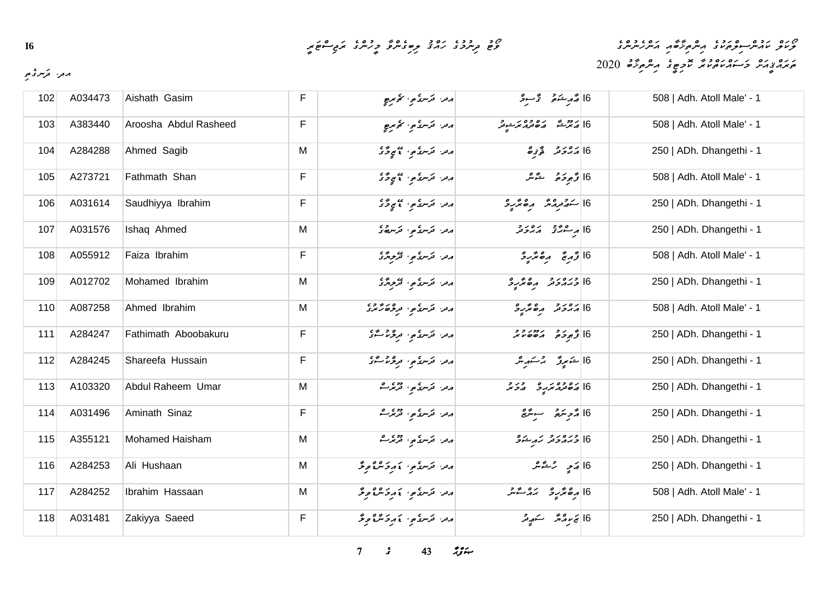*sCw7q7s5w7m< o<n9nOoAw7o< sCq;mAwBoEw7q<m; wBm;vB* م من المرة المرة المرة المرجع المرجع في المركبة 2020<br>مجم*د المريض المربوط المربع المرجع في المراجع المركبة* 

| 102 | A034473 | Aishath Gasim         | F            | أرفرا فكسكامي المحمريج            | 6  مُرِيسَمَ تَوْسِرْ                                                                                                            | 508   Adh. Atoll Male' - 1 |
|-----|---------|-----------------------|--------------|-----------------------------------|----------------------------------------------------------------------------------------------------------------------------------|----------------------------|
| 103 | A383440 | Aroosha Abdul Rasheed | $\mathsf{F}$ | أرفر افكرس والمحجم مجموع          | 6   ئەنزىشقە كەھەرمەر شوتر                                                                                                       | 508   Adh. Atoll Male' - 1 |
| 104 | A284288 | Ahmed Sagib           | M            | معرا فكسكوا الممج وكالمح          | 6   رَبُّرْ دَرْ ۔ ثَوَّتِہ                                                                                                      | 250   ADh. Dhangethi - 1   |
| 105 | A273721 | Fathmath Shan         | F            | ړې ترسره په په ده                 | 6  ۇ <sub>جو</sub> رۇ شەمىر                                                                                                      | 508   Adh. Atoll Male' - 1 |
| 106 | A031614 | Saudhiyya Ibrahim     | F            | ړې ترسره په په ده                 | 6 ڪھورمگر مھنگر گ                                                                                                                | 250   ADh. Dhangethi - 1   |
| 107 | A031576 | Ishaq Ahmed           | M            | أمدر فكسكامي فكسيفي               | 6  م سے بڑے کہ کرکے تھر                                                                                                          | 250   ADh. Dhangethi - 1   |
| 108 | A055912 | Faiza Ibrahim         | F            | معرا فكسكامي الكرمردي             | 6  وَمِعَ مِعْمَدِهِ                                                                                                             | 508   Adh. Atoll Male' - 1 |
| 109 | A012702 | Mohamed Ibrahim       | M            | أمامر الكرسري والمحرج والمحمد     |                                                                                                                                  | 250   ADh. Dhangethi - 1   |
| 110 | A087258 | Ahmed Ibrahim         | M            | مدر ترسكي تركوه دوه               | 6   رَبُّرْدَتْرِ مِنْ مُرْبِرْد                                                                                                 | 508   Adh. Atoll Male' - 1 |
| 111 | A284247 | Fathimath Aboobakuru  | F            | أمعرا فكسمكاني المرفوط مسكي       | 6ا ژُجِرْحَمْ مُقْصَلَةٌ                                                                                                         | 250   ADh. Dhangethi - 1   |
| 112 | A284245 | Shareefa Hussain      | $\mathsf F$  | أمعرا فكسمكاني المرفوط مسكي       | 6  خەمرۇ - ئەسەر ش                                                                                                               | 250   ADh. Dhangethi - 1   |
| 113 | A103320 | Abdul Raheem Umar     | M            | أماص الكرسري والمرجرات            | 16 كەھىرمەترىرى ھەتەتر                                                                                                           | 250   ADh. Dhangethi - 1   |
| 114 | A031496 | Aminath Sinaz         | $\mathsf F$  | أماص الكرسري والمحاصر في المحركية | 6  <i>مُجْرِسَة سِينَ</i> ةً                                                                                                     | 250   ADh. Dhangethi - 1   |
| 115 | A355121 | Mohamed Haisham       | M            | ماص فرسي في المريز في             | 16 دېمەد تەرىئەد                                                                                                                 | 250   ADh. Dhangethi - 1   |
| 116 | A284253 | Ali Hushaan           | M            | معرا فكاللحص الأمركر مثلا وتخر    | 6  کی پر گنگانگر                                                                                                                 | 250   ADh. Dhangethi - 1   |
| 117 | A284252 | Ibrahim Hassaan       | M            | معرا فكاللحص الأمركر مثلا وتخر    | 16 مەھ <i>مگىي</i> ئەرگە ئىككىتىلىكى ئىككىتىكى ئىككىتىكى ئىككىتىكى ئىككىتىكى ئىككىت كىلگا كىشى بىر ئىككىت كىشىشى ئىككىت<br>مەنبە | 508   Adh. Atoll Male' - 1 |
| 118 | A031481 | Zakiyya Saeed         | F            | أمعن فكاللغ وبالالام وقريح        | 6  تی پروگر مسکوپیٹر                                                                                                             | 250   ADh. Dhangethi - 1   |

*7 sC 43 nNw?mS*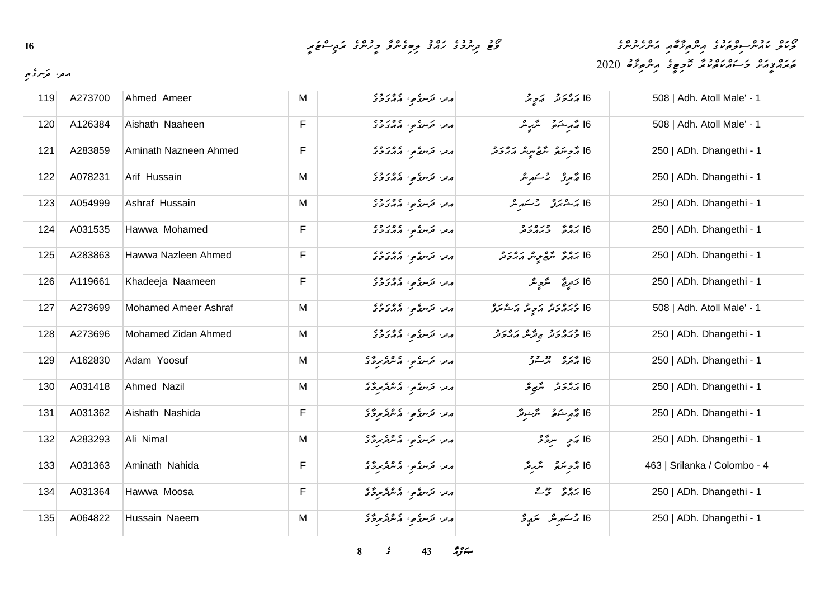*sCw7q7s5w7m< o<n9nOoAw7o< sCq;mAwBoEw7q<m; wBm;vB* م من المرة المرة المرة المرجع المرجع في المركبة 2020<br>مجم*د المريض المربوط المربع المرجع في المراجع المركبة* 

| 119 | A273700 | Ahmed Ameer           | M           | معرا فكسكمي المملكة                    | 6   كەبرى كەرىگە                                        | 508   Adh. Atoll Male' - 1   |
|-----|---------|-----------------------|-------------|----------------------------------------|---------------------------------------------------------|------------------------------|
| 120 | A126384 | Aishath Naaheen       | F           | معرا فرسمتي المممدون                   | 6ا <i>مُذہبن</i> وَ مُ <i>دَبِ</i> مُ                   | 508   Adh. Atoll Male' - 1   |
| 121 | A283859 | Aminath Nazneen Ahmed | F           | معرا فرسمتي المممدون                   | 6  مُ جِسَعَ مُتَّبِي مِنْ مَدَوْمَهِ                   | 250   ADh. Dhangethi - 1     |
| 122 | A078231 | Arif Hussain          | M           | معرس ترس عصر ده در ده                  | 6  پەيرۇ بەسەر بىر                                      | 250   ADh. Dhangethi - 1     |
| 123 | A054999 | Ashraf Hussain        | M           | معرس ترسمتي المممومي                   | 6  ئەشقىزق برىسىرىشر                                    | 250   ADh. Dhangethi - 1     |
| 124 | A031535 | Hawwa Mohamed         | $\mathsf F$ | معرس ترسمتي المممومي                   | 6  پَرُوءَ وَبِرُودَةِ                                  | 250   ADh. Dhangethi - 1     |
| 125 | A283863 | Hawwa Nazleen Ahmed   | $\mathsf F$ | معرس ترسمتي المممومي                   | 16 <i>بَدْهُ وَ" مَّتَ</i> جُ مِيْرٌ <i>مَدَوْمَ</i> رُ | 250   ADh. Dhangethi - 1     |
| 126 | A119661 | Khadeeja Naameen      | $\mathsf F$ | معرس ترسمة مي المرور والمحمد والمحمد   | 6  زَمِيعٌ - مَّرْحِيمٌ -                               | 250   ADh. Dhangethi - 1     |
| 127 | A273699 | Mohamed Ameer Ashraf  | M           | <br>  اردر از ترس ده از از ارد و د     | 6   دره در بر بر بر در در در                            | 508   Adh. Atoll Male' - 1   |
| 128 | A273696 | Mohamed Zidan Ahmed   | M           | معرس ترسري والمملكة والمحالية          | 6   32,3 محمد ع ترسر المربر 15 محمد الس                 | 250   ADh. Dhangethi - 1     |
| 129 | A162830 | Adam Yoosuf           | M           | ماهر الكرسرى والمستقر المرادر والمحالي | 6  گەنىرى تەرىخىمۇ                                      | 250   ADh. Dhangethi - 1     |
| 130 | A031418 | Ahmed Nazil           | M           | ماهر الكرسرى والمستقر المرادر والمحالي | 16 كەبرى قىرىم ئىس ئى                                   | 250   ADh. Dhangethi - 1     |
| 131 | A031362 | Aishath Nashida       | $\mathsf F$ | مدر ترسكم، مصريحة                      | 6  مُدمِسْدَمُ - مُرْسِيشَ                              | 250   ADh. Dhangethi - 1     |
| 132 | A283293 | Ali Nimal             | M           | ملاء الكرسرة في المن والمرجوجي         | 16ھ پہ سرگھ                                             | 250   ADh. Dhangethi - 1     |
| 133 | A031363 | Aminath Nahida        | $\mathsf F$ | ماهر الكرسرة في الماه والمراجع والمحمد | 6ا <i>مُزْحِسَةً مُدَّرِيدً</i>                         | 463   Srilanka / Colombo - 4 |
| 134 | A031364 | Hawwa Moosa           | $\mathsf F$ | معرا فرسكمي المرحر والمحمدة            | $23$ $32$ $ 6$                                          | 250   ADh. Dhangethi - 1     |
| 135 | A064822 | Hussain Naeem         | M           | ما ترسر و مسترمرد و                    | 16 ير <i>سمبر شه</i> ر محمد الس                         | 250   ADh. Dhangethi - 1     |

**8** *s* **43** *z***<sub>***s***</sub>** *z***<sub></sub>**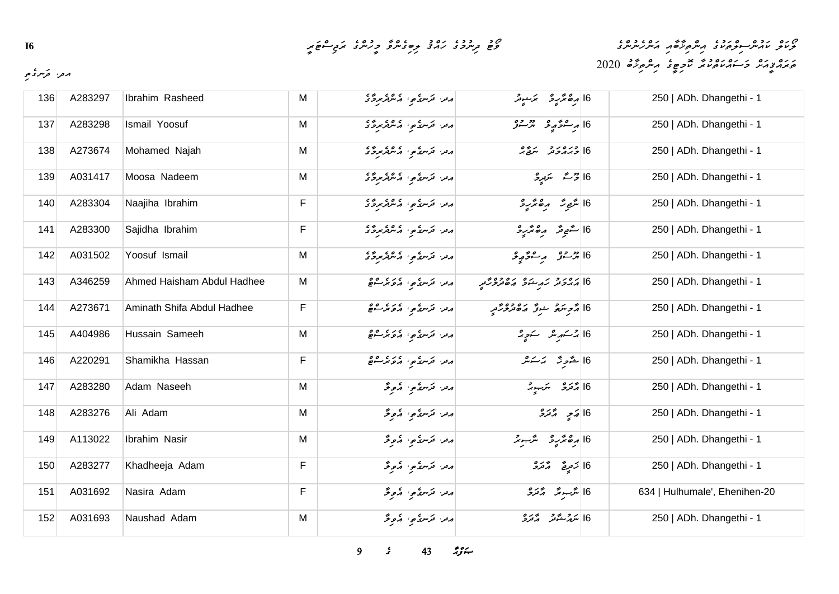*sCw7q7s5w7m< o<n9nOoAw7o< sCq;mAwBoEw7q<m; wBm;vB* م من المسجد المسجد المسجد المسجد المسجد العام 2020<br>مجم*د المسجد المسجد المستجد المسجد المسجد المسجد المسجد المسجد المسجد المسجد المسجد المسجد المسجد المسجد المسجد* 

| 136 | A283297 | Ibrahim Rasheed            | M           | مەر <b>تەس</b> كەم، كەشكە <i>ر دى</i>             | 6  ب <i>ر&amp;نڈرِ \$</i> سَمَسْوِمْر       | 250   ADh. Dhangethi - 1      |
|-----|---------|----------------------------|-------------|---------------------------------------------------|---------------------------------------------|-------------------------------|
| 137 | A283298 | Ismail Yoosuf              | M           | ملاء الكرسرة في المن والمرجوجي                    | 6ارىسۇرپۇ ب <u>ېرىس</u> ۇ                   | 250   ADh. Dhangethi - 1      |
| 138 | A273674 | Mohamed Najah              | M           | أمعرا الكرسرة في المراكز المراكزي                 | 6  32,25 مئي سرق بر                         | 250   ADh. Dhangethi - 1      |
| 139 | A031417 | Moosa Nadeem               | M           | معرا فكسكامي الماهوللمبروكي                       | 16 جُرْحُہ سَمَبِرِدُ                       | 250   ADh. Dhangethi - 1      |
| 140 | A283304 | Naajiha Ibrahim            | F           | معرا فكسكوم المستقر يردمى                         |                                             | 250   ADh. Dhangethi - 1      |
| 141 | A283300 | Sajidha Ibrahim            | $\mathsf F$ | ملاء الكرسرة في المتحر والمحركة والمحركة والمحركة | 6  س <sup>ی</sup> ویٹر ب <i>رھنڈر</i> ی     | 250   ADh. Dhangethi - 1      |
| 142 | A031502 | Yoosuf Ismail              | M           | مامر : ترسره و ، اما مامر مرکز و                  | 6  پر قسمز مر مشر <i>قه ب</i> حر            | 250   ADh. Dhangethi - 1      |
| 143 | A346259 | Ahmed Haisham Abdul Hadhee | M           | أأدفر الكرس والمتحرج والمحمد والمحمد              | 16 روبر و تهر شود بره وور پر                | 250   ADh. Dhangethi - 1      |
| 144 | A273671 | Aminath Shifa Abdul Hadhee | $\mathsf F$ | أمان الكرسرة من المتحامل والمحافظ                 | 6  مُّحِسَمَةَ حَبَوٌ مَصْرُوْرٌ مِّدِ      | 250   ADh. Dhangethi - 1      |
| 145 | A404986 | Hussain Sameeh             | M           | أدور فرسي و المرد وه                              | 6  پرستمبر منگر سکو پر<br>مناسبہ سکو سکو پر | 250   ADh. Dhangethi - 1      |
| 146 | A220291 | Shamikha Hassan            | $\mathsf F$ | ما ترس کے اس کام کام                              | 16 ڪريڙ پرڪش                                | 250   ADh. Dhangethi - 1      |
| 147 | A283280 | Adam Naseeh                | M           | أمعن فكاللقص أكرمونخر                             | 6  م <i>مَّ</i> ترو - سَرَسویر              | 250   ADh. Dhangethi - 1      |
| 148 | A283276 | Ali Adam                   | M           | أمعن فرسي ومأموق                                  | 6  رَمِي     دَنَرَدْ                       | 250   ADh. Dhangethi - 1      |
| 149 | A113022 | Ibrahim Nasir              | M           | أمعه فكالتكامئ أكرمونخر                           | 6  رەنئ <sub>رىق</sub> ە ئىسى <i>ن</i>      | 250   ADh. Dhangethi - 1      |
| 150 | A283277 | Khadheeja Adam             | F           | معرا فكسفوا أكوفى                                 | 6  كَتَامِيعٌ - مُرْتَمَرْدُ                | 250   ADh. Dhangethi - 1      |
| 151 | A031692 | Nasira Adam                | F           | معرا فكالتكامئ أكرمونخر                           | 6  مُرْسِعٌ مُرْمَرْدً                      | 634   Hulhumale', Ehenihen-20 |
| 152 | A031693 | Naushad Adam               | M           | معرا فكسفوا أكوفى                                 | 6   سَمَدْ شَدَّمْرِ مُرْمَرْدُ             | 250   ADh. Dhangethi - 1      |

*9 s* 43 *i*<sub>s</sub> *n*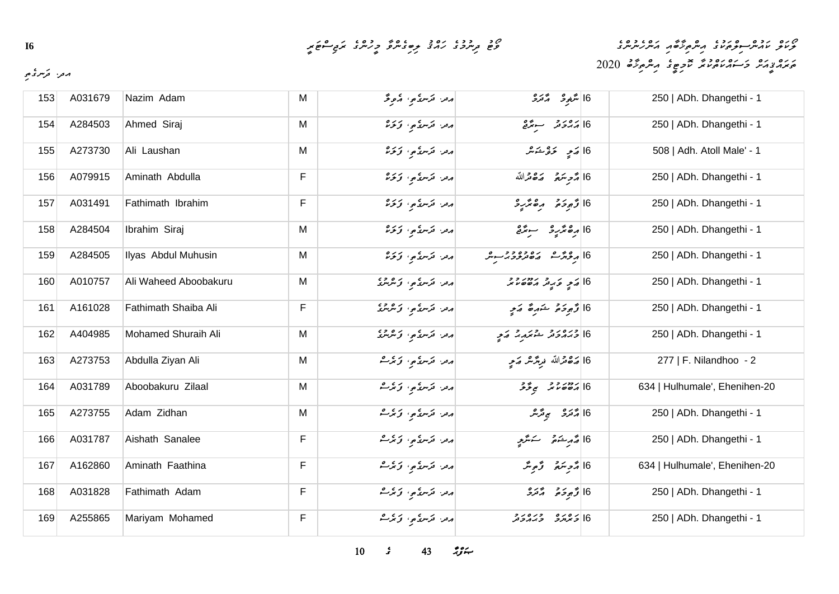*sCw7q7s5w7m< o<n9nOoAw7o< sCq;mAwBoEw7q<m; wBm;vB* م من المسجد المسجد المسجد المسجد المسجد العام 2020<br>مجم*د المسجد المسجد المستجد المسجد المسجد المسجد المسجد المسجد المسجد المسجد المسجد المسجد المسجد المسجد المسجد* 

| 153 | A031679 | Nazim Adam            | M           | معرا فكسكوما الكوفخر                                                                                 | 6  سَّمَدٍ حُمَدَ الْمُحَمَّدُ الْمُحَمَّدِ         | 250   ADh. Dhangethi - 1      |
|-----|---------|-----------------------|-------------|------------------------------------------------------------------------------------------------------|-----------------------------------------------------|-------------------------------|
| 154 | A284503 | Ahmed Siraj           | M           | أماما المكامرة مي المحافظ المحافظ المحافظ المحافظ المحافظ المحافظ المحافظ المحافظ المحافظ المحافظ ال | 6   رَرُدَ رَبْهُ سِعَرَ فِي                        | 250   ADh. Dhangethi - 1      |
| 155 | A273730 | Ali Laushan           | M           | أماما المرسمة مي المركز و                                                                            | 6  سَعِيدِ حَرَّوْشَدَسُ                            | 508   Adh. Atoll Male' - 1    |
| 156 | A079915 | Aminath Abdulla       | $\mathsf F$ | أمعن فرسمة مي وَتَوَمَّمُ                                                                            | 16 مُرْحِسَمَة مَ <i>مُ</i> مُحْمَ <sup>اللّه</sup> | 250   ADh. Dhangethi - 1      |
| 157 | A031491 | Fathimath Ibrahim     | F           | ما مار مار مار در در ه                                                                               | 6ا ژُھِ دَمَ مِه مُرْرِدْ                           | 250   ADh. Dhangethi - 1      |
| 158 | A284504 | Ibrahim Siraj         | M           | ما مار مار مار در در ه                                                                               | 6ا رەنزىر ئەسىر                                     | 250   ADh. Dhangethi - 1      |
| 159 | A284505 | Ilyas Abdul Muhusin   | M           | ما مارس ترسم المسلم المسلم المسلم المسلم المسلم المسلم المسلم المسلم المسلم المسلم المسلم المسلم ا   | 6  مرفهرٌ مقدم معدم معرضه بعد                       | 250   ADh. Dhangethi - 1      |
| 160 | A010757 | Ali Waheed Aboobakuru | M           | أمعرا فكسطحوا كمحصوص                                                                                 | 6  مَرِ وَرِيْرَ مَقْصَرَ بِرَ                      | 250   ADh. Dhangethi - 1      |
| 161 | A161028 | Fathimath Shaiba Ali  | F           | أمعن فرسي في المستعمل                                                                                | 6  <i>وُّجِوَدَة</i> شَهر <i>ةً مَ</i> عٍ           | 250   ADh. Dhangethi - 1      |
| 162 | A404985 | Mohamed Shuraih Ali   | M           | أمعرا فكسكامي المحاسبين                                                                              | 16  <i>وبروبرو جنهربر مک</i> ر                      | 250   ADh. Dhangethi - 1      |
| 163 | A273753 | Abdulla Ziyan Ali     | M           | مامرا الكرسوكي المحاكم كالحراسة                                                                      | 16 كەھەراللە م <sub>ې</sub> رگىگر ك <i>ە</i> مە     | 277   F. Nilandhoo - 2        |
| 164 | A031789 | Aboobakuru Zilaal     | M           | أماما الكرسي وكالمرس                                                                                 | 6  رەدرو دې ئوگمۇ                                   | 634   Hulhumale', Ehenihen-20 |
| 165 | A273755 | Adam Zidhan           | M           | أماما الكرسوي أوكرك                                                                                  | 6  ئ <i>ۇنىۋىپ ق</i> رىتر                           | 250   ADh. Dhangethi - 1      |
| 166 | A031787 | Aishath Sanalee       | F           | مامرا الكرسوكي المحامر عباسة                                                                         | 6  <i>مُذہبینہ جنگیو</i>                            | 250   ADh. Dhangethi - 1      |
| 167 | A162860 | Aminath Faathina      | $\mathsf F$ | مامرا الكرسوكي المحامر على المركز                                                                    | 6ا مُرْحِسَةً وَمِسَّر                              | 634   Hulhumale', Ehenihen-20 |
| 168 | A031828 | Fathimath Adam        | $\mathsf F$ | أماما الكرسوي أوكرك                                                                                  | 6  وَّجِوَةً وَتَرَدُّ                              | 250   ADh. Dhangethi - 1      |
| 169 | A255865 | Mariyam Mohamed       | F           | أماما الكرسوي أوكرك                                                                                  | 16 كەبەر بەرگە ئەرەبىر                              | 250   ADh. Dhangethi - 1      |

*10 sC 43 nNw?mS*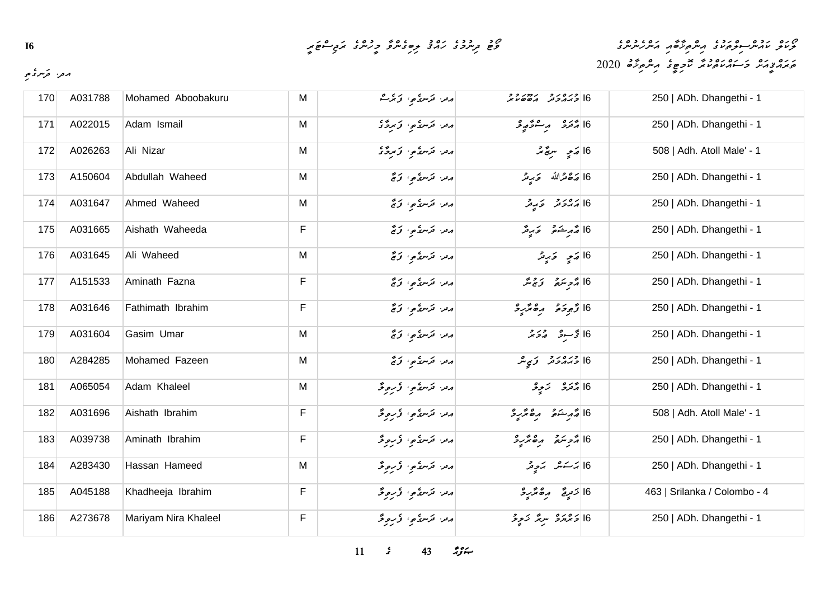*sCw7q7s5w7m< o<n9nOoAw7o< sCq;mAwBoEw7q<m; wBm;vB* م من المرة المرة المرة المرجع المرجع في المركبة 2020<br>مجم*د المريض المربوط المربع المرجع في المراجع المركبة* 

| 170 | A031788 | Mohamed Aboobakuru   | M | مامرا الكرسرى مى المحاكم كالحراسة     | 5222222228                                   | 250   ADh. Dhangethi - 1     |
|-----|---------|----------------------|---|---------------------------------------|----------------------------------------------|------------------------------|
| 171 | A022015 | Adam Ismail          | M | ما مار مارس مارس مارس می کرد کرد که ا | 6  جۇنزى ب <i>ې</i> شۇرىدى                   | 250   ADh. Dhangethi - 1     |
| 172 | A026263 | Ali Nizar            | M | ما مار مارسي مارس و مورد محمد         | 6  کەمچە سرچ تمر                             | 508   Adh. Atoll Male' - 1   |
| 173 | A150604 | Abdullah Waheed      | M | أماص فكالمنقص وكالحجج                 | 16 كەھىراللە     كەبرىتر                     | 250   ADh. Dhangethi - 1     |
| 174 | A031647 | Ahmed Waheed         | M | أمان الكرسوكا وأكبح                   | 16 <i>גَ ب</i> حدَ مَر عَ مَدِ مَدْ          | 250   ADh. Dhangethi - 1     |
| 175 | A031665 | Aishath Waheeda      | F | ما مار مارس محمد محمد تحريج           | 6  مَدْرِسْنَعْرَ - وَرِيْدَ                 | 250   ADh. Dhangethi - 1     |
| 176 | A031645 | Ali Waheed           | M | ما مار مارس محمد محمد تحريج           | 16 ڪچي ڪپيٽر                                 | 250   ADh. Dhangethi - 1     |
| 177 | A151533 | Aminath Fazna        | F | أماس المكاسمة حي المركبة              | 6  مجمع رَبِي مُدَّمَّد                      | 250   ADh. Dhangethi - 1     |
| 178 | A031646 | Fathimath Ibrahim    | F | ما مارس ترسمنگاهی به توسط             | 6ا رً <sub>ّجو</sub> حَہُ مِنْ مَحْرِجُ      | 250   ADh. Dhangethi - 1     |
| 179 | A031604 | Gasim Umar           | M | أماما الكرسوكا وأكلح                  | 6  ڈیسو پر دیگر                              | 250   ADh. Dhangethi - 1     |
| 180 | A284285 | Mohamed Fazeen       | M | ما مار مارس محمد محمد تحريج           | 6  <i>5پروی وي و</i>                         | 250   ADh. Dhangethi - 1     |
| 181 | A065054 | Adam Khaleel         | M | معرا مكسكوا كربوكي                    | 6  ئۇتر <sup>ى ت</sup> رىچى                  | 250   ADh. Dhangethi - 1     |
| 182 | A031696 | Aishath Ibrahim      | F | ماما الأسماني المحرب وتحرير وتحر      | 6ا ئەرىشى مەھ ئرىر ئ                         | 508   Adh. Atoll Male' - 1   |
| 183 | A039738 | Aminath Ibrahim      | F | معرا فكاللكاص وكربوش                  | 6  مُرْحِسَة <sub>ُ م</sub> ِ مُحَمَّدٍ مِنْ | 250   ADh. Dhangethi - 1     |
| 184 | A283430 | Hassan Hameed        | M | ما مارس تكريبو المحرج و تحرير و تحر   | 6  پرسکر پر پر تھر                           | 250   ADh. Dhangethi - 1     |
| 185 | A045188 | Khadheeja Ibrahim    | F | أمعن فكالمعقوم وكروفخ                 | 6  زَمرِيحٌ م <i>ِ هُ مُ</i> رِدُ            | 463   Srilanka / Colombo - 4 |
| 186 | A273678 | Mariyam Nira Khaleel | F | معرا فرسكني كربرونج                   | 16 كەنگەر ئىرىگە ئەرچۇ                       | 250   ADh. Dhangethi - 1     |

 $11$  *s* 43  $23$   $-$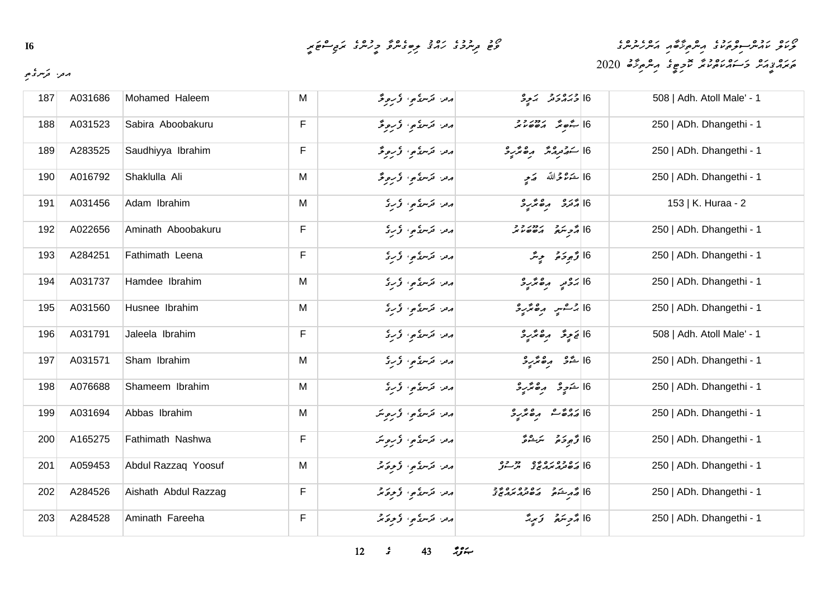*sCw7q7s5w7m< o<n9nOoAw7o< sCq;mAwBoEw7q<m; wBm;vB* م من المرة المرة المرة المرجع المرجع في المركبة 2020<br>مجم*د المريض المربوط المربع المرجع في المراجع المركبة* 

| 187 | A031686 | Mohamed Haleem       | M           | معرا فكسكوا كربوك               | 6   3 جۇڭ ئەيدۇ                                                                                                                             | 508   Adh. Atoll Male' - 1 |
|-----|---------|----------------------|-------------|---------------------------------|---------------------------------------------------------------------------------------------------------------------------------------------|----------------------------|
| 188 | A031523 | Sabira Aboobakuru    | $\mathsf F$ | أمعن فرسمنكموا كربونق           | $22222$ $2027$ $16$                                                                                                                         | 250   ADh. Dhangethi - 1   |
| 189 | A283525 | Saudhiyya Ibrahim    | $\mathsf F$ | ما مار مارس تحریر و تحریر و تحر | 6  سەر يەرە ئەر يەھ ئ <sup>ى</sup> ر ي <sup>و</sup>                                                                                         | 250   ADh. Dhangethi - 1   |
| 190 | A016792 | Shaklulla Ali        | M           | أمعن فرسمنكموا كربونق           | 16 خەممى ئاللە كەمچ                                                                                                                         | 250   ADh. Dhangethi - 1   |
| 191 | A031456 | Adam Ibrahim         | M           | أمعرا فكالمعكمي ومحررة          | 16 <i>مُقرَّد م</i> ُرْحَمَّدِدُّ                                                                                                           | 153   K. Huraa - 2         |
| 192 | A022656 | Aminath Aboobakuru   | $\mathsf F$ | أمعن فكالمحص وكراكي             | 6  مەمەسىمە مەھەمدىر                                                                                                                        | 250   ADh. Dhangethi - 1   |
| 193 | A284251 | Fathimath Leena      | $\mathsf F$ | أمامن الكرسري والمحارجي         | 6  وَجودَةُ دِيئَر                                                                                                                          | 250   ADh. Dhangethi - 1   |
| 194 | A031737 | Hamdee Ibrahim       | M           | أماما المكاموكا وكراكي          | 16 <i>بُدُوبِي م</i> ِنْ مُرْبِدُ                                                                                                           | 250   ADh. Dhangethi - 1   |
| 195 | A031560 | Husnee Ibrahim       | M           | معرا فكسكني المحركي             | 6   جُڪسي م <i>يھنگي</i> و                                                                                                                  | 250   ADh. Dhangethi - 1   |
| 196 | A031791 | Jaleela Ibrahim      | $\mathsf F$ | أمعن فكالمحصي وكراكي            |                                                                                                                                             | 508   Adh. Atoll Male' - 1 |
| 197 | A031571 | Sham Ibrahim         | M           | أمعن فكالمحصي وكراكي            | 6  يَدَّدُ مِعْمَدِدْ                                                                                                                       | 250   ADh. Dhangethi - 1   |
| 198 | A076688 | Shameem Ibrahim      | M           | أمعرا فرسمتموا كربرى            | 6  ڪوچ <i>وھنڙپ</i> و                                                                                                                       | 250   ADh. Dhangethi - 1   |
| 199 | A031694 | Abbas Ibrahim        | M           | أمعرا فكأملكمي وكربوش           | 6   رَوْءٌ بِ مِرْجَمْ بِرْدِ                                                                                                               | 250   ADh. Dhangethi - 1   |
| 200 | A165275 | Fathimath Nashwa     | F           | معرا فكسكامي المجرج مكر         | 6  وَّجِوَحَهُ ۖ سَرَسْوَةٌ                                                                                                                 | 250   ADh. Dhangethi - 1   |
| 201 | A059453 | Abdul Razzaq Yoosuf  | M           | معرا فكالتكافئ وكالمحافظ        | $\frac{1}{2}$ $\frac{1}{2}$ $\frac{1}{2}$ $\frac{1}{2}$ $\frac{1}{2}$ $\frac{1}{2}$ $\frac{1}{2}$ $\frac{1}{2}$ $\frac{1}{2}$ $\frac{1}{2}$ | 250   ADh. Dhangethi - 1   |
| 202 | A284526 | Aishath Abdul Razzag | F           | أمعه فكأملكم وكالمحوف محر       | $\frac{1}{2}$ وگرېشو مەھىر مەمدىك                                                                                                           | 250   ADh. Dhangethi - 1   |
| 203 | A284528 | Aminath Fareeha      | $\mathsf F$ | معرا فكالمحص وكحوف محر          | 6  مَّرْسِتَهُ وَمِيدًّ                                                                                                                     | 250   ADh. Dhangethi - 1   |

*12 s* 43 *if*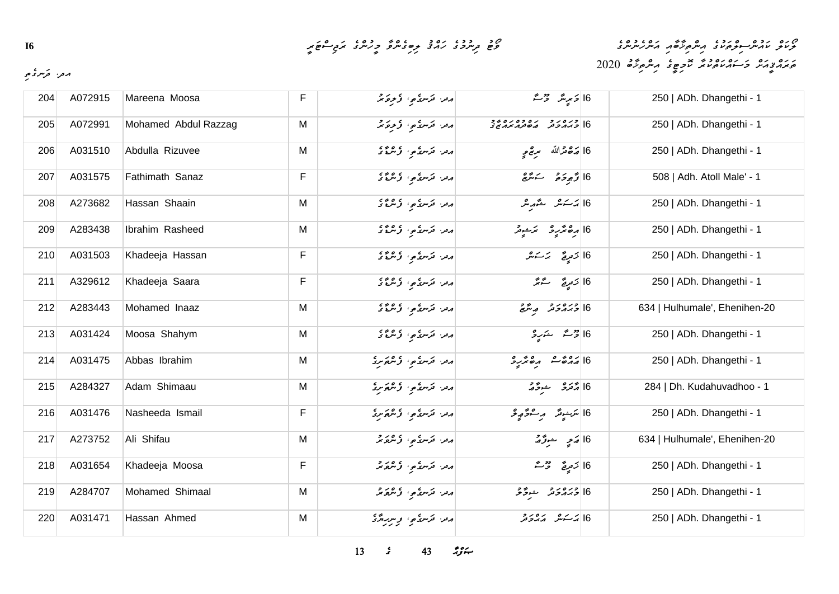*sCw7q7s5w7m< o<n9nOoAw7o< sCq;mAwBoEw7q<m; wBm;vB* م من المرة المرة المرة المرجع المرجع في المركبة 2020<br>مجم*د المريض المربوط المربع المرجع في المراجع المركبة* 

| 204 | A072915 | Mareena Moosa        | $\mathsf{F}$ | أمعرا فكأملكم وكالمحرفر        | 6   دَمرِيمٌ حَرْثَہُ              | 250   ADh. Dhangethi - 1      |
|-----|---------|----------------------|--------------|--------------------------------|------------------------------------|-------------------------------|
| 205 | A072991 | Mohamed Abdul Razzag | M            | أمعن فكسكامئ وكمحرج كمر        | 16 כנסגב גם כסגם בב                | 250   ADh. Dhangethi - 1      |
| 206 | A031510 | Abdulla Rizuvee      | M            | معرا فرسي في وه و ع            | 6  رَصْحْراللّه مَرْجْمِهِ         | 250   ADh. Dhangethi - 1      |
| 207 | A031575 | Fathimath Sanaz      | $\mathsf F$  | أمامر المرس والملحق والملحاء   | 6  ۇ <sub>جو</sub> رَمْ سَەمَّدْيْ | 508   Adh. Atoll Male' - 1    |
| 208 | A273682 | Hassan Shaain        | M            | أمعن فرسمتي وكالمعالج          | 6   پرسکرشر منگہریشر               | 250   ADh. Dhangethi - 1      |
| 209 | A283438 | Ibrahim Rasheed      | M            | أمعرا فكأملكم والمحاصمة        | 6ا رە ئرىرو سىنىد                  | 250   ADh. Dhangethi - 1      |
| 210 | A031503 | Khadeeja Hassan      | $\mathsf F$  | معرا فرسي في وه وه و           | 6   رَمْرِيحٌ - بَرَسَرْ مَرْ      | 250   ADh. Dhangethi - 1      |
| 211 | A329612 | Khadeeja Saara       | $\mathsf F$  | معرا فرسي في وه وه و           | 6  كَتَمِيعٌ – سُنَمَّدٌ           | 250   ADh. Dhangethi - 1      |
| 212 | A283443 | Mohamed Inaaz        | M            | أمعن فرسي في والمعمومي         | 16 <i>جنہ جو جس میں</i> تھے        | 634   Hulhumale', Ehenihen-20 |
| 213 | A031424 | Moosa Shahym         | M            | معرا فرسع في المحافظ و         | 6  قُرْبَتْهُ شَرِيْرٌ             | 250   ADh. Dhangethi - 1      |
| 214 | A031475 | Abbas Ibrahim        | M            | معرا فكسكوما كالمهوني          |                                    | 250   ADh. Dhangethi - 1      |
| 215 | A284327 | Adam Shimaau         | M            | معرا فكالمحص وكالمحالوي        | 6ا ئۇترۇ ھەدىجە                    | 284   Dh. Kudahuvadhoo - 1    |
| 216 | A031476 | Nasheeda Ismail      | $\mathsf F$  | معرا فكسكوها وعكامون           |                                    | 250   ADh. Dhangethi - 1      |
| 217 | A273752 | Ali Shifau           | M            | معرا فكسكوه ومرو               | 6  رَمِ سُوَرَّرَ                  | 634   Hulhumale', Ehenihen-20 |
| 218 | A031654 | Khadeeja Moosa       | $\mathsf F$  | ماما الكرسي والملح المحمد      | 6  زَمِيعٌ تَحْتُ                  | 250   ADh. Dhangethi - 1      |
| 219 | A284707 | Mohamed Shimaal      | M            | أماس الكرسري والمحاسر والمحاسر | 16 دُبَرْدُدَتْر سُودَّتْر         | 250   ADh. Dhangethi - 1      |
| 220 | A031471 | Hassan Ahmed         | M            | معرا فكسكوا وسربردة            | 6  ئەسەھرىم ئەيزى ئە               | 250   ADh. Dhangethi - 1      |

*13 <i>s 43 <i>n*<sub>3</sub> *i*<sub>3</sub> *i*<sub>3</sub> *i*<sub>5</sub>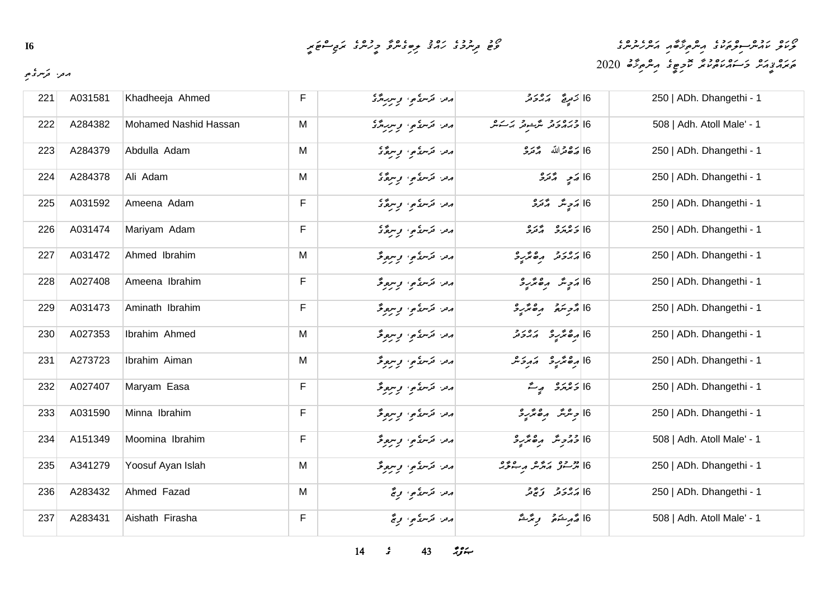*sCw7q7s5w7m< o<n9nOoAw7o< sCq;mAwBoEw7q<m; wBm;vB* م من المرة المرة المرة المرجع المرجع في المركبة 2020<br>مجم*د المريض المربوط المربع المرجع في المراجع المركبة* 

| 221 | A031581 | Khadheeja Ahmed       | F           | معرا فكسكوموا المحسن مركزة |                                                     | 250   ADh. Dhangethi - 1   |
|-----|---------|-----------------------|-------------|----------------------------|-----------------------------------------------------|----------------------------|
| 222 | A284382 | Mohamed Nashid Hassan | M           | مدر تكسكني؛ وسرباندي       | 16 <i>دېمم</i> وتر م <i>رگېنوتر برسکر</i>           | 508   Adh. Atoll Male' - 1 |
| 223 | A284379 | Abdulla Adam          | M           | أمعن فكسكوه وسرهمى         | 6  مَدَّهْ مَرْاللَّهُ مَرْمَرْدُ                   | 250   ADh. Dhangethi - 1   |
| 224 | A284378 | Ali Adam              | M           | أمعن فكسكاموا وسرهامي      | 6  ڪپ گھري                                          | 250   ADh. Dhangethi - 1   |
| 225 | A031592 | Ameena Adam           | F           | أمعن فرسي والملحمة         | 6ا پرَجِسَّہ پرَ قَرَمَرَ                           | 250   ADh. Dhangethi - 1   |
| 226 | A031474 | Mariyam Adam          | $\mathsf F$ | معرا فكسكوا وسرهمى         | 6   دیرو دی و                                       | 250   ADh. Dhangethi - 1   |
| 227 | A031472 | Ahmed Ibrahim         | M           | معرا فرسنگام) وسمعانی      |                                                     | 250   ADh. Dhangethi - 1   |
| 228 | A027408 | Ameena Ibrahim        | $\mathsf F$ | معرا فرسنگام) وسمعانی      | 6  رَ <sub>حِ</sub> سً م <i>ِ ھُنَّ</i> رِ وُ       | 250   ADh. Dhangethi - 1   |
| 229 | A031473 | Aminath Ibrahim       | F           | أمعن فكسكام، وسموقى        | 6  مُح <i>مِسَمُ م</i> ُصَمَّرِهِ                   | 250   ADh. Dhangethi - 1   |
| 230 | A027353 | Ibrahim Ahmed         | M           | أمعن فكسكني وسمعاظ         | 6ارەپرىي مەدەر                                      | 250   ADh. Dhangethi - 1   |
| 231 | A273723 | Ibrahim Aiman         | M           | معرا فرسنگاه) وسمعانی      | 6  رەئزى <sub>ي</sub> ر مەرىئە                      | 250   ADh. Dhangethi - 1   |
| 232 | A027407 | Maryam Easa           | F           | أمعن فكسكاموا وسموقل       | 6  5 پرېزى پەيسە                                    | 250   ADh. Dhangethi - 1   |
| 233 | A031590 | Minna Ibrahim         | $\mathsf F$ | معرا فرسنگاه) وسمعانی      | 6ا <i>وِ مُرْمَّد م</i> ِ صَمَّر <sub>ِ ت</sub> َرْ | 250   ADh. Dhangethi - 1   |
| 234 | A151349 | Moomina Ibrahim       | F           | معرا فرسنگاه او سره و گ    | 6  <i>ڈمڈجنڈ م</i> یھٹر <i>ی</i> ڈ                  | 508   Adh. Atoll Male' - 1 |
| 235 | A341279 | Yoosuf Ayan Islah     | M           | معرا فرسومي وسمع في        | 16ھ - دە بەلگە مەسكەنچە                             | 250   ADh. Dhangethi - 1   |
| 236 | A283432 | Ahmed Fazad           | M           | أمعه فكسكني ولج            | 6  پروژنر کوچ تر                                    | 250   ADh. Dhangethi - 1   |
| 237 | A283431 | Aishath Firasha       | $\mathsf F$ | معه مكسكي ولج              | 6ا <i>۾ُمرِڪَمُ وِعُرَڪُ</i>                        | 508   Adh. Atoll Male' - 1 |

*14 s* 43 *if*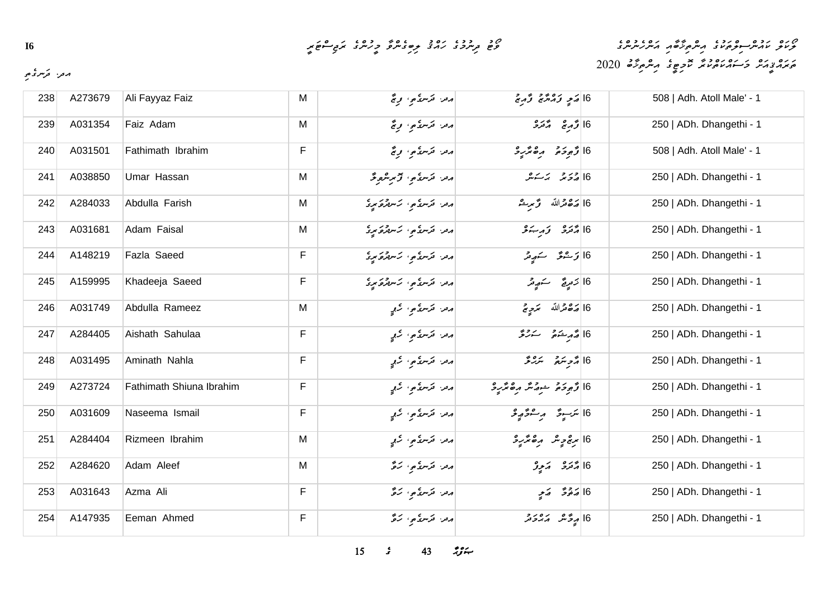*sCw7q7s5w7m< o<n9nOoAw7o< sCq;mAwBoEw7q<m; wBm;vB* م من المرة المرة المرة المرجع المرجع في المركبة 2020<br>مجم*د المريض المربوط المربع المرجع في المراجع المركبة* 

| 238 | A273679 | Ali Fayyaz Faiz          | M           | معرا فكسكوم ولج                    | 6   <i>مَدِ وَمُمْتَنَعْ</i> وَمِدِجْ                       | 508   Adh. Atoll Male' - 1 |
|-----|---------|--------------------------|-------------|------------------------------------|-------------------------------------------------------------|----------------------------|
| 239 | A031354 | Faiz Adam                | M           | ەللا الگەن ھەر بولچ                | 6ا قەم ئەمىدى                                               | 250   ADh. Dhangethi - 1   |
| 240 | A031501 | Fathimath Ibrahim        | F           | أمعرا فكالمحص ومح                  | 6ا ڙَجِرَدَ مُصَمَّرِدْ                                     | 508   Adh. Atoll Male' - 1 |
| 241 | A038850 | Umar Hassan              | M           | أمعه فكسكوه ومحمر شموقى            | 6  252 برسكر                                                | 250   ADh. Dhangethi - 1   |
| 242 | A284033 | Abdulla Farish           | M           | أأدفرا الكرسري والمستركة كالمراريج | 6  مَەھْتَراللَّهُ     تَرْمَدِيْتُهُ                       | 250   ADh. Dhangethi - 1   |
| 243 | A031681 | Adam Faisal              | M           | أماس الكرسرة في الكرسوري المحمدة   | 6  پژنرو تەرىبىۋ                                            | 250   ADh. Dhangethi - 1   |
| 244 | A148219 | Fazla Saeed              | F           | ما مارس می کرد کرد کرد             | 6  ترينى سىھەتىر                                            | 250   ADh. Dhangethi - 1   |
| 245 | A159995 | Khadeeja Saeed           | F           | ماس الكرسرة في الكرسوري المحمدة    | 6  زَمِيعٌ سَم <i>ِي</i> مُرٌ                               | 250   ADh. Dhangethi - 1   |
| 246 | A031749 | Abdulla Rameez           | M           | أماص الكرسري حي الكربي             | 6  رَصْعَرْاللّه - مَرْحٍ مَحْ                              | 250   ADh. Dhangethi - 1   |
| 247 | A284405 | Aishath Sahulaa          | F           | أماص الكرسرة حي الكربي             | 6  رو مئمر سکر محمد محمد                                    | 250   ADh. Dhangethi - 1   |
| 248 | A031495 | Aminath Nahla            | $\mathsf F$ | أماص الكرسوكاني المركبي            | 6  أوجه سرائد محمد السرائح                                  | 250   ADh. Dhangethi - 1   |
| 249 | A273724 | Fathimath Shiuna Ibrahim | F           | مامر : فكرسوع عن الكربي            | 6  <i>وُّجوحَمْ موم<sup>و</sup>مُر م</i> ِ <i>مُرْبِ</i> حْ | 250   ADh. Dhangethi - 1   |
| 250 | A031609 | Naseema Ismail           | F           | ما مار او ترسمن تربي               | 6  بَرَسِودٌ م <i>وسُوَّم</i> ِودُ                          | 250   ADh. Dhangethi - 1   |
| 251 | A284404 | Rizmeen Ibrahim          | M           | ما مار او ترسمن تربي               | 6   برجم ج مرض مرض <i>م ب</i> ر محدثة عليه تحريب            | 250   ADh. Dhangethi - 1   |
| 252 | A284620 | Adam Aleef               | M           | أما فلأسمع من المركز               | 6  مُرترق مَعِرْ                                            | 250   ADh. Dhangethi - 1   |
| 253 | A031643 | Azma Ali                 | F           | ەللا كەسمىگى ئەڭ                   | 16 كەنتى قەمچ                                               | 250   ADh. Dhangethi - 1   |
| 254 | A147935 | Eeman Ahmed              | F           | ە بىر تەسرىمى، ئەڭ                 | 6  مرڈیمر بربردیر                                           | 250   ADh. Dhangethi - 1   |

*15 sC 43 nNw?mS*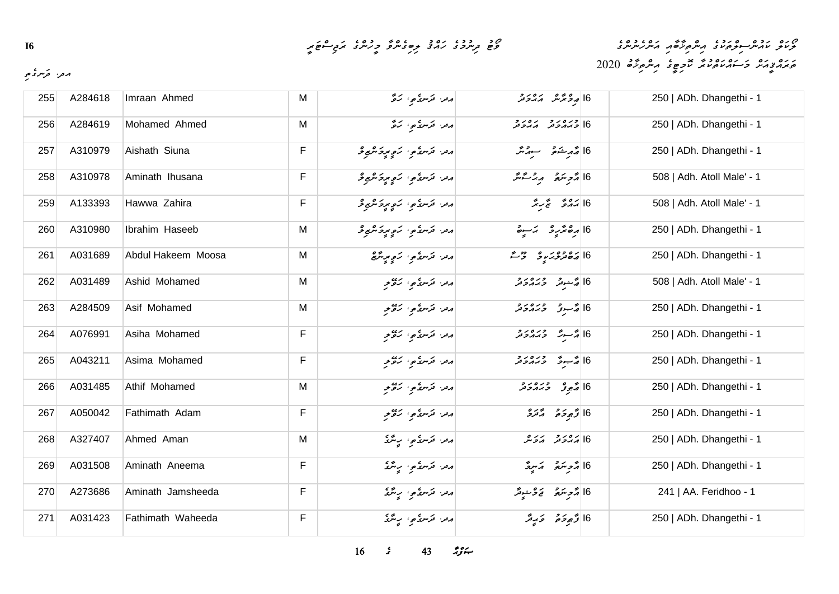*sCw7q7s5w7m< o<n9nOoAw7o< sCq;mAwBoEw7q<m; wBm;vB* م من المسجد المسجد المسجد المسجد المسجد العام 2020<br>مجم*د المسجد المسجد المستجد المسجد المسجد المسجد المسجد المسجد المسجد المسجد المسجد المسجد المسجد المسجد المسجد* 

| 255 | A284618 | Imraan Ahmed       | M            | أماما الكرسريح مي الركبة           | 6  م <i>ب</i> و <i>مگ</i> ر م <i>بر دو م</i> ر | 250   ADh. Dhangethi - 1   |
|-----|---------|--------------------|--------------|------------------------------------|------------------------------------------------|----------------------------|
| 256 | A284619 | Mohamed Ahmed      | M            | أماص الكرسرة حياء أركبه            | 16 ديرە دىن ئەرەرد                             | 250   ADh. Dhangethi - 1   |
| 257 | A310979 | Aishath Siuna      | F            | أمعا الكرسكاني الكواس والكرامج     | 6  مُرمِسَمَ سِرْسُرٌ                          | 250   ADh. Dhangethi - 1   |
| 258 | A310978 | Aminath Ihusana    | F            | أمعا الكرسكاني الكوابر كالكوفر     | 6  مُرجِبَهُ مِهْشَتَرَ                        | 508   Adh. Atoll Male' - 1 |
| 259 | A133393 | Hawwa Zahira       | F            | أمعرا افكرسكمي الكي بروكري في      | 6  يَهْرُوْ تَحْرِيْرُ                         | 508   Adh. Atoll Male' - 1 |
| 260 | A310980 | Ibrahim Haseeb     | M            | أمعرا افكرسكمي الكوامريكوم فللمراج | 16 م <i>ەھتىب</i> ۇ ب <sub>ەسىم</sub>          | 250   ADh. Dhangethi - 1   |
| 261 | A031689 | Abdul Hakeem Moosa | M            | مەر ئىرسكەي كەيدىگە                | 16 كەھەر بورى تۇرىخ                            | 250   ADh. Dhangethi - 1   |
| 262 | A031489 | Ashid Mohamed      | M            | ەپ ئەسمەي رەي                      | 6  مُسْبِعْرِ حَمَدُ مَرْدَ                    | 508   Adh. Atoll Male' - 1 |
| 263 | A284509 | Asif Mohamed       | M            | معرا فكالمعكمي الركامي             | 6  ئەسىرق ئەئەدىمە                             | 250   ADh. Dhangethi - 1   |
| 264 | A076991 | Asiha Mohamed      | $\mathsf{F}$ | ەپ تەسرى رەيج                      | 6  پۇسىر ئەيرە ئەر                             | 250   ADh. Dhangethi - 1   |
| 265 | A043211 | Asima Mohamed      | $\mathsf F$  | ەپ تەسرى رەيج                      | 6  جەسىرقە ئەيرە ئەر                           | 250   ADh. Dhangethi - 1   |
| 266 | A031485 | Athif Mohamed      | M            | معرا فكالمعكمي الركامي             | 6  رچموقر فائر جمادة حمد                       | 250   ADh. Dhangethi - 1   |
| 267 | A050042 | Fathimath Adam     | $\mathsf F$  | معرا فرسي من ري                    | 6  وَّجِوحَةَ مَجَمَّدَةَ                      | 250   ADh. Dhangethi - 1   |
| 268 | A327407 | Ahmed Aman         | M            | معرا فكاللحص الإنتمكي              | 6  پَرْدَوْ پَرَدْ پُر                         | 250   ADh. Dhangethi - 1   |
| 269 | A031508 | Aminath Aneema     | $\mathsf F$  | معرا فكاللحص الإنتمكي              | 6  مەجەنىھ مەسبەمى                             | 250   ADh. Dhangethi - 1   |
| 270 | A273686 | Aminath Jamsheeda  | $\mathsf F$  | أمعه فكسكامي سأثك                  | 16 مُت <i>حِ سَمَعُ تَح</i> َوْشِيشُ           | 241   AA. Feridhoo - 1     |
| 271 | A031423 | Fathimath Waheeda  | $\mathsf F$  | معرا فكاللحص الإنتمكي              | 6ا ۇج <sub>و</sub> چە ئەر ئەر                  | 250   ADh. Dhangethi - 1   |

 $16$  *s* 43  $23$   $-$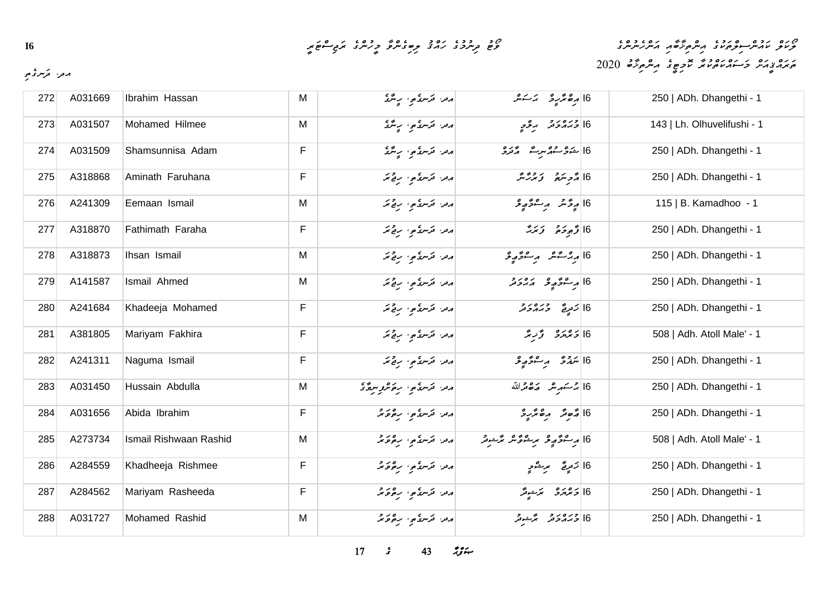*sCw7q7s5w7m< o<n9nOoAw7o< sCq;mAwBoEw7q<m; wBm;vB* م من المرة المرة المرة المرجع المرجع في المركبة 2020<br>مجم*د المريض المربوط المربع المرجع في المراجع المركبة* 

| 272 | A031669 | Ibrahim Hassan         | M            | معرا فكسكوم الإنتمكي             | 16 م <i>وڭ ئۇر</i> بۇ سىمىسىسى ئىسكىسى ئىسكىسى ئىش | 250   ADh. Dhangethi - 1    |
|-----|---------|------------------------|--------------|----------------------------------|----------------------------------------------------|-----------------------------|
| 273 | A031507 | Mohamed Hilmee         | M            | معرا فكسكامي الريثمة             | 6  <i>وټرونو برو</i> مي                            | 143   Lh. Olhuvelifushi - 1 |
| 274 | A031509 | Shamsunnisa Adam       | F            | أمامه المرسوعي الرسمي            | 6 ڪوڪرمرسر گروي                                    | 250   ADh. Dhangethi - 1    |
| 275 | A318868 | Aminath Faruhana       | $\mathsf F$  | أمعرا فكالمعقوم الرقيحم          | 6ا مٌ حِسَمَةٌ وَيَمْرُسُّرَ                       | 250   ADh. Dhangethi - 1    |
| 276 | A241309 | Eemaan Ismail          | M            | ما مار انگرسو میگریم که می       | 6  رچ مگر م <i>ر ش</i> ڪريڪر                       | 115   B. Kamadhoo - 1       |
| 277 | A318870 | Fathimath Faraha       | $\mathsf F$  | أماما الكرسكاني الراقح تكر       | 6  وَّجِرَحْمَ وَمَدَّدٌ                           | 250   ADh. Dhangethi - 1    |
| 278 | A318873 | Ihsan Ismail           | M            | ما مار انگرسوی است می            | 6ا <i>مەشتىر مەشتۇم</i> بۇ                         | 250   ADh. Dhangethi - 1    |
| 279 | A141587 | Ismail Ahmed           | M            | أماص الكرسرة حوار أربع تكر       | 6ا م <i>ېشۇمۇ مەدە</i> ر                           | 250   ADh. Dhangethi - 1    |
| 280 | A241684 | Khadeeja Mohamed       | $\mathsf F$  | ما مار انگرسوی است می            | 6  كَتَوِيعٌ     وَيَرْدُوَنْدُ                    | 250   ADh. Dhangethi - 1    |
| 281 | A381805 | Mariyam Fakhira        | $\mathsf{F}$ | أماص الكرسري والمراجح مكر        | 6   ئەنگەردى ئۇرىگە                                | 508   Adh. Atoll Male' - 1  |
| 282 | A241311 | Naguma Ismail          | $\mathsf F$  | أماص الكرسرة حي الراح مكر        | 6   سَمْدَةَ مِ سُدَّمِيةِ و                       | 250   ADh. Dhangethi - 1    |
| 283 | A031450 | Hussain Abdulla        | M            | أمعرا فكالمحكم والمحافر والمحافي | 16 يُرْسَمَّ مِنْ مَرْحَقَّدْاللَّهُ               | 250   ADh. Dhangethi - 1    |
| 284 | A031656 | Abida Ibrahim          | $\mathsf F$  | أمعن فرسي وبالمحمد               | 6  المعوش مرگانگریزی                               | 250   ADh. Dhangethi - 1    |
| 285 | A273734 | Ismail Rishwaan Rashid | M            | مدرس ترسري مي مرض د              | 6   مرسكۇم كو بوسكۇمىل مۇسومى                      | 508   Adh. Atoll Male' - 1  |
| 286 | A284559 | Khadheeja Rishmee      | $\mathsf F$  | أمعن فكسكني المقومة              | 6  كَتَرِيعٌ - مَرْشُورٍ                           | 250   ADh. Dhangethi - 1    |
| 287 | A284562 | Mariyam Rasheeda       | $\mathsf F$  | معرا فكسكامي الأحرام             | 6  5 محمد محر محر مقروم محمد السم                  | 250   ADh. Dhangethi - 1    |
| 288 | A031727 | Mohamed Rashid         | M            | معرا فكسكامي الماموجر            | 6   ج برو بحر محرجة مرتفع انتقل                    | 250   ADh. Dhangethi - 1    |

*17 s* 43 *if*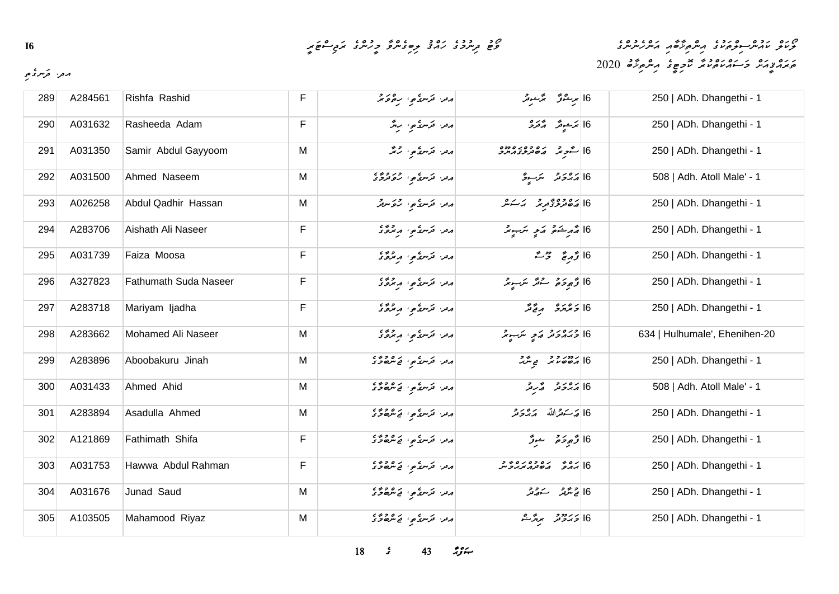*sCw7q7s5w7m< o<n9nOoAw7o< sCq;mAwBoEw7q<m; wBm;vB* م من المسجد المسجد المسجد المسجد المسجد العام 2020<br>مجم*د المسجد المسجد المستجد المسجد المسجد المسجد المسجد المسجد المسجد المسجد المسجد المسجد المسجد المسجد المسجد* 

| 289 | A284561 | Rishfa Rashid                | F | معرا فكسكني النفويج                                                                                          | 6   مرگوگر گرھوٹر                            | 250   ADh. Dhangethi - 1      |
|-----|---------|------------------------------|---|--------------------------------------------------------------------------------------------------------------|----------------------------------------------|-------------------------------|
| 290 | A031632 | Rasheeda Adam                | F | أماص فكالمتكافئ أرامكم                                                                                       | 6  بَرَسْوِمَّر   بَرَْمَرْدَ                | 250   ADh. Dhangethi - 1      |
| 291 | A031350 | Samir Abdul Gayyoom          | M | أماص الكرسومي الرحم                                                                                          | 6  سگویمر بره وه بره دوه                     | 250   ADh. Dhangethi - 1      |
| 292 | A031500 | Ahmed Naseem                 | M | مدر فرسومي كوفرون                                                                                            | 6  رَمِرْدَتْرَ - سَرَ-وِرْ                  | 508   Adh. Atoll Male' - 1    |
| 293 | A026258 | Abdul Qadhir Hassan          | M | ما مار مارس مع المسلم المسلم المسلم المسلم المسلم المسلم المسلم المسلم المسلم المسلم المسلم المسلم المسلم ال | 16 كەھەرى <i>ۋۇرىز بى</i> سەمىر              | 250   ADh. Dhangethi - 1      |
| 294 | A283706 | Aishath Ali Naseer           | F | معر فرسي و معرف                                                                                              | 6  م <i>ُّهِ شَهْ مُهْ مَرْبِ</i> مُرَسِيْر  | 250   ADh. Dhangethi - 1      |
| 295 | A031739 | Faiza Moosa                  | F | معرا فكسكوه المتعرف                                                                                          | 6  ڈربج تی ہے                                | 250   ADh. Dhangethi - 1      |
| 296 | A327823 | <b>Fathumath Suda Naseer</b> | F | معرا فرسي و المتحدة                                                                                          | 6  رَّجِرَةَ مُتَقَرِّ مَرَسِيدَ             | 250   ADh. Dhangethi - 1      |
| 297 | A283718 | Mariyam Ijadha               | F | معرا فكسكوا معرف                                                                                             | 6   <i>وَجُهْدَ فَرَقَّةَ مَّ</i>            | 250   ADh. Dhangethi - 1      |
| 298 | A283662 | Mohamed Ali Naseer           | M | أمعن فكسكوه المتعرف                                                                                          | 16 <i>دُبُہُ دُوَ تَہُ بِہِ سَبِہِ بُر</i> ُ | 634   Hulhumale', Ehenihen-20 |
| 299 | A283896 | Aboobakuru Jinah             | M | معرا فكسيكم والمحاصور                                                                                        | 16 كەھەم ئىرگە بىر ئىگە                      | 250   ADh. Dhangethi - 1      |
| 300 | A031433 | Ahmed Ahid                   | M | مدر ترسر و محسن و در                                                                                         | 6   كەبرى قىلىقى ئەرىقى                      | 508   Adh. Atoll Male' - 1    |
| 301 | A283894 | Asadulla Ahmed               | M | مدر ترسر و محسن و در                                                                                         | 16 كەسكەتراللە كەبرى قىر                     | 250   ADh. Dhangethi - 1      |
| 302 | A121869 | Fathimath Shifa              | F | مدر ترسر و محصور                                                                                             | 6  وَّجِرَةٌ مُ سُورٌ                        | 250   ADh. Dhangethi - 1      |
| 303 | A031753 | Hawwa Abdul Rahman           | F | مدر ترسر و محصور                                                                                             |                                              | 250   ADh. Dhangethi - 1      |
| 304 | A031676 | Junad Saud                   | M | مدر ترسر و محصور                                                                                             | 6   قے مترقد سکھ سکھ قتر                     | 250   ADh. Dhangethi - 1      |
| 305 | A103505 | Mahamood Riyaz               | M | معرا فكسرى والمعصوى                                                                                          | 6  ئەجرىقرى مېرمەت بى                        | 250   ADh. Dhangethi - 1      |

**18** *s* **43** *n***<sub>s</sub>** 

**م**حر بحميد عم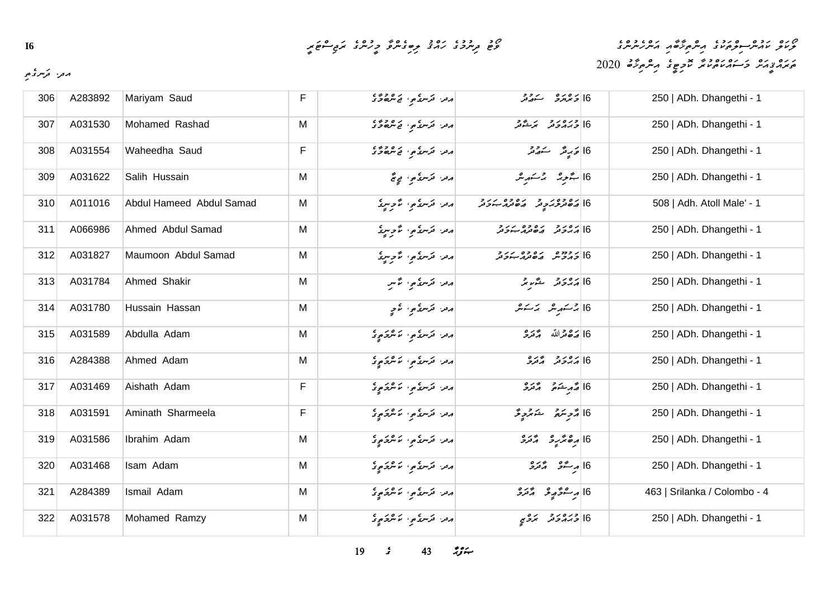*sCw7q7s5w7m< o<n9nOoAw7o< sCq;mAwBoEw7q<m; wBm;vB* م من المرة المرة المرة المرجع المرجع في المركبة 2020<br>مجم*د المريض المربوط المربع المرجع في المراجع المركبة* 

| 306 | A283892 | Mariyam Saud             | F           | معرا فكسكوم المحامومي                  | 6   ئەنگەرىۋە سىزەتتەر                                     | 250   ADh. Dhangethi - 1     |
|-----|---------|--------------------------|-------------|----------------------------------------|------------------------------------------------------------|------------------------------|
| 307 | A031530 | Mohamed Rashad           | M           | مدر ترسري عاش ودا                      | 6  32,25 كَرْشُوْتُر                                       | 250   ADh. Dhangethi - 1     |
| 308 | A031554 | Waheedha Saud            | F           | مدر ترسي و المعرض                      | 6   قديدة مستقدمة                                          | 250   ADh. Dhangethi - 1     |
| 309 | A031622 | Salih Hussain            | M           | ما مار او مارس کا عربی کا عربی         | 6  بڑویژ پر شہر مگر                                        | 250   ADh. Dhangethi - 1     |
| 310 | A011016 | Abdul Hameed Abdul Samad | M           | أمعرا فكسكامي الأفرسيكي                | 6] ره وه ر و م ره وه بر ر و<br>6] پرېمربرېږيز پرېمدر سوونر | 508   Adh. Atoll Male' - 1   |
| 311 | A066986 | Ahmed Abdul Samad        | M           | أمعرا فكسكوها الأفرسيكي                | 6  رور و ده در در                                          | 250   ADh. Dhangethi - 1     |
| 312 | A031827 | Maumoon Abdul Samad      | M           | معرا فكرسكاموا الأحاسيكا               | 16 كەردىق كەھ ئەھرىكىدىن كەر                               | 250   ADh. Dhangethi - 1     |
| 313 | A031784 | Ahmed Shakir             | M           | أمعن فكعلكمي الأس                      | 6   ئەبرىقرى ئىقىرىتىر                                     | 250   ADh. Dhangethi - 1     |
| 314 | A031780 | Hussain Hassan           | M           | ماهر : فكرسوع علي المعموم المعني       | 6  پرستہر میں برسکھ                                        | 250   ADh. Dhangethi - 1     |
| 315 | A031589 | Abdulla Adam             | M           | معرا فكسكامي الكاشحامي                 | 6  رَصْحْرَاللّه مُرْمَرْدُ                                | 250   ADh. Dhangethi - 1     |
| 316 | A284388 | Ahmed Adam               | M           | معرا فكسكامي الكاشكامي                 | 6  پروژ په پره                                             | 250   ADh. Dhangethi - 1     |
| 317 | A031469 | Aishath Adam             | $\mathsf F$ | معرا فكسكامي الأمكرومي                 | 6  رَّم ِ شَمَرَ مَرْ تَرَدَّ                              | 250   ADh. Dhangethi - 1     |
| 318 | A031591 | Aminath Sharmeela        | F           | معرا فكسكامي الأمكرومي                 | 6ا مُرْجِسَمُو مُسَمَّرِ وَ                                | 250   ADh. Dhangethi - 1     |
| 319 | A031586 | Ibrahim Adam             | M           | معرا فكالمحص الأمكرونج                 | 16 م <i>وڭ ئۇرۇ مۇترى</i>                                  | 250   ADh. Dhangethi - 1     |
| 320 | A031468 | Isam Adam                | M           | أمان الكرسي والمستركان والمحرم والمحمد | 6  مەستىۋە مەتىرى                                          | 250   ADh. Dhangethi - 1     |
| 321 | A284389 | Ismail Adam              | M           | أمان الكرسي والمستركان والمحرم والمحمد | 16 م <i>رےدمچھ بڑ م</i> قتر                                | 463   Srilanka / Colombo - 4 |
| 322 | A031578 | Mohamed Ramzy            | M           | معرا فكسكامي الكاشكامي                 | 16 <i>دېم</i> رد ترو <sub>م</sub>                          | 250   ADh. Dhangethi - 1     |

*19 s* 43 *i*<sub>s</sub> *n*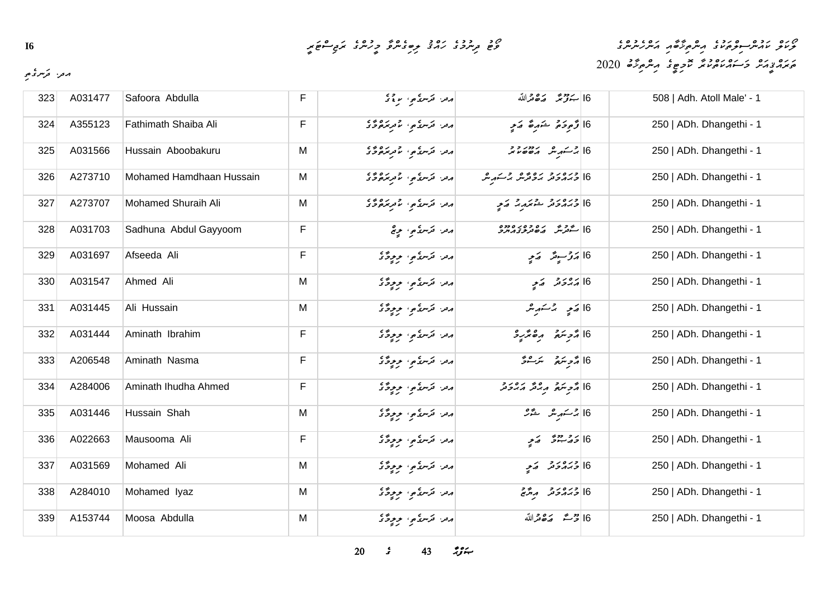*sCw7q7s5w7m< o<n9nOoAw7o< sCq;mAwBoEw7q<m; wBm;vB* م من المرة المرة المرة المرجع المرجع في المركبة 2020<br>مجم*د المريض المربوط المربع المرجع في المراجع المركبة* 

| 323 | A031477 | Safoora Abdulla          | F            | معرا فكالمحص الإلائ            | 6  ج <i>وفر مەھى</i> راللە                               | 508   Adh. Atoll Male' - 1 |
|-----|---------|--------------------------|--------------|--------------------------------|----------------------------------------------------------|----------------------------|
| 324 | A355123 | Fathimath Shaiba Ali     | F            | معرا فكسكوم المعر مكروم        | 6  رُّمِوَمُ شَهرةٌ مَرِ                                 | 250   ADh. Dhangethi - 1   |
| 325 | A031566 | Hussain Aboobakuru       | M            | معرا فكسكوم المعرفكوف          | 6 كەسئەر شەھ مەمىر                                       | 250   ADh. Dhangethi - 1   |
| 326 | A273710 | Mohamed Hamdhaan Hussain | M            | أمعن فكسكامي المعر مكافئ       | 6] درەرد رەپەھ جەشرىگە                                   | 250   ADh. Dhangethi - 1   |
| 327 | A273707 | Mohamed Shuraih Ali      | M            | أمداد فكسرى والمتمر مره والمحا | 16 <i>ديروند ڪمبريز م</i> َب <i>رِ</i>                   | 250   ADh. Dhangethi - 1   |
| 328 | A031703 | Sadhuna Abdul Gayyoom    | $\mathsf F$  | أمعرا فكسكامي المحيض           | 6] گروش پره وه ده ده ده                                  | 250   ADh. Dhangethi - 1   |
| 329 | A031697 | Afseeda Ali              | F            | أمعرا فكالمحص ووادي            | 6   پرُوْسوش کەمچ                                        | 250   ADh. Dhangethi - 1   |
| 330 | A031547 | Ahmed Ali                | M            | معرا فكالمحص المحيضى           | 6   رَرُدَوَرْ   رَمِ                                    | 250   ADh. Dhangethi - 1   |
| 331 | A031445 | Ali Hussain              | M            | أمعرا فكالمحص ووادي            | 6   په په چرکته پر شر                                    | 250   ADh. Dhangethi - 1   |
| 332 | A031444 | Aminath Ibrahim          | $\mathsf{F}$ | أمعرا فكالتكامئ ووقاقى         | 6  مُرْحِسَة <sub>ُ م</sub> ِ مُحَمَّدٍ مِنْ             | 250   ADh. Dhangethi - 1   |
| 333 | A206548 | Aminath Nasma            | $\mathsf F$  | معرا فكالمحص ووقي              | 6  المجر سَرَمْتُمْ سَرَسْتُرْدَّ                        | 250   ADh. Dhangethi - 1   |
| 334 | A284006 | Aminath Ihudha Ahmed     | F            | أرمرا الكرسكاني، الواقع والمح  | 6  مُ <i>جِسَعْہ م</i> ِ بِرُمَّدُ م <i>ُ</i> بِرِحِمْدِ | 250   ADh. Dhangethi - 1   |
| 335 | A031446 | Hussain Shah             | M            | معرا فكالمحص وودي              | 6  پرستہریش شری                                          | 250   ADh. Dhangethi - 1   |
| 336 | A022663 | Mausooma Ali             | $\mathsf F$  | معرا فكالمحص ووقي              | 6  دَرُجَرْ دَمِ                                         | 250   ADh. Dhangethi - 1   |
| 337 | A031569 | Mohamed Ali              | M            | معرا فكالمحص ووقي              | 6   32,25 كەمچە                                          | 250   ADh. Dhangethi - 1   |
| 338 | A284010 | Mohamed Iyaz             | M            | معرا فكالمحص ووقي              | 16 <i>دېروند م</i> ري <i>ز</i> يم                        | 250   ADh. Dhangethi - 1   |
| 339 | A153744 | Moosa Abdulla            | M            | ړېر. ترسرگانو، ترتوڅکی         | 16 فخر مُتَّقَّدَ اللَّهُ                                | 250   ADh. Dhangethi - 1   |

 $20$  *s* **43** *n***<sub>s</sub>***n***<sub>s</sub>**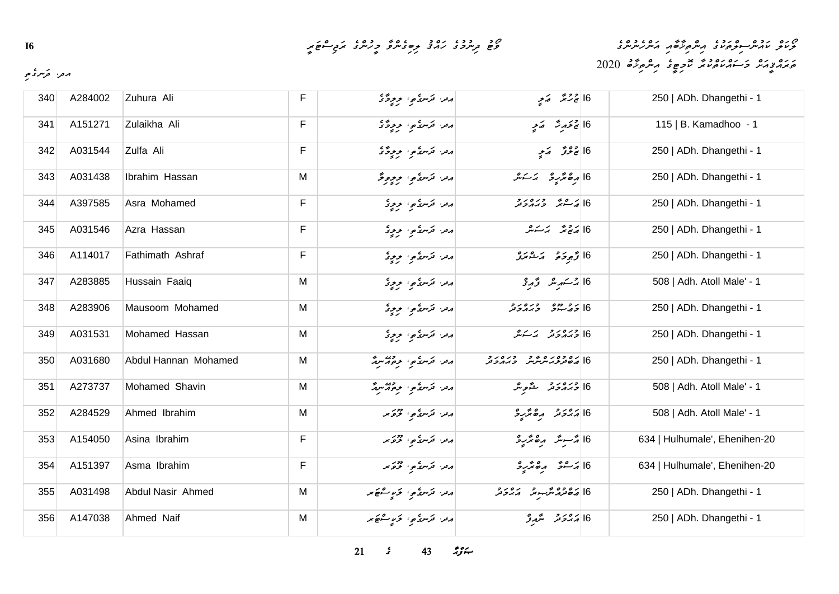*sCw7q7s5w7m< o<n9nOoAw7o< sCq;mAwBoEw7q<m; wBm;vB* م من المرة المرة المرة المرجع المرجع في المركبة 2020<br>مجم*د المريض المربوط المربع المرجع في المراجع المركبة* 

| 340 | A284002 | Zuhura Ali           | F | معرا فكرسونجوا المحتجز ويحرك    | 6  ج جمعہ کھ پر                             | 250   ADh. Dhangethi - 1      |
|-----|---------|----------------------|---|---------------------------------|---------------------------------------------|-------------------------------|
| 341 | A151271 | Zulaikha Ali         | F | معرا فكسكمي ووقرة               | 6  ج تحرر بحج صحيح                          | 115   B. Kamadhoo - 1         |
| 342 | A031544 | Zulfa Ali            | F | أمعرا فكالتكامئ ووقاقى          | 16 يحرُوَّ – رَمِ                           | 250   ADh. Dhangethi - 1      |
| 343 | A031438 | Ibrahim Hassan       | M | أمعن فرسي و و و و ثر            | 6ا <i>رەنزىر ئىسكى</i> ر                    | 250   ADh. Dhangethi - 1      |
| 344 | A397585 | Asra Mohamed         | F | أمعه فكسكامي وولا               | 6  ئەشقە ئەيرەر ئە                          | 250   ADh. Dhangethi - 1      |
| 345 | A031546 | Azra Hassan          | F | أرفرا فكالركاص المرمولى         | 6  پرچ پڑ پر سر کر                          | 250   ADh. Dhangethi - 1      |
| 346 | A114017 | Fathimath Ashraf     | F | أمعه فرسومي وودنى               | 6  ۇجۇڭر مەشىرى                             | 250   ADh. Dhangethi - 1      |
| 347 | A283885 | Hussain Faaiq        | M | أمعه فكالمحص وودة               | 6  پرسنہریش ویہ پی                          | 508   Adh. Atoll Male' - 1    |
| 348 | A283906 | Mausoom Mohamed      | M | أأرمدا الكرسري والمحرج وكالمحرج | 6  كەرمىسى مەرەر د                          | 250   ADh. Dhangethi - 1      |
| 349 | A031531 | Mohamed Hassan       | M | أمعه فكسكامي وولا               | 16 دېږدور برسه پر                           | 250   ADh. Dhangethi - 1      |
| 350 | A031680 | Abdul Hannan Mohamed | M | أمدا فكسكامي ومقاسمة            | 6  رە دەر ەپرى دىرەر د                      | 250   ADh. Dhangethi - 1      |
| 351 | A273737 | Mohamed Shavin       | M | مدر ترسكو، ووكاسم               | 6  <i>دجنہ جو جو مڈم</i> و بھر              | 508   Adh. Atoll Male' - 1    |
| 352 | A284529 | Ahmed Ibrahim        | M | أمامه الكرسري والمحتج مرا       | 6  رَجْرَة مِنْ مَحْرِرْ 3                  | 508   Adh. Atoll Male' - 1    |
| 353 | A154050 | Asina Ibrahim        | F | أمامه الكرسري والمحتج مرا       | 6  م <sup>م</sup> سویٹر بر <b>ھ ب</b> ڑر پڑ | 634   Hulhumale', Ehenihen-20 |
| 354 | A151397 | Asma Ibrahim         | F | أمعرا فرسمة موافقهم             | 6  مَسْعَرَّ مِعْمَدِدْ                     | 634   Hulhumale', Ehenihen-20 |
| 355 | A031498 | Abdul Nasir Ahmed    | M | أأماما الكرسري مي كور المستقصر  | 6  رە دە ئۇسوتۇ بەر دېر                     | 250   ADh. Dhangethi - 1      |
| 356 | A147038 | Ahmed Naif           | M | أأرفرا الكرسري موالو كالمحاصر   | 6  رَبْرُوَتْرَ سَمْدِرْ                    | 250   ADh. Dhangethi - 1      |

 $21$  *s* **43** *n***<sub>s</sub>**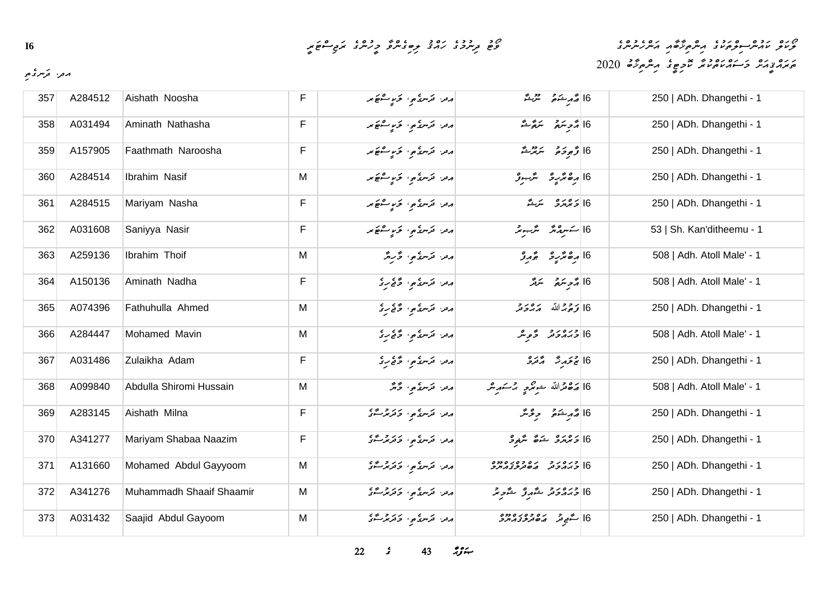*sCw7q7s5w7m< o<n9nOoAw7o< sCq;mAwBoEw7q<m; wBm;vB* م من المرة المرة المرة المرجع المرجع في المركبة 2020<br>مجم*د المريض المربوط المربع المرجع في المراجع المركبة* 

| 357 | A284512 | Aishath Noosha           | F           | أمعرا الكرسكاني المحرم والشكالج مرا      | 6  پَ <i>ہُ بِیْحَمَّۃٍ پُنْ</i> ٹَہُ         | 250   ADh. Dhangethi - 1   |
|-----|---------|--------------------------|-------------|------------------------------------------|-----------------------------------------------|----------------------------|
| 358 | A031494 | Aminath Nathasha         | F           | أماما الكرسرة في المحمد المستحصر         | 6  أُرْحِ سَوَ سَهْرَ مَشَر                   | 250   ADh. Dhangethi - 1   |
| 359 | A157905 | Faathmath Naroosha       | F           | أمعرا الكرسرة في المحموم المستقصر        | 6  ۇجۇڭر ئىرچىشە                              | 250   ADh. Dhangethi - 1   |
| 360 | A284514 | Ibrahim Nasif            | M           | أمعرا فكالمحص كالمحموض وكالمحامر         | 6ا <i>مەھەر بە</i> مەسىر                      | 250   ADh. Dhangethi - 1   |
| 361 | A284515 | Mariyam Nasha            | $\mathsf F$ | أمعرا فكالمحص كمحموض وكالمحالي           | 6   وَيُرْبَرُوْ - سَرَيْتُهُ                 | 250   ADh. Dhangethi - 1   |
| 362 | A031608 | Saniyya Nasir            | F           | أمعرا فكالمتكافئ المحامي فليحامل         | 6  س <i>ے سرمگر</i> مگر ہے۔                   | 53   Sh. Kan'ditheemu - 1  |
| 363 | A259136 | Ibrahim Thoif            | M           | أمان الكرسوني، المحاريس                  | 6ا رەئزىر ئ <sub>ەر</sub> ز                   | 508   Adh. Atoll Male' - 1 |
| 364 | A150136 | Aminath Nadha            | F           | ەلەر كەسكەم ، گەنى ب                     | 6  أ <i>مَّ</i> حِ سَمَّعَ سَنَدَّ            | 508   Adh. Atoll Male' - 1 |
| 365 | A074396 | Fathuhulla Ahmed         | M           | معرا فكسكوم المحفراني                    | 6 كَرْمْ بْرْ لَلَّهُ مَدْرَمْر               | 250   ADh. Dhangethi - 1   |
| 366 | A284447 | Mohamed Mavin            | M           | معرا فكسكوم المحفراني                    | 6   32,25 د د محمومثر                         | 508   Adh. Atoll Male' - 1 |
| 367 | A031486 | Zulaikha Adam            | F           | معرا فكسكوم المحفراني                    | 6  ج تحرم بحر محتركر                          | 250   ADh. Dhangethi - 1   |
| 368 | A099840 | Abdulla Shiromi Hussain  | M           | ما مار مار محمد المحمد                   | 16 كەھەراللە ھەركىز برىسكىرىش                 | 508   Adh. Atoll Male' - 1 |
| 369 | A283145 | Aishath Milna            | $\mathsf F$ | أمان الكرسرة في المركز والمحمد والمحمد   | 6  رَّمَ سَنَعْوَ وِحْسَّرَ                   | 250   ADh. Dhangethi - 1   |
| 370 | A341277 | Mariyam Shabaa Naazim    | $\mathsf F$ | أمان الكرسرة في المركز والمحمد والمحمد   | 6  5 يُرْمَرُ \$ شَرَةٌ مُّرْبِهِ وَ          | 250   ADh. Dhangethi - 1   |
| 371 | A131660 | Mohamed Abdul Gayyoom    | M           | ما مار مارس مارس مارس و المعنى السكرى    | 6/ دره رو بره دوه دوه<br>6/ دبرمرد ماه مرد در | 250   ADh. Dhangethi - 1   |
| 372 | A341276 | Muhammadh Shaaif Shaamir | M           | ما مار المستمرين المستمر المستمر المستمر | 6  دېروند ځېږو ځوبر                           | 250   ADh. Dhangethi - 1   |
| 373 | A031432 | Saajid Abdul Gayoom      | M           | أأرفر الكرسوي المركز والمحمومي           | 6  ستمي تر مصر تصدر ۱۵۶۰ مرد و دوره           | 250   ADh. Dhangethi - 1   |

*22 sC 43 nNw?mS*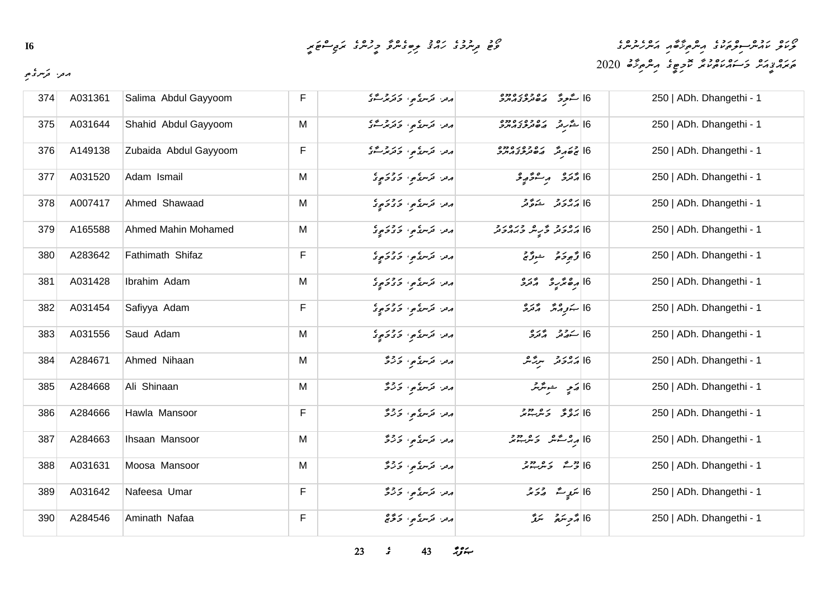*sCw7q7s5w7m< o<n9nOoAw7o< sCq;mAwBoEw7q<m; wBm;vB* م من المرة المرة المرة المرجع المرجع في المركبة 2020<br>مجم*د المريض المربوط المربع المرجع في المراجع المركبة* 

| 374 | A031361 | Salima Abdul Gayyoom  | $\mathsf F$ | أماس الكرسوي المحافر والمحموم                                                                        | 6  ستموځ پره ده ده ده           | 250   ADh. Dhangethi - 1 |
|-----|---------|-----------------------|-------------|------------------------------------------------------------------------------------------------------|---------------------------------|--------------------------|
| 375 | A031644 | Shahid Abdul Gayyoom  | M           | أأرفر الكرسوي المركز والمحمومي                                                                       | 6   شمرین صدی محمد محمد محمد ال | 250   ADh. Dhangethi - 1 |
| 376 | A149138 | Zubaida Abdul Gayyoom | F           | أأدفر المرسوع المراكب والأمراط والمحالي                                                              |                                 | 250   ADh. Dhangethi - 1 |
| 377 | A031520 | Adam Ismail           | M           | معرا فكسكوم المروران                                                                                 | 6  جۇنزى بەشقۇچى                | 250   ADh. Dhangethi - 1 |
| 378 | A007417 | Ahmed Shawaad         | M           | معرا فكسكوم المروران                                                                                 | 6   پَرُوَتَرُ شَوَّتْرُ        | 250   ADh. Dhangethi - 1 |
| 379 | A165588 | Ahmed Mahin Mohamed   | M           | معرا فكالمحص وكالمحصي                                                                                | 16 كەبرى قەر ئەر ئەس ئەر ئە     | 250   ADh. Dhangethi - 1 |
| 380 | A283642 | Fathimath Shifaz      | F           | معرا فكسكو المروري                                                                                   | 6  وَّجِرْحَمْ ۖ شِوَرٌّ جَ     | 250   ADh. Dhangethi - 1 |
| 381 | A031428 | Ibrahim Adam          | M           | أمعرا فكسكوم المروران                                                                                | 6  ارەتمەر ئەرقىدى              | 250   ADh. Dhangethi - 1 |
| 382 | A031454 | Safiyya Adam          | F           | معرا فكالمحمو وكالمحمولي                                                                             | 6  جوړه ژورد                    | 250   ADh. Dhangethi - 1 |
| 383 | A031556 | Saud Adam             | M           | معرا فكالمحص وكالمحافظ                                                                               | 6  يەچەقىر ئەنىرى               | 250   ADh. Dhangethi - 1 |
| 384 | A284671 | Ahmed Nihaan          | M           | أأرمدا الكرسري والمركز كالمراجح                                                                      | 16 كەبرى قىر سېرتىر             | 250   ADh. Dhangethi - 1 |
| 385 | A284668 | Ali Shinaan           | M           | أأرمدا الكرسري والمركز كالمراجح                                                                      | 6  کەمو ھوشرىتر                 | 250   ADh. Dhangethi - 1 |
| 386 | A284666 | Hawla Mansoor         | F           | أأرمن الكرسري والمراكب                                                                               | 6  ئەنۇق كەشرىيىتىر             | 250   ADh. Dhangethi - 1 |
| 387 | A284663 | Ihsaan Mansoor        | M           | أأرمن الكرسري والمركزة                                                                               | 6  مەشكەر كەش <i>ەدە</i> ر      | 250   ADh. Dhangethi - 1 |
| 388 | A031631 | Moosa Mansoor         | M           | أأرفر الكرسوم المروحي                                                                                | 6   ج مئے کے شریفیز             | 250   ADh. Dhangethi - 1 |
| 389 | A031642 | Nafeesa Umar          | F           | أأرمدا الكرسري والمركز كالمراجح                                                                      | 6   سَمِيتٌ - 25 پُر            | 250   ADh. Dhangethi - 1 |
| 390 | A284546 | Aminath Nafaa         | F           | أمان الكرس والمحمد المراكب والمحمدة المحمدة المحمدة المحمدة المحمدة والمحمدة المحمدة المحمدة والمحمد | 6  مجمع مستقم                   | 250   ADh. Dhangethi - 1 |

**23** *s* **43** *z***<sub>***f***</sub>**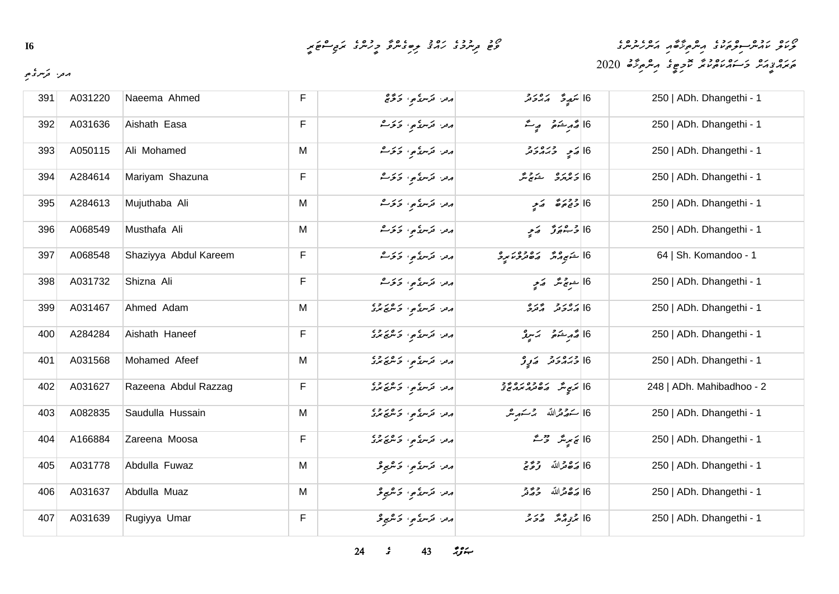*sCw7q7s5w7m< o<n9nOoAw7o< sCq;mAwBoEw7q<m; wBm;vB* م من المرة المرة المرة المرجع المرجع في المركبة 2020<br>مجم*د المريض المربوط المربع المرجع في المراجع المركبة* 

| 391 | A031220 | Naeema Ahmed          | F           | أرفرا فكسكوم أوكركم             |                                     | 250   ADh. Dhangethi - 1  |
|-----|---------|-----------------------|-------------|---------------------------------|-------------------------------------|---------------------------|
| 392 | A031636 | Aishath Easa          | F           | أماما الكرسومي المكافحات        | 6ا گەرىشقى بوگ                      | 250   ADh. Dhangethi - 1  |
| 393 | A050115 | Ali Mohamed           | M           | أمعن فكسكامي كالمحاكم           | 6  رَمِي دَيَرُورُدَ                | 250   ADh. Dhangethi - 1  |
| 394 | A284614 | Mariyam Shazuna       | $\mathsf F$ | أماس الكرسومي الماكوك           | 6   كانترىرى مەم ئىگە ئىگە          | 250   ADh. Dhangethi - 1  |
| 395 | A284613 | Mujuthaba Ali         | M           | أماما الكرسيمي المكافحات        | 6  وَقِهْرَةٌ صَعِ                  | 250   ADh. Dhangethi - 1  |
| 396 | A068549 | Musthafa Ali          | M           | أمعن فكسكفي كالمحاكم            | 6  3جوري صَعِ                       | 250   ADh. Dhangethi - 1  |
| 397 | A068548 | Shaziyya Abdul Kareem | F           | أمعرا الكرسومي المحاكم والمحاشر | 6  شەيرە ئەھەر دەرىم                | 64   Sh. Komandoo - 1     |
| 398 | A031732 | Shizna Ali            | F           | أماس الكرسومي الماكوك           | 6  ڪي مگر ڪيو                       | 250   ADh. Dhangethi - 1  |
| 399 | A031467 | Ahmed Adam            | M           | معرا فكسكام المحامرة والمحارج   | 6  پَرُوَتْرِ کُرُوَدُ              | 250   ADh. Dhangethi - 1  |
| 400 | A284284 | Aishath Haneef        | F           | معرا فكسكام المحامرة والمحارج   | 6ا گەرىشىقى كەسپەتى                 | 250   ADh. Dhangethi - 1  |
| 401 | A031568 | Mohamed Afeef         | M           | معرا فكسكوم وتشييج مروا         | 16 <i>جەنگەنىڭ مۇي</i> ۇ            | 250   ADh. Dhangethi - 1  |
| 402 | A031627 | Razeena Abdul Razzag  | F           | معرا فرسي والمستعمر والمحمد     | 6] تريپ تر پر ده دره د د            | 248   ADh. Mahibadhoo - 2 |
| 403 | A082835 | Saudulla Hussain      | M           | معرا فرسي والمستعمر والمحمد     | 16 كەرتىراللە جىسكەرىش              | 250   ADh. Dhangethi - 1  |
| 404 | A166884 | Zareena Moosa         | F           | معرا فرسي والمستعمر             | 6  ئەبەبىر ئۇرم                     | 250   ADh. Dhangethi - 1  |
| 405 | A031778 | Abdulla Fuwaz         | M           | معرا فكسكمي كالمهوفى            | 6  رَصْحَراللّه وَحَرَمَ            | 250   ADh. Dhangethi - 1  |
| 406 | A031637 | Abdulla Muaz          | M           | معرا فكسكوه وكرهي               | 16 كەھىراللە جۇڭر                   | 250   ADh. Dhangethi - 1  |
| 407 | A031639 | Rugiyya Umar          | F           | أماما الكرسكاني المحاشي فخر     | 6  بر <sub>نجو</sub> مر محمد المحمد | 250   ADh. Dhangethi - 1  |

*24 sC 43 nNw?mS*

**م**حر بحميد عم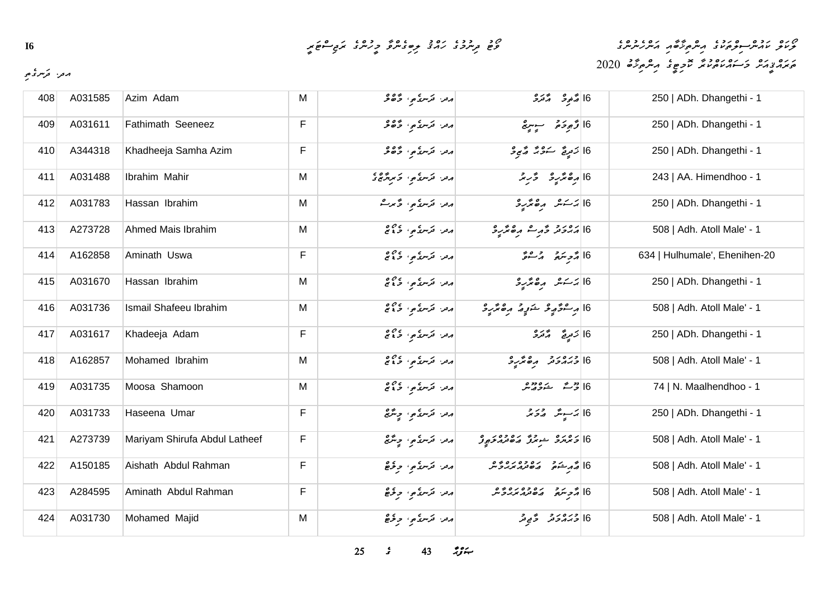*sCw7q7s5w7m< o<n9nOoAw7o< sCq;mAwBoEw7q<m; wBm;vB* م من المرة المرة المرة المرجع المرجع في المركبة 2020<br>مجم*د المريض المربوط المربع المرجع في المراجع المركبة* 

| 408 | A031585 | Azim Adam                     | M           | ړېن ترسري په د څوگو        | 6  مَّ <sub>مُو</sub> تَر مُسَرَّحَر   | 250   ADh. Dhangethi - 1      |
|-----|---------|-------------------------------|-------------|----------------------------|----------------------------------------|-------------------------------|
| 409 | A031611 | Fathimath Seeneez             | $\mathsf F$ | معرا فكسكامي المحص         | 6  وَجوحَةُ سِيِّسِيَّ                 | 250   ADh. Dhangethi - 1      |
| 410 | A344318 | Khadheeja Samha Azim          | $\mathsf F$ | أأرمن فرس والمحموم         | 6  زَمَرِیحُ سَوَرُ مُرَّمِ وَ         | 250   ADh. Dhangethi - 1      |
| 411 | A031488 | Ibrahim Mahir                 | M           | مدر فرسر و مرموم           | 6  م <i>وھنڑرِ و</i> ڈریز              | 243   AA. Himendhoo - 1       |
| 412 | A031783 | Hassan Ibrahim                | M           |                            | 6   ئەسەمد <i>ى مەھەترىي</i> ى         | 250   ADh. Dhangethi - 1      |
| 413 | A273728 | Ahmed Mais Ibrahim            | M           | معر ترس و وه و             | 16 <i>גُرْدَوْر دُوتْ وەڭرى</i> دۇ     | 508   Adh. Atoll Male' - 1    |
| 414 | A162858 | Aminath Uswa                  | F           | معرا فكسكام المحفظ         | 6  مَّرْجِبَعْدُ مِنْ مَشْرَةً         | 634   Hulhumale', Ehenihen-20 |
| 415 | A031670 | Hassan Ibrahim                | M           | أأدفر الكرس والمنام والأمج | 6   ئەسەمدىر مەھەمدىرى                 | 250   ADh. Dhangethi - 1      |
| 416 | A031736 | Ismail Shafeeu Ibrahim        | M           | أمعرا فكسكامي المحفظ       | 6  مِــْمُوَّمِيوْ شَوِرَ مِـھُتَّرِدْ | 508   Adh. Atoll Male' - 1    |
| 417 | A031617 | Khadeeja Adam                 | F           | أمدار الكرسري والمنامي     | 6  كَسِيعٌ - مُرْتَرَدُ                | 250   ADh. Dhangethi - 1      |
| 418 | A162857 | Mohamed Ibrahim               | M           | معر ترس و وه و             | 6   3 20 20 م م محمد عمر علام 16       | 508   Adh. Atoll Male' - 1    |
| 419 | A031735 | Moosa Shamoon                 | M           | معر ترسعي وه               | 6  جُ شَرُو <i>دِيمْر</i>              | 74   N. Maalhendhoo - 1       |
| 420 | A031733 | Haseena Umar                  | $\mathsf F$ | أمعرا فكسكامي ويترجى       | 6  ئەسپىئر    ئەخەنز                   | 250   ADh. Dhangethi - 1      |
| 421 | A273739 | Mariyam Shirufa Abdul Latheef | $\mathsf F$ | أمعرا فكسكامي ويترجح       | 6   د مرمره سومروٌ ما معدم محبورٌ و    | 508   Adh. Atoll Male' - 1    |
| 422 | A150185 | Aishath Abdul Rahman          | $\mathsf F$ | أمعه فكسكمي وكحظ           |                                        | 508   Adh. Atoll Male' - 1    |
| 423 | A284595 | Aminath Abdul Rahman          | $\mathsf F$ | أمعن فكسكوه وكرهج          |                                        | 508   Adh. Atoll Male' - 1    |
| 424 | A031730 | Mohamed Majid                 | M           | معرا فكسكي وتحظ            | 6   <i>2223 د د گاه</i> قر             | 508   Adh. Atoll Male' - 1    |

*25 sC 43 nNw?mS*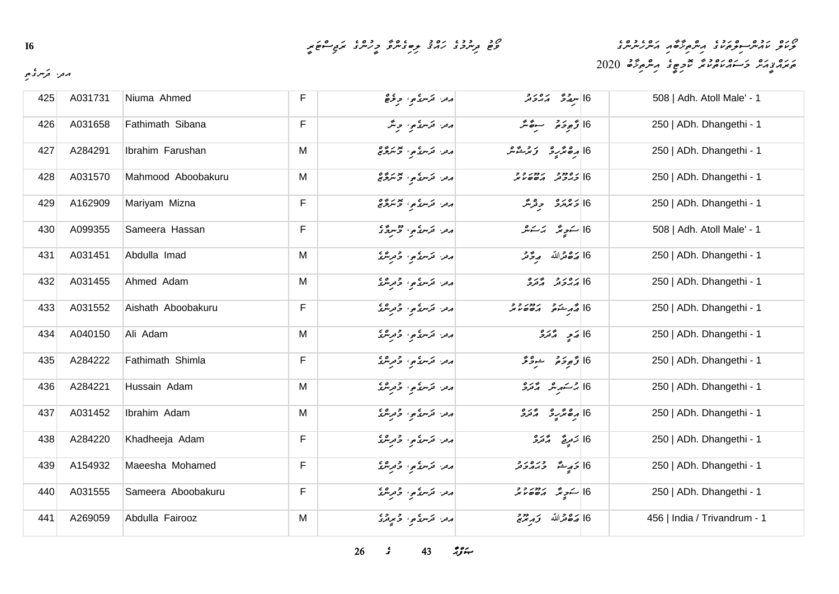*sCw7q7s5w7m< o<n9nOoAw7o< sCq;mAwBoEw7q<m; wBm;vB* م من المسجد المسجد المسجد المسجد المسجد العام 2020<br>مجم*د المسجد المسجد المستجد المسجد المسجد المسجد المسجد المسجد المسجد المسجد المسجد المسجد المسجد المسجد المسجد* 

| 425 | A031731 | Niuma Ahmed        | F           | أمعرا فكسكوم وكركع                 | 6   س <i>مہ ڈیم می</i> ر محمد م | 508   Adh. Atoll Male' - 1   |
|-----|---------|--------------------|-------------|------------------------------------|---------------------------------|------------------------------|
| 426 | A031658 | Fathimath Sibana   | F           | أمان الكرسري والمحمد المحر المحر   | 6   وَجوحَهُ مُسِقَّعَهُ        | 250   ADh. Dhangethi - 1     |
| 427 | A284291 | Ibrahim Farushan   | M           | أمامرا الكرسري والمحامرة في المحرج | 6ا <i>مەمگىرى تىم</i> ىشىر      | 250   ADh. Dhangethi - 1     |
| 428 | A031570 | Mahmood Aboobakuru | M           | أماس الكرسري والمحامرة في          | 522222222                       | 250   ADh. Dhangethi - 1     |
| 429 | A162909 | Mariyam Mizna      | F           | أمامرا الكرسري والمحامرة في المحرج | 6   <i>5 بمبرڈ ج</i> ویٹر       | 250   ADh. Dhangethi - 1     |
| 430 | A099355 | Sameera Hassan     | F           | أمعها فكالتكافئ المحالوقي          | 6  سَمِرٍ مَرْ بَرَسَسْ         | 508   Adh. Atoll Male' - 1   |
| 431 | A031451 | Abdulla Imad       | M           | أمامرا الكرسري وأكرام والمرس       | 6ا رَصْحْرَاللّهُ مِعْرَضْ      | 250   ADh. Dhangethi - 1     |
| 432 | A031455 | Ahmed Adam         | M           | أمامرا الكرسري وأكرام والمرس       | 6  پروژ پروژ                    | 250   ADh. Dhangethi - 1     |
| 433 | A031552 | Aishath Aboobakuru | $\mathsf F$ | أمعرا فكسكوم ومحرشك                | $52222$ $16$                    | 250   ADh. Dhangethi - 1     |
| 434 | A040150 | Ali Adam           | M           | أمعرا فكسكوها المحفر بملح          | 6ا رَمِي دَّترَدُ               | 250   ADh. Dhangethi - 1     |
| 435 | A284222 | Fathimath Shimla   | $\mathsf F$ | أمامرا الكرسري وأكرام والمرس       | 6  ۇرجۇ ئىرقى ئىس               | 250   ADh. Dhangethi - 1     |
| 436 | A284221 | Hussain Adam       | M           | أمامرا الكرسري وأكرام والمرس       | 6  پرسکر مگر مگر مگر محمد       | 250   ADh. Dhangethi - 1     |
| 437 | A031452 | Ibrahim Adam       | M           | معرا فكسكوم وتحيين                 | 16 م <i>ەھمىچى</i> مەمە         | 250   ADh. Dhangethi - 1     |
| 438 | A284220 | Khadheeja Adam     | F           | أمعرا فكسكوم وتحرشك                | 6  كَتَبِيعٌ - مُرْتَدَدُ       | 250   ADh. Dhangethi - 1     |
| 439 | A154932 | Maeesha Mohamed    | F           | أمامرا الكرسري وأكافر والمريح      | 6   قەرىشقا ئەتمەد تىر          | 250   ADh. Dhangethi - 1     |
| 440 | A031555 | Sameera Aboobakuru | F           | معرا فكسكوا وتحييمه                | 6 ڪوپر روحو پر                  | 250   ADh. Dhangethi - 1     |
| 441 | A269059 | Abdulla Fairooz    | M           | مدر ترسکو، و پرترو                 | 16 كەھەرللە <i>ق</i> ويەتتى     | 456   India / Trivandrum - 1 |

 $26$  *s* **43** *n***<sub>s</sub>***n***<sub>s</sub>**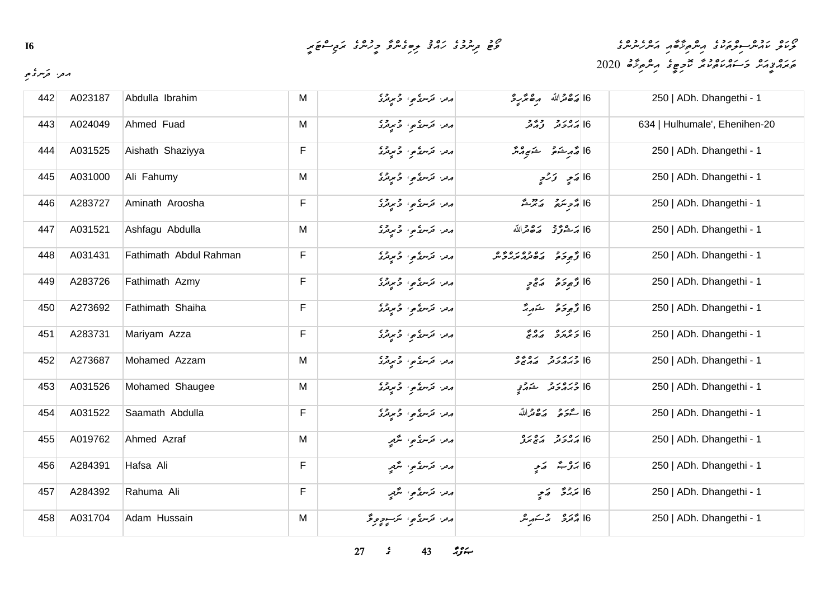*sCw7q7s5w7m< o<n9nOoAw7o< sCq;mAwBoEw7q<m; wBm;vB* م من المرة المرة المرة المرجع المراجع المراجع المراجع المراجع المراجع المراجع المراجع المراجع المراجع المراجع<br>مرين المراجع المراجع المرجع المراجع المراجع المراجع المراجع المراجع المراجع المراجع المراجع المراجع المراجع ال

| 442 | A023187 | Abdulla Ibrahim        | M           | أماص فكأمرغ والمحافيرة والمحمدة                                                                    | 16 كەنداللە م <i>ەھەترىي</i> 3                                | 250   ADh. Dhangethi - 1      |
|-----|---------|------------------------|-------------|----------------------------------------------------------------------------------------------------|---------------------------------------------------------------|-------------------------------|
| 443 | A024049 | Ahmed Fuad             | M           | أمعرا فكسكوم ومروري                                                                                | 6  پرژی و وی                                                  | 634   Hulhumale', Ehenihen-20 |
| 444 | A031525 | Aishath Shaziyya       | F           | أأرمدا الكرسركا حي أوراج والمرادري                                                                 | 6  مەرىشەتمە ئىشمىرەتمە                                       | 250   ADh. Dhangethi - 1      |
| 445 | A031000 | Ali Fahumy             | M           | أمعرا فكسكامي المحامرون                                                                            | 16 كقيم ترترمي                                                | 250   ADh. Dhangethi - 1      |
| 446 | A283727 | Aminath Aroosha        | F           | أمعرا فكسكامي المحميص                                                                              | 6ا ئۇچ ئىن ئەنزىشە                                            | 250   ADh. Dhangethi - 1      |
| 447 | A031521 | Ashfagu Abdulla        | M           | أمعرا فكسكوم ومروري                                                                                | 16 كەش <i>ۇقى مەھە</i> گەللە                                  | 250   ADh. Dhangethi - 1      |
| 448 | A031431 | Fathimath Abdul Rahman | $\mathsf F$ |                                                                                                    | 6ا ژُھِ دَمَ مُ مُقْتَدِمُ مَدَهُ مَدَّ                       | 250   ADh. Dhangethi - 1      |
| 449 | A283726 | Fathimath Azmy         | $\mathsf F$ | أمعرا فكسكامي المحامرون                                                                            | 6   وَجوحه وَج حِ                                             | 250   ADh. Dhangethi - 1      |
| 450 | A273692 | Fathimath Shaiha       | $\mathsf F$ | أمعه فكسكوه ومرقرى                                                                                 | 6  وَّجِوحَةٌ شَهْرِبَّہُ                                     | 250   ADh. Dhangethi - 1      |
| 451 | A283731 | Mariyam Azza           | F           | معرا فكسكوم ومردى                                                                                  | $\begin{vmatrix} 2 & 2 & 2 & 2 \ 2 & 2 & 2 & 2 \end{vmatrix}$ | 250   ADh. Dhangethi - 1      |
| 452 | A273687 | Mohamed Azzam          | M           | ما مار مارس الله عليه و مرسم الله عليه و مرسم الله عليه و الله عليه الله عليه و الله عليه و الله ع | $3222$ $16$                                                   | 250   ADh. Dhangethi - 1      |
| 453 | A031526 | Mohamed Shaugee        | M           | أرى ترسركمي كرميري                                                                                 | 6   32,25 شَمَّ دَمَّةٍ                                       | 250   ADh. Dhangethi - 1      |
| 454 | A031522 | Saamath Abdulla        | $\mathsf F$ | مدر ترسد و تردد                                                                                    | 16 جُوَمَ صَ <b>صْ</b> مَرْاللّه                              | 250   ADh. Dhangethi - 1      |
| 455 | A019762 | Ahmed Azraf            | M           | أرمرا الكرسريجي الكرمي                                                                             | 16 كەبرى قىرىمى كىلىمى كىلىمى ئىر                             | 250   ADh. Dhangethi - 1      |
| 456 | A284391 | Hafsa Ali              | $\mathsf F$ | أرفرا الكرسرنج واسترقبي                                                                            | 6  پَرُمْ کَمَ وَ ک                                           | 250   ADh. Dhangethi - 1      |
| 457 | A284392 | Rahuma Ali             | $\mathsf F$ | أماص فكالمتكافئ التكافي                                                                            | 6  يَرْرُدُّ – رَمِّي                                         | 250   ADh. Dhangethi - 1      |
| 458 | A031704 | Adam Hussain           | M           | أمعرا فكالمحكم واستروح فخر                                                                         | 16 مرتری بر شهر مگر                                           | 250   ADh. Dhangethi - 1      |

*27 sC 43 nNw?mS*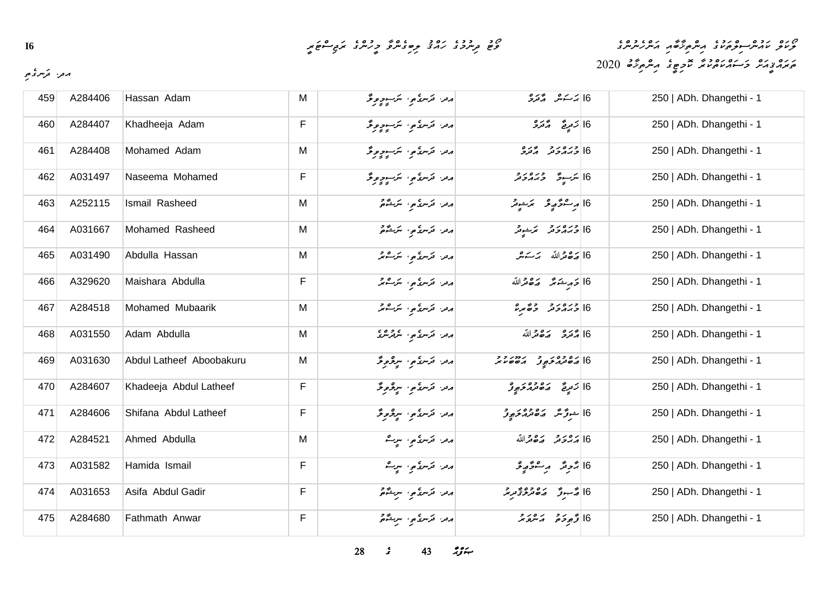*sCw7q7s5w7m< o<n9nOoAw7o< sCq;mAwBoEw7q<m; wBm;vB* م من المرة المرة المرة المرجع المراجع المراجع المراجع المراجع المراجع المراجع المراجع المراجع المراجع المراجع<br>مرين المراجع المراجع المرجع المراجع المراجع المراجع المراجع المراجع المراجع المراجع المراجع المراجع المراجع ال

| 459 | A284406 | Hassan Adam              | M           | رىر. ئەس <sub>ك</sub> ىي ئەسپ <sub>ى</sub> رى ئ                                                     | 6  پرستر مرتزر                                    | 250   ADh. Dhangethi - 1 |
|-----|---------|--------------------------|-------------|-----------------------------------------------------------------------------------------------------|---------------------------------------------------|--------------------------|
| 460 | A284407 | Khadheeja Adam           | F           | أمعرا فكالمحكم واستروح فخر                                                                          | 6   كَتَمِيعٌ - مُرْتَمَرْدُ                      | 250   ADh. Dhangethi - 1 |
| 461 | A284408 | Mohamed Adam             | M           | أمعرا فكالمحكم واستروح فخر                                                                          | 6   ج:پروتر مجموع                                 | 250   ADh. Dhangethi - 1 |
| 462 | A031497 | Naseema Mohamed          | F           | أمعرا فكالمحص الكرسوح وكل                                                                           | 16 يَرَسِونُ وَبَرُودُورُ                         | 250   ADh. Dhangethi - 1 |
| 463 | A252115 | Ismail Rasheed           | M           | ما مار الأرس من الأرس و محرك المركز من المركز من المركز المركز المركز المركز المركز المركز المركز ا | 6ا پرىشۇرپۇ م <sub>ىكشو</sub> تر                  | 250   ADh. Dhangethi - 1 |
| 464 | A031667 | Mohamed Rasheed          | M           | أماص الكرسري من الكرسينجي والمحمد                                                                   | 16 كەبرى كى ترىنىدىر                              | 250   ADh. Dhangethi - 1 |
| 465 | A031490 | Abdulla Hassan           | M           | أماما الكرسري والكرسي                                                                               | 16 كەڭ قىراللە بەسەش                              | 250   ADh. Dhangethi - 1 |
| 466 | A329620 | Maishara Abdulla         | F           | أمان الكرسي في الكرسي في                                                                            | 6  قەمەشقەتمە <b>ئەھ</b> قراللە                   | 250   ADh. Dhangethi - 1 |
| 467 | A284518 | Mohamed Mubaarik         | M           | أأرفر الكرسوي الكرسفيمر                                                                             | 6   ج: جرى حرم حرم عن                             | 250   ADh. Dhangethi - 1 |
| 468 | A031550 | Adam Abdulla             | M           | ماحر الكرسري والمحمد المراجع                                                                        | 16 مُرْمَرْ مَەمْراللّه                           | 250   ADh. Dhangethi - 1 |
| 469 | A031630 | Abdul Latheef Aboobakuru | M           | أمعرا فكسكاموا البرقروقخر                                                                           | 6  גפנת בת כ משטעית                               | 250   ADh. Dhangethi - 1 |
| 470 | A284607 | Khadeeja Abdul Latheef   | F           | أمعرا فكسكني سيرفرونخر                                                                              | 6  دَمِيعٌ <i>مَەقەمْ قەرە</i>                    | 250   ADh. Dhangethi - 1 |
| 471 | A284606 | Shifana Abdul Latheef    | $\mathsf F$ | أمعه فكسكني سيكوفر                                                                                  | 6   خوڙ مٿر ص <i>حود جو و</i> ح                   | 250   ADh. Dhangethi - 1 |
| 472 | A284521 | Ahmed Abdulla            | M           | أماص فكأسر كمحمود أأسرب المحمد                                                                      | 16 <i>ב</i> بر <del>ون</del> ر <b>مَ</b> ه قرالله | 250   ADh. Dhangethi - 1 |
| 473 | A031582 | Hamida Ismail            | F           | ماص: افکرسری جا سریا ک                                                                              | 6  جُعِعَدَ بِرِڪْمَ بِهِ عِ                      | 250   ADh. Dhangethi - 1 |
| 474 | A031653 | Asifa Abdul Gadir        | F           | أمان الكرسريمي المريشومي                                                                            | 16 م <sup>ۇ</sup> سى <i>رۇ مەھەرى قويى</i> ر      | 250   ADh. Dhangethi - 1 |
| 475 | A284680 | Fathmath Anwar           | F           | ما قرسكام المستوفر                                                                                  | 6  ۇجوڭخۇ ئەشھەتمە                                | 250   ADh. Dhangethi - 1 |

**28** *s* **43** *n***<sub>s</sub>***n***<sub>s</sub>**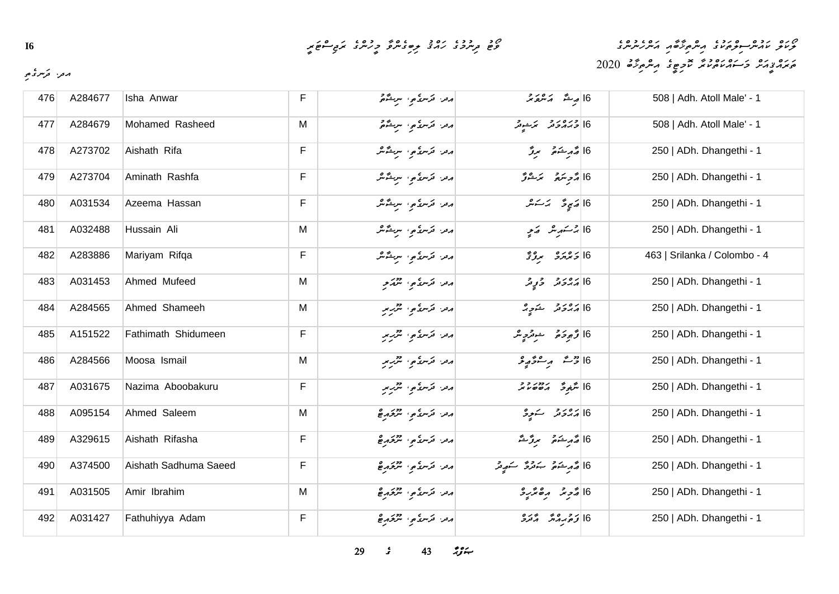*sCw7q7s5w7m< o<n9nOoAw7o< sCq;mAwBoEw7q<m; wBm;vB* م من المرة المرة المرة المرجع المراجع المراجع المراجع المراجع المراجع المراجع المراجع المراجع المراجع المراجع<br>مرين المراجع المراجع المرجع المراجع المراجع المراجع المراجع المراجع المراجع المراجع المراجع المراجع المراجع ال

| 476 | A284677 | Isha Anwar            | F           | ەقرا قەسمى ھاي سرىشى ئە             | 6  مەشقە ئەشرى ئىر                      | 508   Adh. Atoll Male' - 1   |
|-----|---------|-----------------------|-------------|-------------------------------------|-----------------------------------------|------------------------------|
| 477 | A284679 | Mohamed Rasheed       | M           | ما مار انگرسری به سرستگاهی          | 16 <i>ۇنەۋى تىپىدى</i> گ                | 508   Adh. Atoll Male' - 1   |
| 478 | A273702 | Aishath Rifa          | $\mathsf F$ | أأرفرا افكرسركا حي المستوسي المراجي | 6  مەم شەقر بىرتى                       | 250   ADh. Dhangethi - 1     |
| 479 | A273704 | Aminath Rashfa        | $\mathsf F$ | ما قراس الله عن سر میگر می          | 6ا ئۇج ئىز ئەيشۇر                       | 250   ADh. Dhangethi - 1     |
| 480 | A031534 | Azeema Hassan         | F           | ماص: الكرسرى في المسير السيس المرض  | 6ا ھَي ۽ سَنگر                          | 250   ADh. Dhangethi - 1     |
| 481 | A032488 | Hussain Ali           | M           | أأرفر الكرسريجي المرتبشكر           | 6  پرڪيريش ڪيو                          | 250   ADh. Dhangethi - 1     |
| 482 | A283886 | Mariyam Rifqa         | $\mathsf F$ | أأرفرا افكرسركا حي المستوسي المراجي | 6   <i>5 بروڈڈ بروڈڈ</i>                | 463   Srilanka / Colombo - 4 |
| 483 | A031453 | Ahmed Mufeed          | M           | أمامن الكرسري والمجميز              | 16 كەبرى قىمى قىلى قىلىنى ئال           | 250   ADh. Dhangethi - 1     |
| 484 | A284565 | Ahmed Shameeh         | M           | أأمامه الكرسي مواليم المتزرجر       | 16 <i>ב ب</i> حقر شو <i>چ</i> ڑ         | 250   ADh. Dhangethi - 1     |
| 485 | A151522 | Fathimath Shidumeen   | $\mathsf F$ | ماحرز الكرسوكي في التركز من         | 6   <i>وُجوحَمَ</i> ہو <i>مُوچ</i> ھ    | 250   ADh. Dhangethi - 1     |
| 486 | A284566 | Moosa Ismail          | M           | مامر : فكاملكا في التركيب           | 6   جُ شَہ مِ سُنَوَّہِ بِحَر           | 250   ADh. Dhangethi - 1     |
| 487 | A031675 | Nazima Aboobakuru     | $\mathsf F$ | أمعرا فكالمتقاضي التمرس             | 16 مَّنْجِعَ بِرَوْحِ مِنْ الْمُحَمَّدِ | 250   ADh. Dhangethi - 1     |
| 488 | A095154 | Ahmed Saleem          | M           | أمعرا فكالتكامئ الترقيدة            | 16 كەردى ئىموق                          | 250   ADh. Dhangethi - 1     |
| 489 | A329615 | Aishath Rifasha       | F           | أمعن فكسكامي التزقيد                | 6ا <i>مُذہب خوشہ مروَّ</i> مُ           | 250   ADh. Dhangethi - 1     |
| 490 | A374500 | Aishath Sadhuma Saeed | $\mathsf F$ | أمعرا فكسكامي المتحكم               | 6   مەم ئىچىم كىيەت ئىكرىتى ئى          | 250   ADh. Dhangethi - 1     |
| 491 | A031505 | Amir Ibrahim          | M           | أمعرا فكسكوه المتحمدة               | 16 <i>مزجر م</i> ھٹر <i>ب</i> و         | 250   ADh. Dhangethi - 1     |
| 492 | A031427 | Fathuhiyya Adam       | F           | مدر ترسكي شركه                      | 6  زَیۡ دِیۡ مِرۡ اللہَ دَمِدَهِ        | 250   ADh. Dhangethi - 1     |

*29 sC 43 nNw?mS*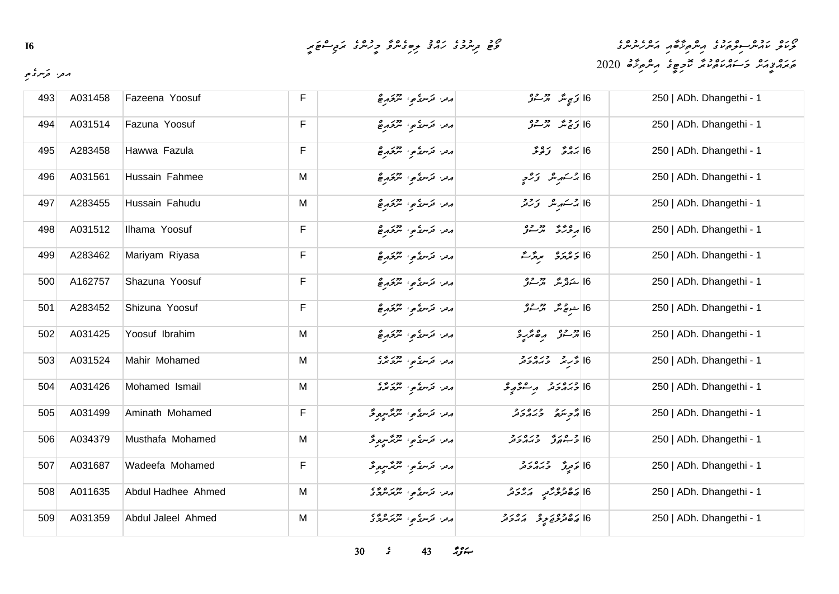*sCw7q7s5w7m< o<n9nOoAw7o< sCq;mAwBoEw7q<m; wBm;vB* م من المسجد المسجد المسجد المسجد المسجد العام 2020<br>مجم*د المسجد المسجد المستجد المسجد المسجد المسجد المسجد المسجد المسجد المسجد المسجد المسجد المسجد المسجد المسجد* 

| 493 | A031458 | Fazeena Yoosuf     | F           | معرا فكسكوا لتركرم            | 6  ئ <i>ۈيىگە</i> ت <i>ېرىشۇ</i>          | 250   ADh. Dhangethi - 1 |
|-----|---------|--------------------|-------------|-------------------------------|-------------------------------------------|--------------------------|
| 494 | A031514 | Fazuna Yoosuf      | F           | مدر تكسكي شركم                | 6  ئۈيم شەھرىسىز                          | 250   ADh. Dhangethi - 1 |
| 495 | A283458 | Hawwa Fazula       | F           | مدر ترسكي شركه ه              | 6  ئەپرىق   ئەنھەتى                       | 250   ADh. Dhangethi - 1 |
| 496 | A031561 | Hussain Fahmee     | M           | مدر ترسكي شركه                | 6  پرستمبر میں ت <i>و</i> ر <sub>حی</sub> | 250   ADh. Dhangethi - 1 |
| 497 | A283455 | Hussain Fahudu     | M           | مدر ترسكي، تركم مع            | 6  بڑےم <i>ہ بٹر</i> تو تر تھ             | 250   ADh. Dhangethi - 1 |
| 498 | A031512 | Ilhama Yoosuf      | F           | معرا فكاللحص المتحمدة         | 6  مرعرتز میں حیو                         | 250   ADh. Dhangethi - 1 |
| 499 | A283462 | Mariyam Riyasa     | F           | مدر ترسكي شركه                | 6   دیرہری ہرمز ہے                        | 250   ADh. Dhangethi - 1 |
| 500 | A162757 | Shazuna Yoosuf     | F           | ماس ترسري المتهجم هي          | 6ا ڪوٺرشر پڙيو                            | 250   ADh. Dhangethi - 1 |
| 501 | A283452 | Shizuna Yoosuf     | F           | مدر ترسد و مرکز و             | 6  ہے پیم پر چھر تھر                      | 250   ADh. Dhangethi - 1 |
| 502 | A031425 | Yoosuf Ibrahim     | M           | مدر ترسكي شركه                | 6  پرسنو م <i>ەھترى</i> دى                | 250   ADh. Dhangethi - 1 |
| 503 | A031524 | Mahir Mohamed      | M           | مدر ترسد و مورد و د           | 6   گەرىتمە ئەيمەد تىر                    | 250   ADh. Dhangethi - 1 |
| 504 | A031426 | Mohamed Ismail     | M           | أمان الكرسري والمتهج محرى     | 16 <i>ڊيروند پر شوگه</i> و                | 250   ADh. Dhangethi - 1 |
| 505 | A031499 | Aminath Mohamed    | $\mathsf F$ | مدر فرسومي الرحم سيوفى        | 6 أمر من من المعرفة الم                   | 250   ADh. Dhangethi - 1 |
| 506 | A034379 | Musthafa Mohamed   | M           | مدر فرسومي الرحم سيوفى        | 6   د ۱۵۷۰ وره درو                        | 250   ADh. Dhangethi - 1 |
| 507 | A031687 | Wadeefa Mohamed    | $\mathsf F$ | أمعه فكسكامي المركز سيوكل     | 6   وَمَدِوَّ = 3 دُمَّرَوْمَر            | 250   ADh. Dhangethi - 1 |
| 508 | A011635 | Abdul Hadhee Ahmed | M           | مدر فرسره وره وده             | 16 كەھ بورگە بەر كەردىر                   | 250   ADh. Dhangethi - 1 |
| 509 | A031359 | Abdul Jaleel Ahmed | M           | أماما الكرسري والمتحر المرادي | 16 كەھىرى يوغ   كەردىر                    | 250   ADh. Dhangethi - 1 |

**30** *s* **43** *nS**i***<sub>s</sub>**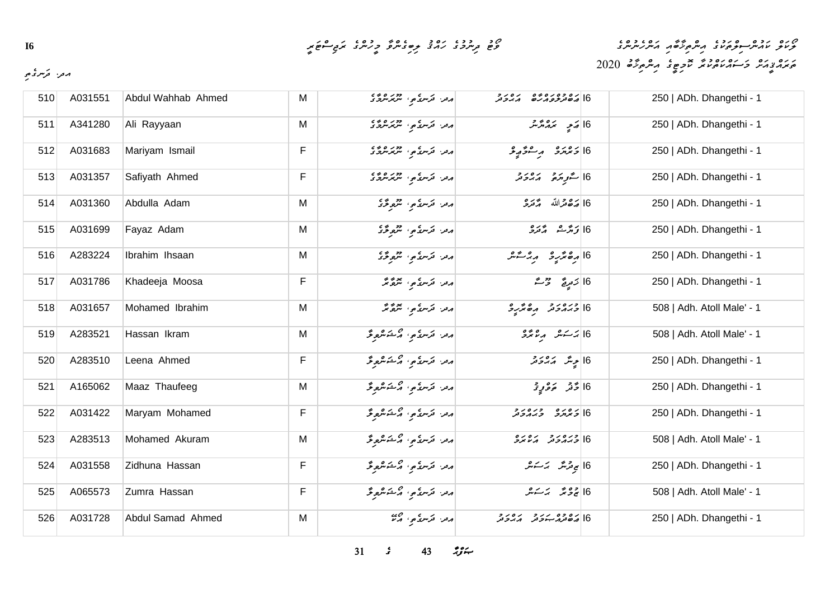*sCw7q7s5w7m< o<n9nOoAw7o< sCq;mAwBoEw7q<m; wBm;vB* م من المسجد المسجد المسجد المسجد المسجد العام 2020<br>مجم*د المسجد المسجد المستجد المسجد المسجد المسجد المسجد المسجد المسجد المسجد المسجد المسجد المسجد المسجد المسجد* 

| 510 | A031551 | Abdul Wahhab Ahmed       | M           | أمان الكرسرة والمتهجم المرجوحة                                                                                 | 16 رە دەرە دە بەر دەر                                                                                          | 250   ADh. Dhangethi - 1   |
|-----|---------|--------------------------|-------------|----------------------------------------------------------------------------------------------------------------|----------------------------------------------------------------------------------------------------------------|----------------------------|
| 511 | A341280 | Ali Rayyaan              | M           | أمان فرس في المحدود و المحد و المحدود المحدود و المحدود المحدود و المحدود المحدود المحدود المحدود المحدود المح | 6  <i>ھ</i> َ مِي سَمَ <i>مْ مَدَّمْ مَدْ</i>                                                                  | 250   ADh. Dhangethi - 1   |
| 512 | A031683 | Mariyam Ismail           | F           | أماس الكرسري والمتحرض والمحالي                                                                                 | 6   <i>خىنىدۇ مەشۇم</i> ۇ                                                                                      | 250   ADh. Dhangethi - 1   |
| 513 | A031357 | Safiyath Ahmed           | F           | أمدر فرسي المعرض                                                                                               | 6  گوہرو پر دی تھ                                                                                              | 250   ADh. Dhangethi - 1   |
| 514 | A031360 | Abdulla Adam             | M           | أمعرا فكسكامي التهجر فحركا                                                                                     | 16 كەھىراللە گەنزۈ                                                                                             | 250   ADh. Dhangethi - 1   |
| 515 | A031699 | Fayaz Adam               | M           | ما مار المستقامي المستقرح محمد                                                                                 | 6  وَبَرْجْهِ مَجْمَعَرْ                                                                                       | 250   ADh. Dhangethi - 1   |
| 516 | A283224 | Ibrahim Ihsaan           | M           | أمعرا فكالمعده والمحمد فلي المحمد                                                                              | 6ا <i>مەمگەبىۋە مەشتەنگە</i>                                                                                   | 250   ADh. Dhangethi - 1   |
| 517 | A031786 | Khadeeja Moosa           | F           | معرا مكسرة حياسي معرض                                                                                          | 16 كَرْمِيعٌ - حِيْثٌ                                                                                          | 250   ADh. Dhangethi - 1   |
| 518 | A031657 | Mohamed Ibrahim          | M           | أمعرا فكسكامي البوطاني                                                                                         | 16 <i>جندم</i> ونر م <i>ی مڈی</i> رو                                                                           | 508   Adh. Atoll Male' - 1 |
| 519 | A283521 | Hassan Ikram             | M           | مامر: الكرسرى في الكركسكوني                                                                                    | 6  ئەسەمىر مەمگە                                                                                               | 508   Adh. Atoll Male' - 1 |
| 520 | A283510 | Leena Ahmed              | F           | مامر الكرسرى في الكرمشي محمد المحمد بحر                                                                        | 6   مویٹر    ترکیحاتی                                                                                          | 250   ADh. Dhangethi - 1   |
| 521 | A165062 | Maaz Thaufeeg            | M           | معرا فرسي ۽ اگر شُمگهو مُح                                                                                     | 6  جۇنجە ئە <i>ھەبى</i> قە                                                                                     | 250   ADh. Dhangethi - 1   |
| 522 | A031422 | Maryam Mohamed           | $\mathsf F$ | مامر: الكرسرى في الكركسكوني                                                                                    | 6   ئەيرى ئەيرە بەر                                                                                            | 250   ADh. Dhangethi - 1   |
| 523 | A283513 | Mohamed Akuram           | M           | معرا مرسمة ص الرحش العراقية                                                                                    | 16 جرير جري بر بر بر بر بر بر ال                                                                               | 508   Adh. Atoll Male' - 1 |
| 524 | A031558 | Zidhuna Hassan           | F           | مامر الكرسرى في الكرمشي محمد المحمد بحر                                                                        | 6  بے م <i>زینگ بز</i> سک <i>ن</i> ٹر                                                                          | 250   ADh. Dhangethi - 1   |
| 525 | A065573 | Zumra Hassan             | F           | معرا مرسمة ص الراشة متنها محمد المحمد                                                                          | 6   ج و شہر کے تک شہر ا                                                                                        | 508   Adh. Atoll Male' - 1 |
| 526 | A031728 | <b>Abdul Samad Ahmed</b> | M           | أماص فرسوعي أمريم                                                                                              | 16ھ تر پر برگ کر پر ترکیل کی ایرانی کی ایرانی کی ایرانی کی ایرانی کے ایرانی کے ایرانی کے ایرانی کے ایرانی کے ا | 250   ADh. Dhangethi - 1   |

**31** *s* **43** *n***<sub>s</sub>**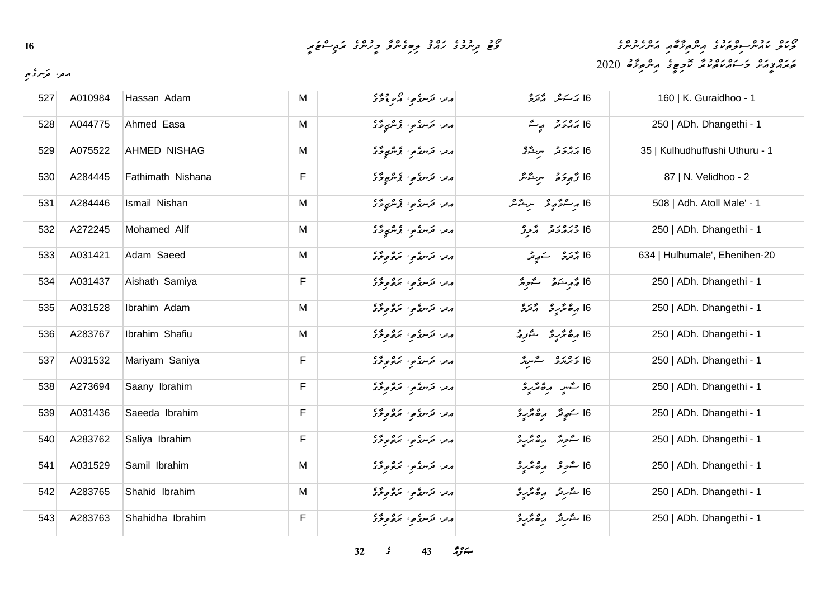*sCw7q7s5w7m< o<n9nOoAw7o< sCq;mAwBoEw7q<m; wBm;vB* م من المرة المرة المرة المرجع المراجع المراجع المراجع المراجع المراجع المراجع المراجع المراجع المراجع المراجع<br>مرين المراجع المراجع المرجع المراجع المراجع المراجع المراجع المراجع المراجع المراجع المراجع المراجع المراجع ال

| 527 | A010984 | Hassan Adam         | M           | معرا فكسكوه المستحرى                                                                                          | 6  پرستھر مجموعہ                       | 160   K. Guraidhoo - 1         |
|-----|---------|---------------------|-------------|---------------------------------------------------------------------------------------------------------------|----------------------------------------|--------------------------------|
| 528 | A044775 | Ahmed Easa          | M           | معرا فكاللحص وكالعج فراكح                                                                                     | 6  پروژنز پہ ش                         | 250   ADh. Dhangethi - 1       |
| 529 | A075522 | <b>AHMED NISHAG</b> | M           | أمعرا فكاللحص وكالمحافي                                                                                       | 6   رَكِّرَتْرُ مِنْ مِنْتَمَوْ        | 35   Kulhudhuffushi Uthuru - 1 |
| 530 | A284445 | Fathimath Nishana   | $\mathsf F$ | مدرس ترسكي كوري و مربع و د                                                                                    | 6  وَجِودَةُ سِشَةَتَد                 | 87   N. Velidhoo - 2           |
| 531 | A284446 | Ismail Nishan       | M           | أمعرا فكاللحص وكالمحافي                                                                                       | 16 م <i>رےدو پو</i> سرے میں            | 508   Adh. Atoll Male' - 1     |
| 532 | A272245 | Mohamed Alif        | M           | مەر ئەسكى ئۇشپۇق                                                                                              | 6  3 يرم 3 ير م بحر و 1                | 250   ADh. Dhangethi - 1       |
| 533 | A031421 | Adam Saeed          | M           | معرا فكسكوم المكوه ومحمى                                                                                      | 6  پژنزڈ سنہویٹر                       | 634   Hulhumale', Ehenihen-20  |
| 534 | A031437 | Aishath Samiya      | F           | ما مارس و مارس و ده کار د کار د کار د کار د کار د کار د کار د کار د کار د کار د کار د کار د کار د کار د کار د | 6  مُدِيسَة مُ سُوبِرٌ                 | 250   ADh. Dhangethi - 1       |
| 535 | A031528 | Ibrahim Adam        | M           | معرا فكالتكامئ المكافوقي                                                                                      | 6ا رەپرىي ئەترى                        | 250   ADh. Dhangethi - 1       |
| 536 | A283767 | Ibrahim Shafiu      | M           | معرا فكالمحاص المكافوع فرد                                                                                    | 6  رەممەر ئەر ئىقى <i>ر قە</i> ر       | 250   ADh. Dhangethi - 1       |
| 537 | A031532 | Mariyam Saniya      | $\mathsf F$ | معرا فكسكوم المكوفوفر                                                                                         | 6  52 كىرو ئەستر                       | 250   ADh. Dhangethi - 1       |
| 538 | A273694 | Saany Ibrahim       | $\mathsf F$ | معرا فكسكوم المكومونجى                                                                                        | 6  س <sup>م</sup> سٍ م <i>ەمگرى</i> ۋ  | 250   ADh. Dhangethi - 1       |
| 539 | A031436 | Saeeda Ibrahim      | F           | معرا فكسكوم المكوفوفر                                                                                         | 6  سَم <i>ِيعٌ م</i> ِ صُرَّرٍ وَ      | 250   ADh. Dhangethi - 1       |
| 540 | A283762 | Saliya Ibrahim      | F           | معرا فكالمحص المكافوق                                                                                         | 6  سمویڑ م <i>ی مڈی</i> بح             | 250   ADh. Dhangethi - 1       |
| 541 | A031529 | Samil Ibrahim       | M           | مدر ترسكي، ترور ده                                                                                            | 6  گ <sub>یو</sub> تو م <i>ی پرد</i> و | 250   ADh. Dhangethi - 1       |
| 542 | A283765 | Shahid Ibrahim      | M           | معرا فكالتكامئ المكافوقي                                                                                      | 6  مشریقہ م <i>ی مڈی</i> بح            | 250   ADh. Dhangethi - 1       |
| 543 | A283763 | Shahidha Ibrahim    | F           | معرا فكالمحص المتحوفي                                                                                         | 6  ڪري <i>گر م</i> ڪير پر              | 250   ADh. Dhangethi - 1       |

**32** *s* **43** *z***<sub>***f***</sub>**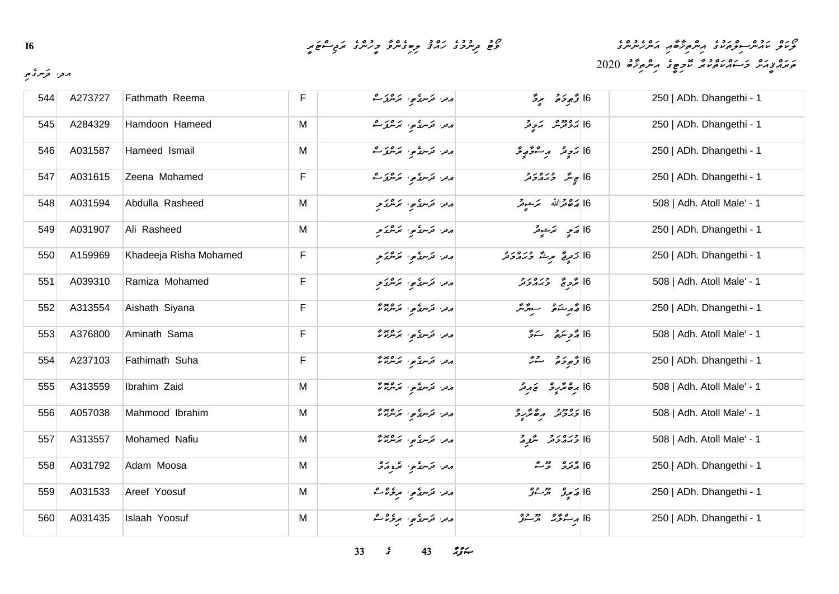*sCw7q7s5w7m< o<n9nOoAw7o< sCq;mAwBoEw7q<m; wBm;vB* م من المرة المرة المرة المرجع المراجع المراجع المراجع المراجع المراجع المراجع المراجع المراجع المراجع المراجع<br>مرين المراجع المراجع المرجع المراجع المراجع المراجع المراجع المراجع المراجع المراجع المراجع المراجع المراجع ال

| 544 | A273727 | Fathmath Reema         | F           |                                  | 6   رُّجِوَة حَمْدِيَّة اللهِ       | 250   ADh. Dhangethi - 1   |
|-----|---------|------------------------|-------------|----------------------------------|-------------------------------------|----------------------------|
| 545 | A284329 | Hamdoon Hameed         | M           | أماص فكاستكامي المكاسوكسة        | 6  بروج <i>ویڈ بر<sub>و</sub>یڈ</i> | 250   ADh. Dhangethi - 1   |
| 546 | A031587 | Hameed Ismail          | M           | ما مارس مارس مارس المرسور المراس |                                     | 250   ADh. Dhangethi - 1   |
| 547 | A031615 | Zeena Mohamed          | F           | ما مارس مارس مارس المرسور المراس | 6   <sub>مح</sub> رشہ ترکیز کر تھ   | 250   ADh. Dhangethi - 1   |
| 548 | A031594 | Abdulla Rasheed        | M           | أمعن فكاللقي المكافكو            | 16 كەھىراللە كىرىسىدىر              | 508   Adh. Atoll Male' - 1 |
| 549 | A031907 | Ali Rasheed            | M           | أمعن فكاللقائ المكافكو           | 6  ڪپ پرشوٽر                        | 250   ADh. Dhangethi - 1   |
| 550 | A159969 | Khadeeja Risha Mohamed | F           | أمعن فكسكامي المرسمكاني          | 6  كَمْرِيحٌ مِرْحَدٌ وْكَرُودُورْ  | 250   ADh. Dhangethi - 1   |
| 551 | A039310 | Ramiza Mohamed         | F           | معرا فكالمعكمي المكافكو          | 6  بَرْدِيّ وَرَدْدَوْرَ            | 508   Adh. Atoll Male' - 1 |
| 552 | A313554 | Aishath Siyana         | F           | مدر ترسد و مرسمان                | 6  ئەمرىشىقى سىقرىتىر               | 250   ADh. Dhangethi - 1   |
| 553 | A376800 | Aminath Sama           | F           | معرا فرسي في مرضوع               | 6  مرَّحِ سَعَرَ حَسَنَةً           | 508   Adh. Atoll Male' - 1 |
| 554 | A237103 | Fathimath Suha         | $\mathsf F$ | معرا فكسيء المكسمة               | 6  رُّجِوَةُ جَمَّدُ                | 250   ADh. Dhangethi - 1   |
| 555 | A313559 | Ibrahim Zaid           | M           | مدر ترسد و مرسمان                | 16 م <i>وڭ ئىچ مەقى</i> ر           | 508   Adh. Atoll Male' - 1 |
| 556 | A057038 | Mahmood Ibrahim        | M           | مدر ترسدها بره بده               | 16 <i>كېږدو د هغرب</i> و            | 508   Adh. Atoll Male' - 1 |
| 557 | A313557 | Mohamed Nafiu          | M           | مدر ترسد و مرس                   | 16 دبرەرد شرق                       | 508   Adh. Atoll Male' - 1 |
| 558 | A031792 | Adam Moosa             | M           | معرا فكالمحموا المحدودة          | 6  دُنرو حقته                       | 250   ADh. Dhangethi - 1   |
| 559 | A031533 | Areef Yoosuf           | M           | معرا فكسكامي المركومات           | 6  پرېبو پر همبرو                   | 250   ADh. Dhangethi - 1   |
| 560 | A031435 | Islaah Yoosuf          | M           | معرا فكسكوم المركومات            | 6ارىيە <i>ۋە ھەم دە</i>             | 250   ADh. Dhangethi - 1   |

**33** *s* **43** *z***<sub>***f***</sub>**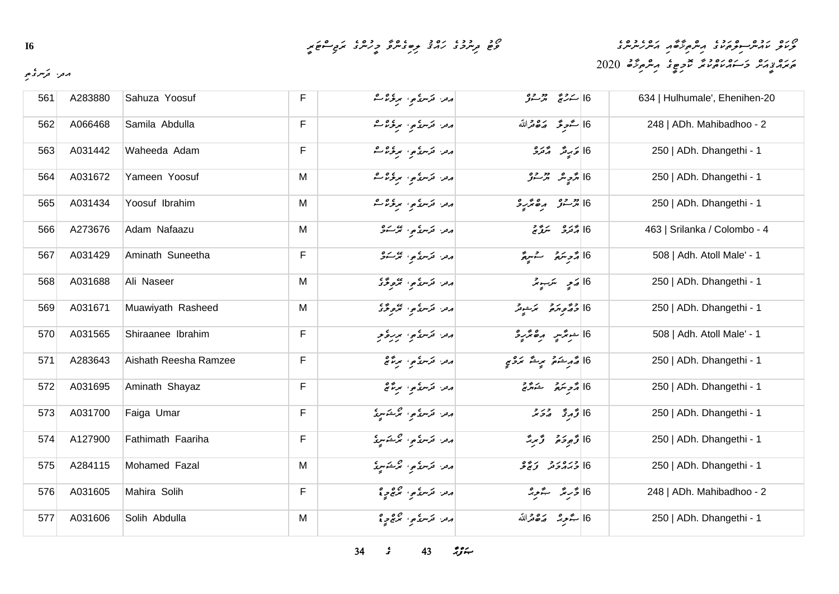*sCw7q7s5w7m< o<n9nOoAw7o< sCq;mAwBoEw7q<m; wBm;vB* م من المرة المرة المرة المرجع المراجع المراجع المراجع المراجع المراجع المراجع المراجع المراجع المراجع المراجع<br>مرين المراجع المراجع المرجع المراجع المراجع المراجع المراجع المراجع المراجع المراجع المراجع المراجع المراجع ال

| 561 | A283880 | Sahuza Yoosuf         | F           | أمعرا فكسكوم المركزان                  | 6   سَرَجَ جَنْ مَرْتَسُوْ       | 634   Hulhumale', Ehenihen-20 |
|-----|---------|-----------------------|-------------|----------------------------------------|----------------------------------|-------------------------------|
| 562 | A066468 | Samila Abdulla        | F           | معرا فكسكامي المركومات                 | 6  سَّحرِ مَتَّ مَدَّاللَّهُ     | 248   ADh. Mahibadhoo - 2     |
| 563 | A031442 | Waheeda Adam          | F           | معرا فكسكامي المركومات                 | 6   حَ بِرِ مَدَّ مَحْرَ حَزَّ   | 250   ADh. Dhangethi - 1      |
| 564 | A031672 | Yameen Yoosuf         | M           | معرا فكالتكافئ المركومات               | 6ا مُرْحِ مِنْ مَرْتَبُوْ        | 250   ADh. Dhangethi - 1      |
| 565 | A031434 | Yoosuf Ibrahim        | M           | أمعرا فكالمتكافئ المركومات             | 6ا پرسو م <i>وھور</i> و          | 250   ADh. Dhangethi - 1      |
| 566 | A273676 | Adam Nafaazu          | M           | ەللار كەسرىمى، كەسكەن                  | 6  پژنرو سرویج                   | 463   Srilanka / Colombo - 4  |
| 567 | A031429 | Aminath Suneetha      | $\mathsf F$ | أماص فكالمحاصي المجرسكاني              | 6  مَرْحِبْتَهُ سَمْسِهُّ        | 508   Adh. Atoll Male' - 1    |
| 568 | A031688 | Ali Naseer            | M           | ەلىر: كەسمەھ ، كەھ گەمى                | 6  ەپ سەببەتر                    | 250   ADh. Dhangethi - 1      |
| 569 | A031671 | Muawiyath Rasheed     | M           | ەمەر بەر ئەسمىدە ئىنجا ئىچە ئىچە       | 6  <i>خەمجەمگە</i> ئىرسىمىتىر    | 250   ADh. Dhangethi - 1      |
| 570 | A031565 | Shiraanee Ibrahim     | F           | أمعن فكاللحص المرباعي                  | 6   ڪو <i>مگرمبر مرھ مگرب</i> 16 | 508   Adh. Atoll Male' - 1    |
| 571 | A283643 | Aishath Reesha Ramzee | $\mathsf F$ | أماص الكرسرة حياس المرتكامي            | 6  <i>۾ ميڪو مرڪ مرو</i> مي      | 250   ADh. Dhangethi - 1      |
| 572 | A031695 | Aminath Shayaz        | F           | ماص فكاستكامي المرتكامج                | 6  مَرْحِبتَهُ شَهْرَى           | 250   ADh. Dhangethi - 1      |
| 573 | A031700 | Faiga Umar            | F           | أماقرا اقرس كالمحاشي المراكب والمحراري | 6ا ۇرېۋ چۇتمە                    | 250   ADh. Dhangethi - 1      |
| 574 | A127900 | Fathimath Faariha     | F           | أماس الكرسري في المراشين المحمد        | 6  وَجِرَةُ وَسِنَّةَ            | 250   ADh. Dhangethi - 1      |
| 575 | A284115 | Mohamed Fazal         | M           | معرا فكعركمي المركشيري                 | 6   جۇيرى ئەركىچى ئى             | 250   ADh. Dhangethi - 1      |
| 576 | A031605 | Mahira Solih          | F           | مدر ترسد و من و و                      | 6  ڈربڈ گے دی                    | 248   ADh. Mahibadhoo - 2     |
| 577 | A031606 | Solih Abdulla         | M           | معرا فكسكوم لمحمج فإلا                 | 6  جَو <i>جہ مَ§مِّ</i> راللّٰہ  | 250   ADh. Dhangethi - 1      |

**34** *s* **43** *z***<sub>***f***</sub>**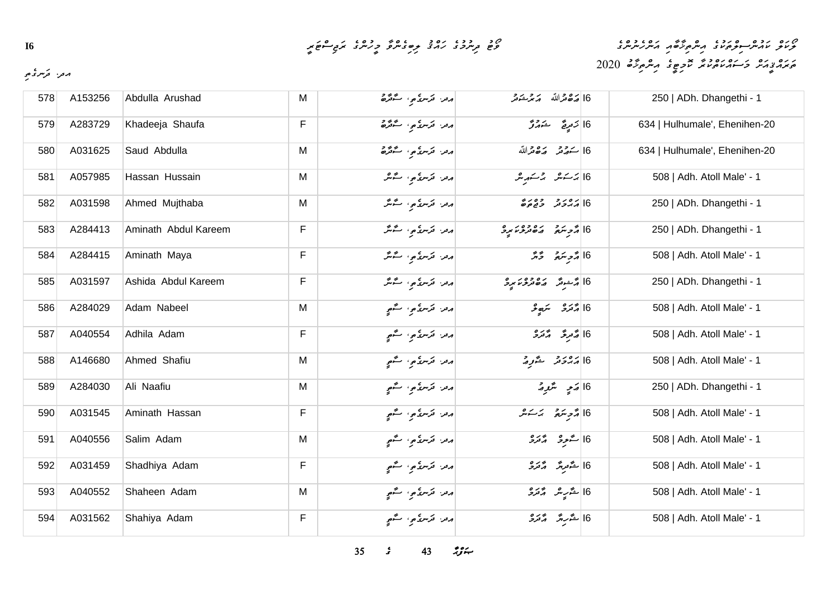*sCw7q7s5w7m< o<n9nOoAw7o< sCq;mAwBoEw7q<m; wBm;vB* م من المرة المرة المرة المرجع المراجع المراجع المراجع المراجع المراجع المراجع المراجع المراجع المراجع المراجع<br>مرين المراجع المراجع المرجع المراجع المراجع المراجع المراجع المراجع المراجع المراجع المراجع المراجع المراجع ال

| 578 | A153256 | Abdulla Arushad      | M           | أردر فرسرتمي المستخرة        | 6  مَەھْتْراللە مَكْرَسْتَعْتْر       | 250   ADh. Dhangethi - 1      |
|-----|---------|----------------------|-------------|------------------------------|---------------------------------------|-------------------------------|
| 579 | A283729 | Khadeeja Shaufa      | F           | أأرفر الكرسري والمحمد المحمد | 6   كَتَبِيعٌ صُمَّرْتٌرٌ             | 634   Hulhumale', Ehenihen-20 |
| 580 | A031625 | Saud Abdulla         | M           | أوفر فرس و المجموع           | 16 ك <i>وهر مرك مركة م</i> رالله      | 634   Hulhumale', Ehenihen-20 |
| 581 | A057985 | Hassan Hussain       | M           | أماص الكرسرة حي السكانس      | 6   پرسکس پرسکہ بھر                   | 508   Adh. Atoll Male' - 1    |
| 582 | A031598 | Ahmed Mujthaba       | M           | أمان الأسرى من السكانكر      | 6  رورو وەرە                          | 250   ADh. Dhangethi - 1      |
| 583 | A284413 | Aminath Abdul Kareem | $\mathsf F$ | أمان الكرسري به السكانگر     | 16 مُرجِسَمُ مُصْغَرِ مُرْدِمَ مَرِدْ | 250   ADh. Dhangethi - 1      |
| 584 | A284415 | Aminath Maya         | F           | أمان الكرسري كالمستماس       | 6  أُمُّ جَسَّعَةٌ مَحَدَّثَ          | 508   Adh. Atoll Male' - 1    |
| 585 | A031597 | Ashida Abdul Kareem  | $\mathsf F$ | أماص فكأسرة حي السكانكل      | 6ا ئۇھىقە مەھىردىر بور                | 250   ADh. Dhangethi - 1      |
| 586 | A284029 | Adam Nabeel          | M           | أمامر المرسوعي المستهج       | 6  مُرترد سَهِ وُ                     | 508   Adh. Atoll Male' - 1    |
| 587 | A040554 | Adhila Adam          | $\mathsf F$ | أمامر الكرسرة حوال السكيمج   | 16 مَجْمَعِيمٌ – مُجْمَعَةٌ           | 508   Adh. Atoll Male' - 1    |
| 588 | A146680 | Ahmed Shafiu         | M           | أمان الكرسري والمستحقي       | 6  رَبُرْدَتْرَ ۖ شَرْرِرَ            | 508   Adh. Atoll Male' - 1    |
| 589 | A284030 | Ali Naafiu           | M           | ەلەر تەسكىمى سەمج            | 16 ۾ سگويڙ                            | 250   ADh. Dhangethi - 1      |
| 590 | A031545 | Aminath Hassan       | $\mathsf F$ | أمان الكرسري في السكيمي      | 6  م <i>مَّحِ سَوَّيمُ</i> سَرَيْتَهُ | 508   Adh. Atoll Male' - 1    |
| 591 | A040556 | Salim Adam           | M           | أمعرا فكالتكافئ التقفي       | 6  گجوی گ <sup>ی</sup> متر            | 508   Adh. Atoll Male' - 1    |
| 592 | A031459 | Shadhiya Adam        | $\mathsf F$ | أمان الكرسري والمستحقي       | 6  ڪُمبر گھري                         | 508   Adh. Atoll Male' - 1    |
| 593 | A040552 | Shaheen Adam         | M           | أمان الكرسوكي المستهج        | 6ا ڪرپ گھري                           | 508   Adh. Atoll Male' - 1    |
| 594 | A031562 | Shahiya Adam         | $\mathsf F$ | ەمە تەسھى، سەھ               | 6  شمریز وتحدد                        | 508   Adh. Atoll Male' - 1    |

**35** *s* **43** *n***<sub>y</sub> <b>***n* 

**م**حر بحم<sup>س ع</sup>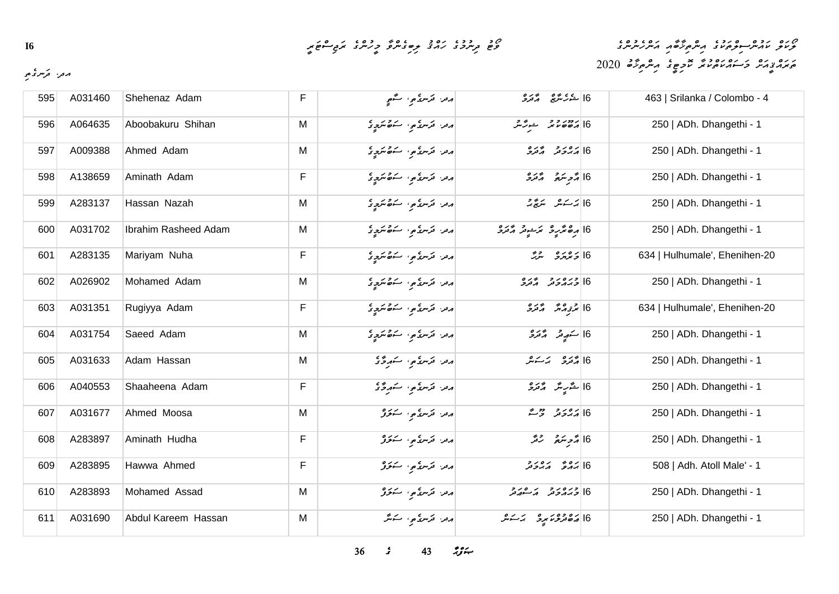*sCw7q7s5w7m< o<n9nOoAw7o< sCq;mAwBoEw7q<m; wBm;vB* م من المسجد المسجد المسجد المسجد المسجد العام 2020<br>مجم*د المسجد المسجد المستجد المسجد المسجد المسجد المسجد المسجد المسجد المسجد المسجد المسجد المسجد المسجد المسجد* 

| 595 | A031460 | Shehenaz Adam        | F           | أرفر الكرسرة في المستَّخْفِي                                                                        | 6  لحك <i>مركزة مركز</i> و                          | 463   Srilanka / Colombo - 4  |
|-----|---------|----------------------|-------------|-----------------------------------------------------------------------------------------------------|-----------------------------------------------------|-------------------------------|
| 596 | A064635 | Aboobakuru Shihan    | M           | أأرفرا الكرسرى في المسكن الكريرى                                                                    | 16 كەھەم ئەس سىرگە ئىر                              | 250   ADh. Dhangethi - 1      |
| 597 | A009388 | Ahmed Adam           | M           | ماس فرسره و المنظم المردمي                                                                          | 6  پروژ پروژ                                        | 250   ADh. Dhangethi - 1      |
| 598 | A138659 | Aminath Adam         | $\mathsf F$ | معرا فكالمحص المتكافيري                                                                             | 6  المجمع المحترفية                                 | 250   ADh. Dhangethi - 1      |
| 599 | A283137 | Hassan Nazah         | M           | أمعرا فكالمحص المتفاجدة                                                                             | 6  پرسترشہ سرچ ج                                    | 250   ADh. Dhangethi - 1      |
| 600 | A031702 | Ibrahim Rasheed Adam | M           | مدر ترس                                                                                             | 16 م <i>ِ ۾ مُرَبِ جَي مِي مُ</i> مَر <i>َدُ جَ</i> | 250   ADh. Dhangethi - 1      |
| 601 | A283135 | Mariyam Nuha         | F           | ما مارس مارس من مارس من مارس من مارس من من من من الله من الله من الله من الله من الله من الله من ال | 6  ئەندىزى يەرجە                                    | 634   Hulhumale', Ehenihen-20 |
| 602 | A026902 | Mohamed Adam         | M           | ما مارس المستحديث                                                                                   | 16 تربر برتر بر بر بر بر بر ا                       | 250   ADh. Dhangethi - 1      |
| 603 | A031351 | Rugiyya Adam         | F           | معرا فكالمحص المتكافيري                                                                             | 6  بزن <sub>و</sub> م محمد محمد محمد المحمد الس     | 634   Hulhumale', Ehenihen-20 |
| 604 | A031754 | Saeed Adam           | M           | مار الكرسي المستحصر المحمد                                                                          | 6  سَمدٍ مِرْ مُرْمَرْدُ                            | 250   ADh. Dhangethi - 1      |
| 605 | A031633 | Adam Hassan          | M           | معرا فكالمحص التكم ومحي                                                                             | 6  جۇنزى ئەستەنلە                                   | 250   ADh. Dhangethi - 1      |
| 606 | A040553 | Shaaheena Adam       | F           | معرا فكالمحص التكم ومحي                                                                             | 6  شَدْرٍ مَدَّ مَدَّمَرَ \$                        | 250   ADh. Dhangethi - 1      |
| 607 | A031677 | Ahmed Moosa          | M           | أماما الكرسوي التكفوش                                                                               | $23.521$  6                                         | 250   ADh. Dhangethi - 1      |
| 608 | A283897 | Aminath Hudha        | F           | أماما الكاملة حياء المستوفى                                                                         | 6  أو يتمد منقر                                     | 250   ADh. Dhangethi - 1      |
| 609 | A283895 | Hawwa Ahmed          | $\mathsf F$ | أماما الكاسمة حياس المروحي                                                                          | 6  بَرْدِعٌ بِرَءِ بِرَ                             | 508   Adh. Atoll Male' - 1    |
| 610 | A283893 | Mohamed Assad        | M           | أمعرا فرسرهما استوثى                                                                                | 6  دیرویو پر صرور                                   | 250   ADh. Dhangethi - 1      |
| 611 | A031690 | Abdul Kareem Hassan  | M           | ماص: افكرسوكي السكانكل                                                                              | 6   مەھەر ئەير ئەسكە بىر                            | 250   ADh. Dhangethi - 1      |

**36** *s* **43** *n***<sub>s</sub>***n***<sub>s</sub>**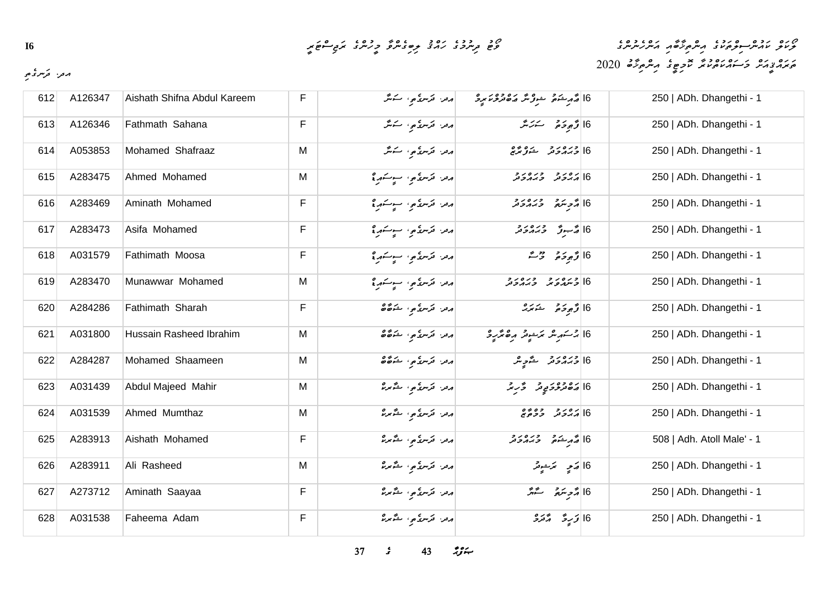*sCw7q7s5w7m< o<n9nOoAw7o< sCq;mAwBoEw7q<m; wBm;vB* م من المرة المرة المرة المرجع المراجع المراجع المراجع المراجع المراجع المراجع المراجع المراجع المراجع المراجع<br>مرين المراجع المراجع المرجع المراجع المراجع المراجع المراجع المراجع المراجع المراجع المراجع المراجع المراجع ال

| 612 | A126347 | Aishath Shifna Abdul Kareem | F | أمانورا الكرسوكي في السكانگل | 6   مەر ئەمۇر ئىبولىر مەھىر دىرىر مېرد   | 250   ADh. Dhangethi - 1   |
|-----|---------|-----------------------------|---|------------------------------|------------------------------------------|----------------------------|
| 613 | A126346 | Fathmath Sahana             | F | ما مار انگرسوی اسکانگر       | 6  وَجوحَهُ سَنَدَمَّدُ                  | 250   ADh. Dhangethi - 1   |
| 614 | A053853 | Mohamed Shafraaz            | M | أماص الكرسرة حي السكانكل     | 6  32,020 خۇرىمىيى                       | 250   ADh. Dhangethi - 1   |
| 615 | A283475 | Ahmed Mohamed               | M | أمعن فكالمعكمي السوسكم       | 16 كەبردە يەر ئەردىر                     | 250   ADh. Dhangethi - 1   |
| 616 | A283469 | Aminath Mohamed             | F | أمعرا فكالمعكم والمسوسكيرة   | 6  مُرْجِسَة وَبَرْمُ وَبَدْ             | 250   ADh. Dhangethi - 1   |
| 617 | A283473 | Asifa Mohamed               | F | أمعرا فكاللحص السوسكمرة      | 6  مەسورْ ئەيرە ئەر                      | 250   ADh. Dhangethi - 1   |
| 618 | A031579 | Fathimath Moosa             | F | أمعرا فكالمتكافئ السوسكمرج   | 6  وَجِهِ دَمْ وَمْ شَهْ                 | 250   ADh. Dhangethi - 1   |
| 619 | A283470 | Munawwar Mohamed            | M | معرا فكالمعظمى المسوسكيرة    | 5, 2, 2, 3, 5                            | 250   ADh. Dhangethi - 1   |
| 620 | A284286 | Fathimath Sharah            | F | معرا فكسكامي الشخص           | 6  وَّجِوحَةٌ شَمَعَهُ                   | 250   ADh. Dhangethi - 1   |
| 621 | A031800 | Hussain Rasheed Ibrahim     | M | معرا فكسكامي الشخص           | 6  برڪر مگر مگر شونگر ر <i>ھ مگر پ</i> و | 250   ADh. Dhangethi - 1   |
| 622 | A284287 | Mohamed Shaameen            | M | معرا فكسكامي الشخص           | 6  <i>وټرونوتر</i> گړ <sub>چ</sub> یر    | 250   ADh. Dhangethi - 1   |
| 623 | A031439 | Abdul Majeed Mahir          | M | أمان الكرسري والشمرة         | 16 <i>مەھەرگى جۇ جۇرى</i> گە             | 250   ADh. Dhangethi - 1   |
| 624 | A031539 | Ahmed Mumthaz               | M | أمان الكرسوكي، الشيخ مريم    | 6   پروتر وه ده وه                       | 250   ADh. Dhangethi - 1   |
| 625 | A283913 | Aishath Mohamed             | F | أمعرا فكالمحص المشمرة        | 6  مُصِنْعَمْ وَبَرْمُرْدَمْر            | 508   Adh. Atoll Male' - 1 |
| 626 | A283911 | Ali Rasheed                 | M | أمان الكرسري والشيورة        | 6  رَمٍ يَرَسُونَرُ                      | 250   ADh. Dhangethi - 1   |
| 627 | A273712 | Aminath Saayaa              | F | أمان الكرسري والشمير         | 6ا ئۇجەنىھ شەتر                          | 250   ADh. Dhangethi - 1   |
| 628 | A031538 | Faheema Adam                | F | ما ترس و الله عن الم         | 6  وَرٍدَّ مُحَمَّدُ                     | 250   ADh. Dhangethi - 1   |

**37** *s* **43** *z***<sub>***f***</sub>**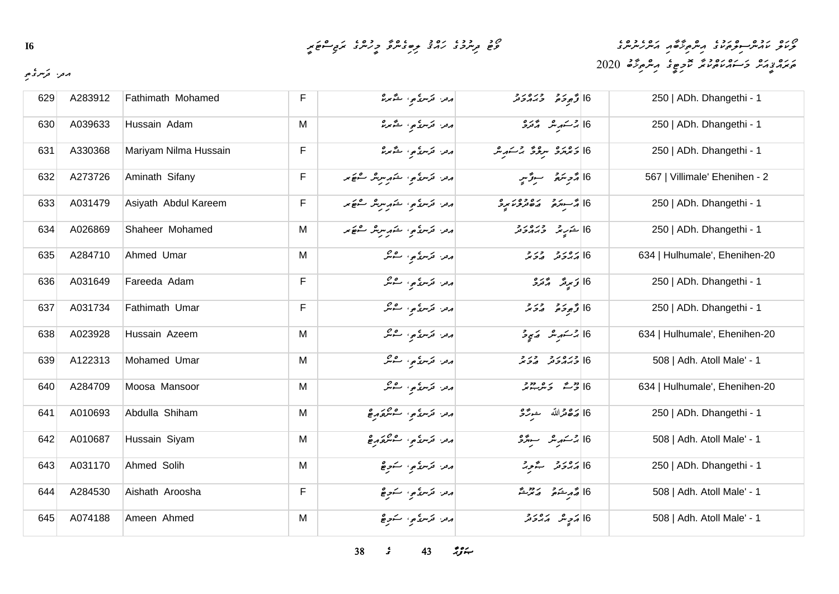*sCw7q7s5w7m< o<n9nOoAw7o< sCq;mAwBoEw7q<m; wBm;vB* م من المرة المرة المرة المرجع المراجع المراجع المراجع المراجع المراجع المراجع المراجع المراجع المراجع المراجع<br>مرين المراجع المراجع المرجع المراجع المراجع المراجع المراجع المراجع المراجع المراجع المراجع المراجع المراجع ال

| 629 | A283912 | Fathimath Mohamed     | F           | أمان الكرسرة في المتحامرة             | 6  ۇ <sub>ج</sub> وڭ ئەرگەرد                              | 250   ADh. Dhangethi - 1      |
|-----|---------|-----------------------|-------------|---------------------------------------|-----------------------------------------------------------|-------------------------------|
| 630 | A039633 | Hussain Adam          | M           | أمان الكرسري والشيورة                 | 6  بر سَمبر مگر مگر محرک                                  | 250   ADh. Dhangethi - 1      |
| 631 | A330368 | Mariyam Nilma Hussain | $\mathsf F$ | أمان الكرسري والشمير                  | 16 <i>كارچىرى سروڭ بى</i> شىرى <i>ش</i>                   | 250   ADh. Dhangethi - 1      |
| 632 | A273726 | Aminath Sifany        | $\mathsf F$ | مدر تكسي شكر سرش سكرير                | 6  <i>مُجْرِسَةُ بِ بِوُّ</i> سٍ                          | 567   Villimale' Ehenihen - 2 |
| 633 | A031479 | Asiyath Abdul Kareem  | F           | أمعرا فكالمحص المشكر للمرسوخ المستقصر | 6 أُمُّ سِيرَةٍ مِنْ مُرْحَرَمَ مَرِجْ                    | 250   ADh. Dhangethi - 1      |
| 634 | A026869 | Shaheer Mohamed       | M           | مالا الكرسرى والمسكوم سور المستقاس    | 6  ڪرپٽر ويرورور                                          | 250   ADh. Dhangethi - 1      |
| 635 | A284710 | Ahmed Umar            | M           | أماص فكأسرة حي الشامس                 | 6  پروژنز پروژ                                            | 634   Hulhumale', Ehenihen-20 |
| 636 | A031649 | Fareeda Adam          | $\mathsf F$ | أماص الكرسرة في الشامل                | 6  وَمِيعٌ مُحْمَدٌ                                       | 250   ADh. Dhangethi - 1      |
| 637 | A031734 | Fathimath Umar        | F           | أماص الكرسري أواست سكر المحاسر        | 6ا ڙَجِرَحَتَمُ 25 گَرَ                                   | 250   ADh. Dhangethi - 1      |
| 638 | A023928 | Hussain Azeem         | M           | أمعرا فكالمحص المشركة                 | 6   ج <i>ُستمبر بنگ مَنهِ وَ</i>                          | 634   Hulhumale', Ehenihen-20 |
| 639 | A122313 | Mohamed Umar          | M           | أماص فكأسرة حي الشامس                 | 6  ج: ج ج ح ح حر حر                                       | 508   Adh. Atoll Male' - 1    |
| 640 | A284709 | Moosa Mansoor         | M           | أماص الكرسرة حي الشوسكر               | 6   تۇنئە كەنگە ئەيزىر                                    | 634   Hulhumale', Ehenihen-20 |
| 641 | A010693 | Abdulla Shiham        | M           | معر مكسمة من المستقدم                 | 16 كەھىراللە ھەرمى                                        | 250   ADh. Dhangethi - 1      |
| 642 | A010687 | Hussain Siyam         | M           | مدر ترسدي مشهوره                      | 6  برسمبر مریض مس <i>برد</i>                              | 508   Adh. Atoll Male' - 1    |
| 643 | A031170 | Ahmed Solih           | M           | أمان الكرسونجي، السكرج                | 6   رُرُدَتْرُ گُورُ                                      | 250   ADh. Dhangethi - 1      |
| 644 | A284530 | Aishath Aroosha       | $\mathsf F$ | أمان الكرسونجي، السكرج                | 6ا ئەرىنىق كەنزىنگە                                       | 508   Adh. Atoll Male' - 1    |
| 645 | A074188 | Ameen Ahmed           | M           | معرا فكسكوها الشرقع                   | 6  <sub>م</sub> َر <sub>ّح</sub> بر مَ <sup>رو</sup> دَتر | 508   Adh. Atoll Male' - 1    |

**38** *s* **43** *n***<sub>y</sub> <b>***n*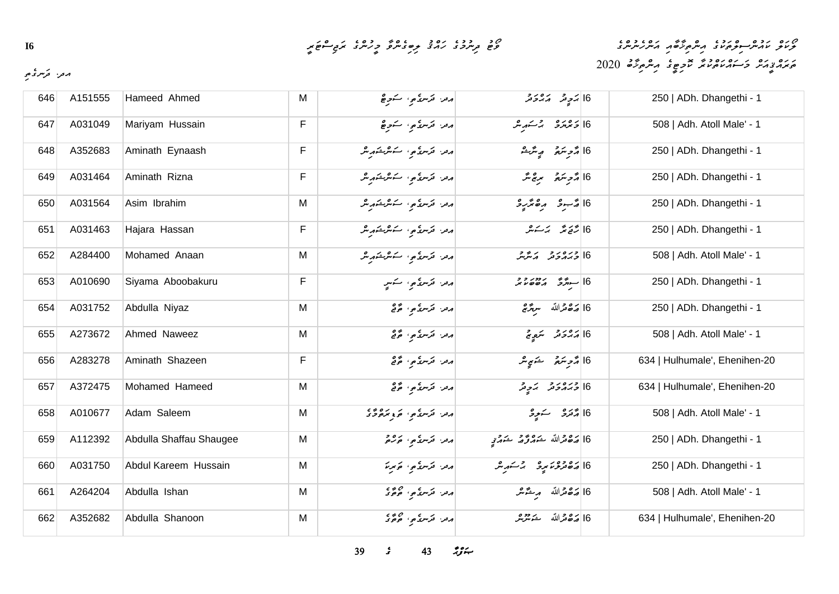*sCw7q7s5w7m< o<n9nOoAw7o< sCq;mAwBoEw7q<m; wBm;vB* م من المرة المرة المرة المرجع المراجع المراجع المراجع المراجع المراجع المراجع المراجع المراجع المراجع المراجع<br>مرين المراجع المراجع المرجع المراجع المراجع المراجع المراجع المراجع المراجع المراجع المراجع المراجع المراجع ال

| 646 | A151555 | Hameed Ahmed            | M           | أماص فكالركومي السكونج                                                                                                                                                                                                | 6   كەچەقرىم كەنگە <i>ق</i> ر                                 | 250   ADh. Dhangethi - 1      |
|-----|---------|-------------------------|-------------|-----------------------------------------------------------------------------------------------------------------------------------------------------------------------------------------------------------------------|---------------------------------------------------------------|-------------------------------|
| 647 | A031049 | Mariyam Hussain         | $\mathsf F$ | معرا فكالمحصي السكرج                                                                                                                                                                                                  | 16 كابر برقر بالمستقريش                                       | 508   Adh. Atoll Male' - 1    |
| 648 | A352683 | Aminath Eynaash         | F           | ما مارس می میگریند کرد.                                                                                                                                                                                               | 6  مەجەتتىم پەنگەشكە                                          | 250   ADh. Dhangethi - 1      |
| 649 | A031464 | Aminath Rizna           | $\mathsf F$ | ما مارس می است کار دیگر می                                                                                                                                                                                            | 6ا مُرْحِسَةً مِنْ مُرَّ                                      | 250   ADh. Dhangethi - 1      |
| 650 | A031564 | Asim Ibrahim            | M           | أماس الكرسري في الكوسكور مثل                                                                                                                                                                                          | 6  م <sup>ح</sup> بود م <b>ص</b> مَّر <sub>َ</sub> د          | 250   ADh. Dhangethi - 1      |
| 651 | A031463 | Hajara Hassan           | $\mathsf F$ | ما مارس می است کار دیگر می                                                                                                                                                                                            | 6  رَّيَ پُر بَرَ بَيْر                                       | 250   ADh. Dhangethi - 1      |
| 652 | A284400 | Mohamed Anaan           | M           | ما مارس می میگریند کرد.                                                                                                                                                                                               | 6  دېرم د ته د تر تر تر                                       | 508   Adh. Atoll Male' - 1    |
| 653 | A010690 | Siyama Aboobakuru       | $\mathsf F$ | أماض الكرسوكي التكاس                                                                                                                                                                                                  | $77777$ $57 - 16$                                             | 250   ADh. Dhangethi - 1      |
| 654 | A031752 | Abdulla Niyaz           | M           | أماص فكالمحدث والمحمج                                                                                                                                                                                                 | 16 كەھەراللە س <i>ىڭ غ</i>                                    | 250   ADh. Dhangethi - 1      |
| 655 | A273672 | Ahmed Naweez            | M           | ەر تەرىرى ئ                                                                                                                                                                                                           | 6   رَبْرُدَ مَرْتَ مَرْضٍ مِنْ                               | 508   Adh. Atoll Male' - 1    |
| 656 | A283278 | Aminath Shazeen         | $\mathsf F$ | ەر تەرىرى ئ                                                                                                                                                                                                           | 6  <i>مزج مئرة</i> مستوسر                                     | 634   Hulhumale', Ehenihen-20 |
| 657 | A372475 | Mohamed Hameed          | M           | ەر تەرىرى ئ                                                                                                                                                                                                           | 6  <i>5،25 \$روقر بروتر</i>                                   | 634   Hulhumale', Ehenihen-20 |
| 658 | A010677 | Adam Saleem             | M           | معرا فكسكام المحج محافظ                                                                                                                                                                                               | 6  دَّترد کے یوڈ                                              | 508   Adh. Atoll Male' - 1    |
| 659 | A112392 | Abdulla Shaffau Shaugee | M           | أمعن فكسكامي المروح                                                                                                                                                                                                   | 6  رَصْحْرْاللَّهُ شَ <i>وْرُوَّهُ</i> شَوْرَت <sub>ْجِ</sub> | 250   ADh. Dhangethi - 1      |
| 660 | A031750 | Abdul Kareem Hussain    | M           | أمعن فكالمحص كالمجران                                                                                                                                                                                                 | 16 <i>مەھەر ۋىزىرى بىر شەر بىر</i>                            | 250   ADh. Dhangethi - 1      |
| 661 | A264204 | Abdulla Ishan           | M           | دو. ترس می                                                                                                                                                                                                            | 16 كەھىراللە برىشەش                                           | 508   Adh. Atoll Male' - 1    |
| 662 | A352682 | Abdulla Shanoon         | M           | ماص فرس ما ما و عام به عام و به المسلم به المسلم المسلم المسلم به المسلم المسلم به الله الله الله به<br>المسلم المسلم المسلم المسلم المسلم المسلم المسلم المسلم المسلم المسلم المسلم المسلم الله به الله الله الله ال | 16 مَ <b>صْدَ</b> اللَّهُ شَمْعَتْبَتْرَ مِنْ                 | 634   Hulhumale', Ehenihen-20 |

**39** *s* **43** *z z*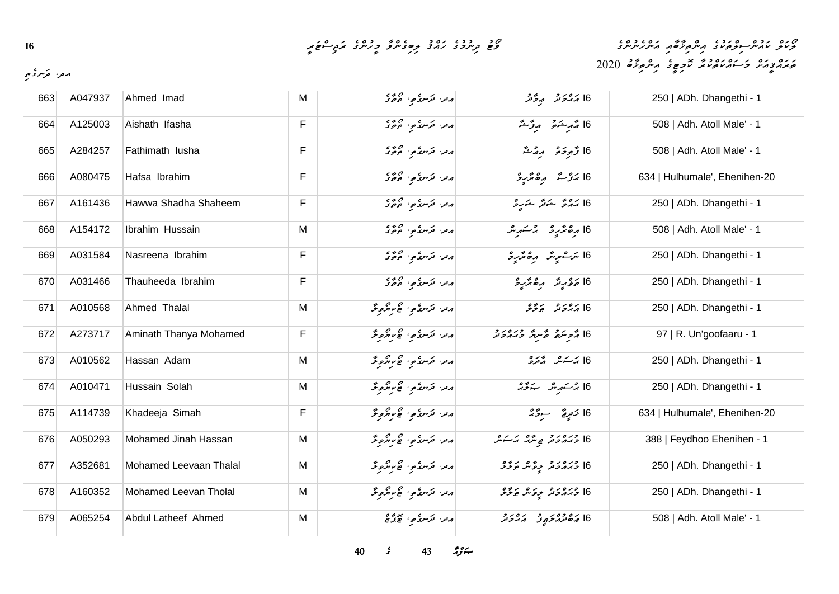*sCw7q7s5w7m< o<n9nOoAw7o< sCq;mAwBoEw7q<m; wBm;vB* م من المرة المرة المرة المرجع المراجع المراجع المراجع المراجع المراجع المراجع المراجع المراجع المراجع المراجع<br>مرين المراجع المراجع المرجع المراجع المراجع المراجع المراجع المراجع المراجع المراجع المراجع المراجع المراجع ال

| 663 | A047937 | Ahmed Imad             | M           | معر فرسي معود                                                                                                                                                                                                         | 16 <i>הככב הכב</i>                                | 250   ADh. Dhangethi - 1      |
|-----|---------|------------------------|-------------|-----------------------------------------------------------------------------------------------------------------------------------------------------------------------------------------------------------------------|---------------------------------------------------|-------------------------------|
| 664 | A125003 | Aishath Ifasha         | F           | معر ترسمه مهم                                                                                                                                                                                                         | 6  رَّمَ شَمَرُ مِتَرَّشَّہُ                      | 508   Adh. Atoll Male' - 1    |
| 665 | A284257 | Fathimath lusha        | F           | ماص المرسوع المنافع والمحدوم                                                                                                                                                                                          | 6  وَّجِوحَةُ مِنْ مِنْهُ                         | 508   Adh. Atoll Male' - 1    |
| 666 | A080475 | Hafsa Ibrahim          | $\mathsf F$ | مدر ترس و و د                                                                                                                                                                                                         | 6  ئەۋىبە مەھەردى                                 | 634   Hulhumale', Ehenihen-20 |
| 667 | A161436 | Hawwa Shadha Shaheem   | $\mathsf F$ | معر ترسمو معود                                                                                                                                                                                                        | 6  يَرْدُوُّ حَقَّةً حَوَرِدْ                     | 250   ADh. Dhangethi - 1      |
| 668 | A154172 | Ibrahim Hussain        | M           | ماص فرس ما ما و عام به عام و به المسلم به المسلم المسلم المسلم به المسلم المسلم به الله الله الله به<br>المسلم المسلم المسلم المسلم المسلم المسلم المسلم المسلم المسلم المسلم المسلم المسلم الله به الله الله الله ال | 16 مەمگەر بىق 16 مىليەتتىر.<br>مەم                | 508   Adh. Atoll Male' - 1    |
| 669 | A031584 | Nasreena Ibrahim       | F           | معر ترسمو معود                                                                                                                                                                                                        | 6  سَ <i>تِ جِيسٌ وِرةَ مَّرْبِ</i> وْ            | 250   ADh. Dhangethi - 1      |
| 670 | A031466 | Thauheeda Ibrahim      | $\mathsf F$ | معر ترسمو معود                                                                                                                                                                                                        | 6   <sub>مَوق</sub> ربِتَر م <i>ِ</i> مِحْرَبِ وَ | 250   ADh. Dhangethi - 1      |
| 671 | A010568 | Ahmed Thalal           | M           | معرا فكسكامي كالإمراء فخر                                                                                                                                                                                             | 16 كەبرى تەر بۇ ئۇ                                | 250   ADh. Dhangethi - 1      |
| 672 | A273717 | Aminath Thanya Mohamed | $\mathsf F$ | معرا فكسكوها كإلا الكوفر                                                                                                                                                                                              | 6  مُ مِسَمَّدٍ مُحْسِرٌ وَبَرَمُ مِنْ            | 97   R. Un'goofaaru - 1       |
| 673 | A010562 | Hassan Adam            | M           | معرا فكسكوه كالإمراقية                                                                                                                                                                                                | 6  ئەسەبىر پەئەرۋ                                 | 250   ADh. Dhangethi - 1      |
| 674 | A010471 | Hussain Solah          | M           | معرا فكسكوه كالإمراقية                                                                                                                                                                                                | 6  پرست <sub>مب</sub> ر سکو <i>ن</i> ژ            | 250   ADh. Dhangethi - 1      |
| 675 | A114739 | Khadeeja Simah         | $\mathsf F$ | معرا فكسكوه كالإمراقية                                                                                                                                                                                                | 6   دَمِيعٌ سِوتٌرْ                               | 634   Hulhumale', Ehenihen-20 |
| 676 | A050293 | Mohamed Jinah Hassan   | M           | معرا فكسكوها كالموهوف                                                                                                                                                                                                 | 16 <i>دېمم</i> ونر <sub>مې</sub> شر برخش          | 388   Feydhoo Ehenihen - 1    |
| 677 | A352681 | Mohamed Leevaan Thalal | M           | معرا فكسكوه كالإمراء فخ                                                                                                                                                                                               | 16 <i>دبره دو چ</i> وگر <i>چ</i> وگر              | 250   ADh. Dhangethi - 1      |
| 678 | A160352 | Mohamed Leevan Tholal  | M           | معرا فكسكوها كالموهوف                                                                                                                                                                                                 | 16 <i>دُبُہ دُور جِعَہ وَجُوْ</i>                 | 250   ADh. Dhangethi - 1      |
| 679 | A065254 | Abdul Latheef Ahmed    | M           | مدر ترسد و موده                                                                                                                                                                                                       | 16 كەھەر كەچرىق كەبرى 16                          | 508   Adh. Atoll Male' - 1    |

*40 s* 43 *i*<sub>S</sub> $\approx$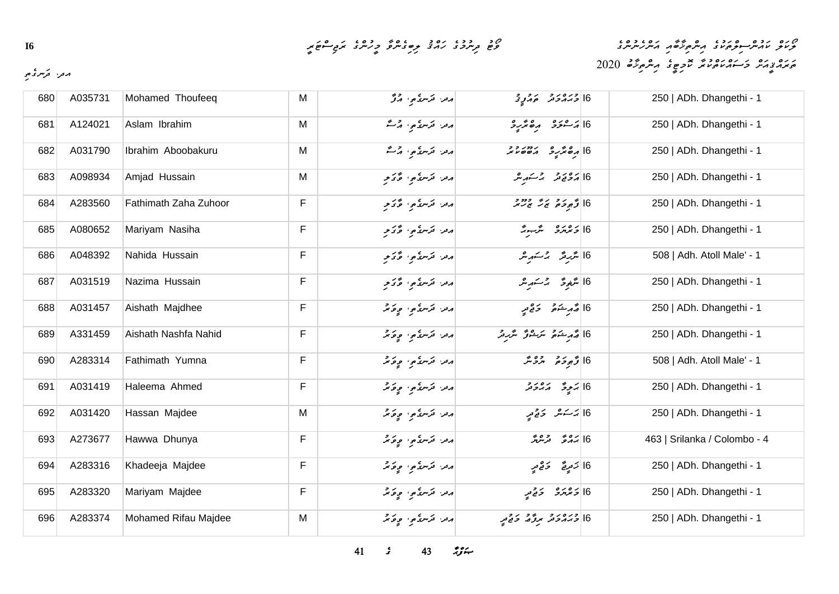*sCw7q7s5w7m< o<n9nOoAw7o< sCq;mAwBoEw7q<m; wBm;vB* م من المسجد المسجد المسجد المسجد المسجد العام 2020<br>مجم*د المسجد المسجد المستجد المسجد المسجد المسجد المسجد المسجد المسجد المسجد المسجد المسجد المسجد المسجد المسجد* 

| 680 | A035731 | Mohamed Thoufeeq      | M           | ما مار انگر مرکز کردگر           | 6  33,200 ءقروقه                                                                  | 250   ADh. Dhangethi - 1     |
|-----|---------|-----------------------|-------------|----------------------------------|-----------------------------------------------------------------------------------|------------------------------|
| 681 | A124021 | Aslam Ibrahim         | M           | ماندا افكرسري والمركب            | 6  مَسْعَوَى مِعْمَدِهِ                                                           | 250   ADh. Dhangethi - 1     |
| 682 | A031790 | Ibrahim Aboobakuru    | M           | أمعرا فكسكامي المركث             |                                                                                   | 250   ADh. Dhangethi - 1     |
| 683 | A098934 | Amjad Hussain         | M           | أمعرا فرسمتمي أقرئمي             | 16 كەنتى قىلى مەسكەر بىر                                                          | 250   ADh. Dhangethi - 1     |
| 684 | A283560 | Fathimath Zaha Zuhoor | F           | أمعرا فرسمتمي المحمومي           | 6   تۇ <sub>ج</sub> وڭرىم ئەرگىمى ئەسىر                                           | 250   ADh. Dhangethi - 1     |
| 685 | A080652 | Mariyam Nasiha        | F           | أمعرا فكالمتكافئ المحكامي        | 6   ئەنگەر ئەسىرىگە                                                               | 250   ADh. Dhangethi - 1     |
| 686 | A048392 | Nahida Hussain        | F           | أماما الكرسمني والمحاكم والمحاجر | 6  بَرْرِيْر كَرْسَهِ بْرْ                                                        | 508   Adh. Atoll Male' - 1   |
| 687 | A031519 | Nazima Hussain        | F           | أمامرا الكرسمنكامي المتحركون     | 6  سُمْعِ فَرْ سَنَ سَرَ اللَّهُ عَلَيْهِ مِنْ                                    | 250   ADh. Dhangethi - 1     |
| 688 | A031457 | Aishath Majdhee       | F           | أمعن فكسفوا أوقام                | 6  رَّمَ شَمَرَ وَقَامٍ                                                           | 250   ADh. Dhangethi - 1     |
| 689 | A331459 | Aishath Nashfa Nahid  | F           | أمعن فكسفوا أوقام                | 6  مەم شەھ سىشىر ئىرىد                                                            | 250   ADh. Dhangethi - 1     |
| 690 | A283314 | Fathimath Yumna       | F           | معرا فكسفوا ووكالم               | 6ا رً <sub>ّجو</sub> حه مركز مثر                                                  | 508   Adh. Atoll Male' - 1   |
| 691 | A031419 | Haleema Ahmed         | F           | معرا فكسفوا ووكالم               | 6  يَرجِعُ - يَرْجُرْحَمْد                                                        | 250   ADh. Dhangethi - 1     |
| 692 | A031420 | Hassan Majdee         | M           | أمعن فكسكوه وقمر                 | 6  پرستىش ئۇقىمىيە                                                                | 250   ADh. Dhangethi - 1     |
| 693 | A273677 | Hawwa Dhunya          | F           | معرا فكسقي ووتحم                 | 6  يَہْدُوَّ مَدِسْرَةَ                                                           | 463   Srilanka / Colombo - 4 |
| 694 | A283316 | Khadeeja Majdee       | $\mathsf F$ | أمعن فكسفوا أوقام                | 6   كَتَمَدِيحٌ - كَتَاحِدٍ اللهِ عَلَيْهِ اللهِ عَلَيْهِ اللَّهِ عَلَيْهِ السَّا | 250   ADh. Dhangethi - 1     |
| 695 | A283320 | Mariyam Majdee        | F           | أمعن فكسفوا أوقام                | 6  5 بمەيرى - 5 قىم يە                                                            | 250   ADh. Dhangethi - 1     |
| 696 | A283374 | Mohamed Rifau Majdee  | M           | معرا فكسفيء ووقاته               | 16 <i>دُبُہ دُوَ تَہ بِروَّہُ</i> وَتَ <sub>ّتَم</sub> ِّرِ                       | 250   ADh. Dhangethi - 1     |

*41 sC 43 nNw?mS*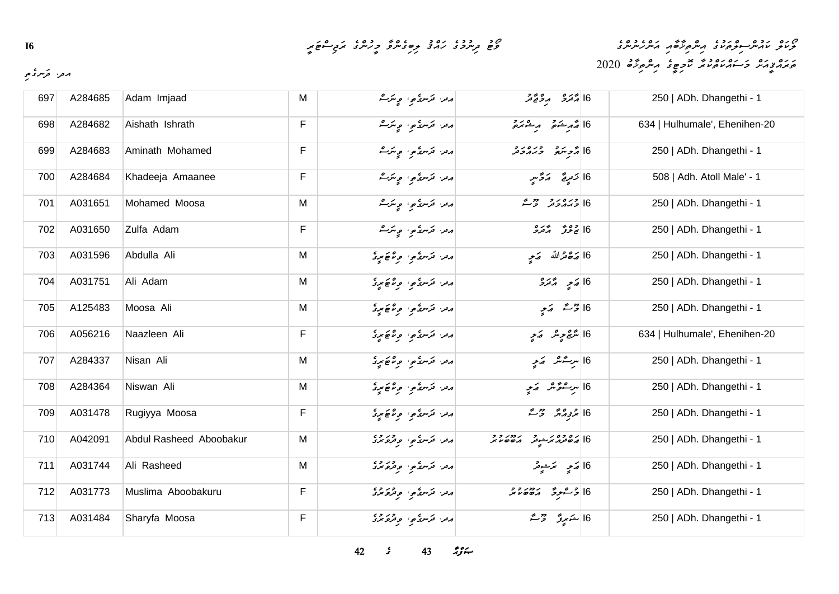*sCw7q7s5w7m< o<n9nOoAw7o< sCq;mAwBoEw7q<m; wBm;vB* م من المرة المرة المرة المرجع المراجع المراجع المراجع المراجع المراجع المراجع المراجع المراجع المراجع المراجع<br>مرين المراجع المراجع المرجع المراجع المراجع المراجع المراجع المراجع المراجع المراجع المراجع المراجع المراجع ال

| 697 | A284685 | Adam Imjaad             | M         | أمعرا الكرسكامي المح مكرك  | 6  رحمزڈ مرڈیج تر                         | 250   ADh. Dhangethi - 1      |
|-----|---------|-------------------------|-----------|----------------------------|-------------------------------------------|-------------------------------|
| 698 | A284682 | Aishath Ishrath         | F         | أمعرا فكالتكامئ أويتك      | 6  مُدِينَة دِيشِمْرة                     | 634   Hulhumale', Ehenihen-20 |
| 699 | A284683 | Aminath Mohamed         | F         | أمعرا فكالتكامئ أويتك      | 6  مُجِسَعُ وَبَرُمُحَمَّد                | 250   ADh. Dhangethi - 1      |
| 700 | A284684 | Khadeeja Amaanee        | F         | أمعرا فكالمحصي المح يترك   | 6  كَعِيقٌ - مَاحَسِ                      | 508   Adh. Atoll Male' - 1    |
| 701 | A031651 | Mohamed Moosa           | M         | أمعرا فكالمحصي المح للكرام | 6  3223 ق حق                              | 250   ADh. Dhangethi - 1      |
| 702 | A031650 | Zulfa Adam              | F         | معرا فكسكامي المحي مكرك    | 6  ج جوزٌ مُجمَّدة                        | 250   ADh. Dhangethi - 1      |
| 703 | A031596 | Abdulla Ali             | M         | معرا فكسكوم والمقيرى       | 16 كەھىراللە كەمچ                         | 250   ADh. Dhangethi - 1      |
| 704 | A031751 | Ali Adam                | M         | معرا فكسكوا والمقيرة       | 6  كەبىي مەتىرى                           | 250   ADh. Dhangethi - 1      |
| 705 | A125483 | Moosa Ali               | M         | مدر ترسر و مع مرد          | 6  تخریجہ تھ <i>ج</i>                     | 250   ADh. Dhangethi - 1      |
| 706 | A056216 | Naazleen Ali            | F         | معرا فكسكوا والمقيرة       | 6ا ئىن <sub>ج م</sub> وبى <i>گە مەم</i> ر | 634   Hulhumale', Ehenihen-20 |
| 707 | A284337 | Nisan Ali               | ${\sf M}$ | معرا فكالتكافئ والمكامرة   | 6  سرششر کرمی                             | 250   ADh. Dhangethi - 1      |
| 708 | A284364 | Niswan Ali              | M         | معرا فكالمحاص والمقامرة    | 6  سرت مۇش ھ <i>ەي</i> ج                  | 250   ADh. Dhangethi - 1      |
| 709 | A031478 | Rugiyya Moosa           | F         | معرا فكالتكافئ والمكامرة   | 6  بزنږ چرنگ وحقیقه                       | 250   ADh. Dhangethi - 1      |
| 710 | A042091 | Abdul Rasheed Aboobakur | M         | معرا فكسكوه المحفوفين      | 6  גם קרים גם החרק ב                      | 250   ADh. Dhangethi - 1      |
| 711 | A031744 | Ali Rasheed             | M         | معرا فكسكوه المحفوفين      | 6  کەمچە سمەھىر                           | 250   ADh. Dhangethi - 1      |
| 712 | A031773 | Muslima Aboobakuru      | F         | معرا فكسكوه المحفوفين      | 6 كەشمۇق مەھەمىر                          | 250   ADh. Dhangethi - 1      |
| 713 | A031484 | Sharyfa Moosa           | F         | معرا فكسكوم وفرود          | 6  ڪيپوڙ ويڪ                              | 250   ADh. Dhangethi - 1      |

*42 s* 43 *z*<sub>*s*</sub> $\rightarrow$